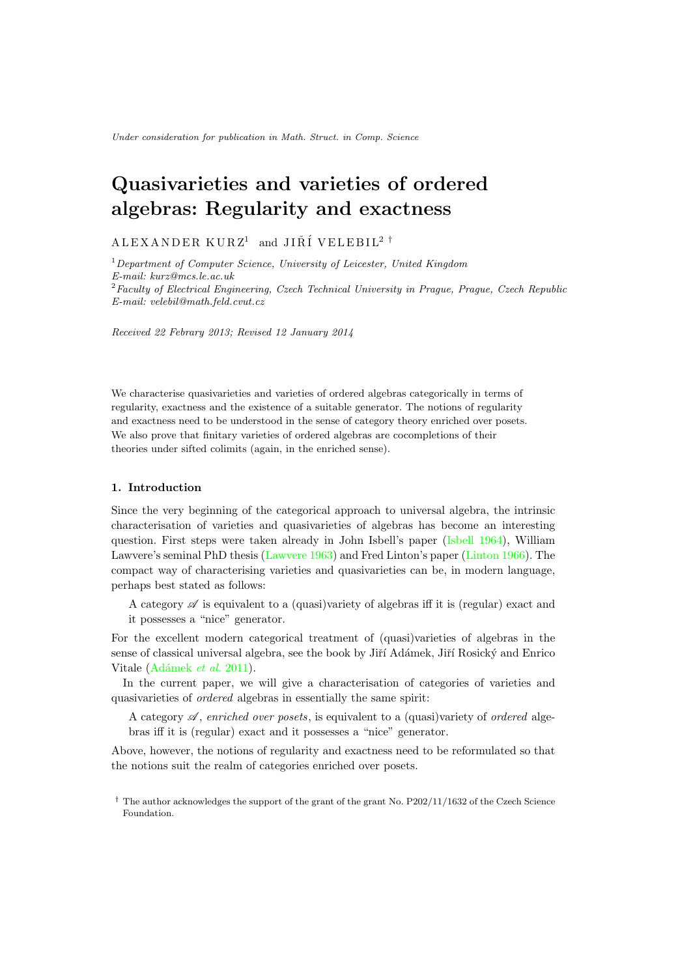# Quasivarieties and varieties of ordered algebras: Regularity and exactness

## ALEXANDER KURZ<sup>1</sup> and JIŘÍ VELEBIL<sup>2</sup> <sup>†</sup>

<sup>1</sup>*Department of Computer Science, University of Leicester, United Kingdom E-mail: kurz@mcs.le.ac.uk* <sup>2</sup>*Faculty of Electrical Engineering, Czech Technical University in Prague, Prague, Czech Republic E-mail: velebil@math.feld.cvut.cz*

*Received 22 Febrary 2013; Revised 12 January 2014*

We characterise quasivarieties and varieties of ordered algebras categorically in terms of regularity, exactness and the existence of a suitable generator. The notions of regularity and exactness need to be understood in the sense of category theory enriched over posets. We also prove that finitary varieties of ordered algebras are cocompletions of their theories under sifted colimits (again, in the enriched sense).

## 1. Introduction

Since the very beginning of the categorical approach to universal algebra, the intrinsic characterisation of varieties and quasivarieties of algebras has become an interesting question. First steps were taken already in John Isbell's paper [\(Isbell 1964\)](#page-40-0), William Lawvere's seminal PhD thesis [\(Lawvere 1963\)](#page-41-0) and Fred Linton's paper [\(Linton 1966\)](#page-41-1). The compact way of characterising varieties and quasivarieties can be, in modern language, perhaps best stated as follows:

A category  $\mathscr A$  is equivalent to a (quasi)variety of algebras iff it is (regular) exact and it possesses a "nice" generator.

For the excellent modern categorical treatment of (quasi)varieties of algebras in the sense of classical universal algebra, see the book by Jiří Adámek, Jiří Rosický and Enrico Vitale (Adámek *et al.* 2011).

In the current paper, we will give a characterisation of categories of varieties and quasivarieties of *ordered* algebras in essentially the same spirit:

A category *A* , *enriched over posets*, is equivalent to a (quasi)variety of *ordered* algebras if it is (regular) exact and it possesses a "nice" generator.

Above, however, the notions of regularity and exactness need to be reformulated so that the notions suit the realm of categories enriched over posets.

<sup>†</sup> The author acknowledges the support of the grant of the grant No. P202/11/1632 of the Czech Science Foundation.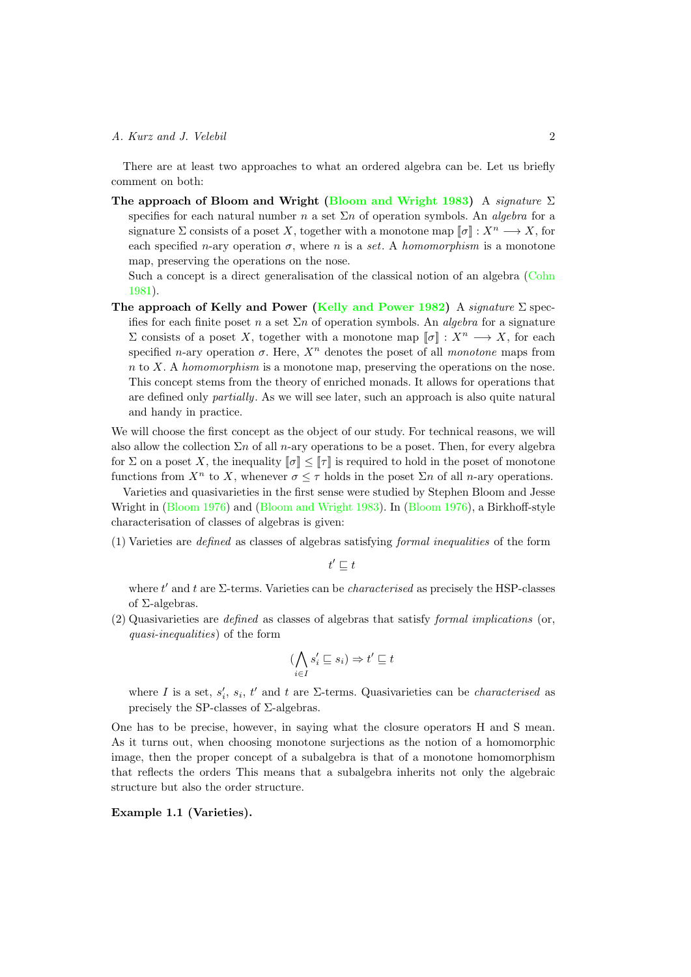There are at least two approaches to what an ordered algebra can be. Let us briefly comment on both:

The approach of Bloom and Wright [\(Bloom and Wright 1983\)](#page-40-2) A *signature*  $\Sigma$ specifies for each natural number *n* a set  $\Sigma n$  of operation symbols. An *algebra* for a signature  $\Sigma$  consists of a poset X, together with a monotone map  $[\![\sigma]\!] : X^n \longrightarrow X$ , for each specified *n*-ary operation  $\sigma$ , where *n* is a *set*. A *homomorphism* is a monotone map, preserving the operations on the nose.

Such a concept is a direct generalisation of the classical notion of an algebra [\(Cohn](#page-40-3) [1981\)](#page-40-3).

The approach of Kelly and Power [\(Kelly and Power 1982\)](#page-41-2) A *signature*  $\Sigma$  specifies for each finite poset *n* a set  $\Sigma n$  of operation symbols. An *algebra* for a signature  $\Sigma$  consists of a poset *X*, together with a monotone map  $[\![\sigma]\!] : X^n \longrightarrow X$ , for each specified *n*-ary operation  $\sigma$ . Here,  $X^n$  denotes the poset of all *monotone* maps from *n* to *X*. A *homomorphism* is a monotone map, preserving the operations on the nose. This concept stems from the theory of enriched monads. It allows for operations that are defined only *partially*. As we will see later, such an approach is also quite natural and handy in practice.

We will choose the first concept as the object of our study. For technical reasons, we will also allow the collection  $\Sigma n$  of all *n*-ary operations to be a poset. Then, for every algebra for  $\Sigma$  on a poset X, the inequality  $\llbracket \sigma \rrbracket \leq \llbracket \tau \rrbracket$  is required to hold in the poset of monotone functions from  $X^n$  to X, whenever  $\sigma \leq \tau$  holds in the poset  $\Sigma^n$  of all *n*-ary operations.

Varieties and quasivarieties in the first sense were studied by Stephen Bloom and Jesse Wright in  $(Bloom 1976)$  and  $(Bloom and Wright 1983)$ . In  $(Bloom 1976)$ , a Birkhoff-style characterisation of classes of algebras is given:

(1) Varieties are *defined* as classes of algebras satisfying *formal inequalities* of the form

 $t' \sqsubseteq t$ 

where  $t'$  and  $t$  are  $\Sigma$ -terms. Varieties can be *characterised* as precisely the HSP-classes of  $\Sigma$ -algebras.

(2) Quasivarieties are *defined* as classes of algebras that satisfy *formal implications* (or, *quasi-inequalities*) of the form

$$
(\bigwedge_{i\in I}s'_i\sqsubseteq s_i)\Rightarrow t'\sqsubseteq t
$$

where *I* is a set,  $s_i'$ ,  $s_i$ ,  $t'$  and  $t$  are  $\Sigma$ -terms. Quasivarieties can be *characterised* as precisely the SP-classes of  $\Sigma$ -algebras.

One has to be precise, however, in saying what the closure operators H and S mean. As it turns out, when choosing monotone surjections as the notion of a homomorphic image, then the proper concept of a subalgebra is that of a monotone homomorphism that reflects the orders This means that a subalgebra inherits not only the algebraic structure but also the order structure.

<span id="page-1-0"></span>Example 1.1 (Varieties).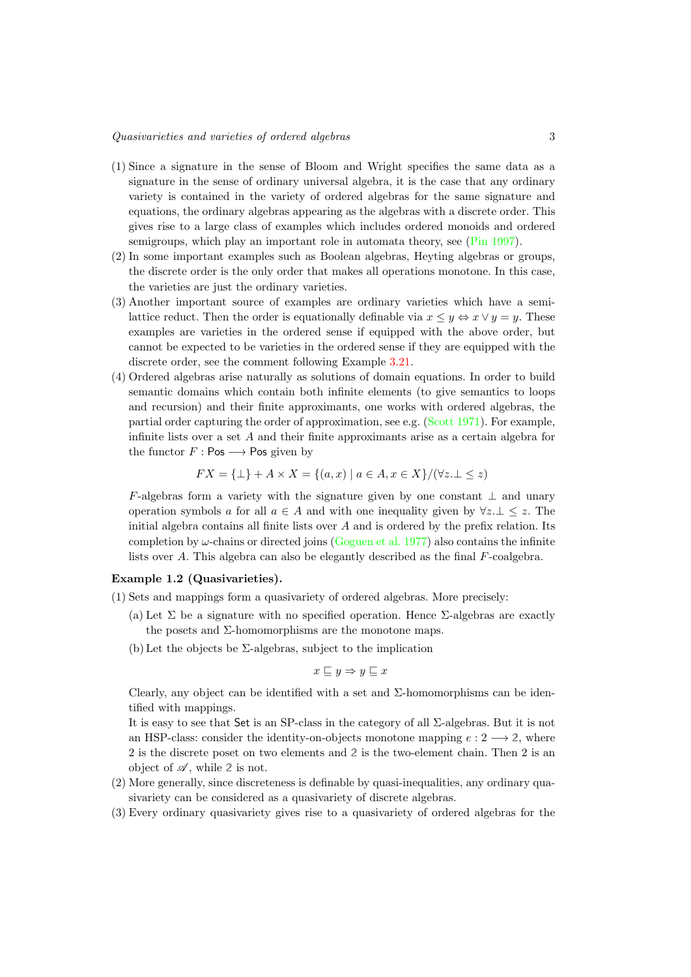#### *Quasivarieties and varieties of ordered algebras* 3

- (1) Since a signature in the sense of Bloom and Wright specifies the same data as a signature in the sense of ordinary universal algebra, it is the case that any ordinary variety is contained in the variety of ordered algebras for the same signature and equations, the ordinary algebras appearing as the algebras with a discrete order. This gives rise to a large class of examples which includes ordered monoids and ordered semigroups, which play an important role in automata theory, see [\(Pin 1997\)](#page-41-3).
- (2) In some important examples such as Boolean algebras, Heyting algebras or groups, the discrete order is the only order that makes all operations monotone. In this case, the varieties are just the ordinary varieties.
- (3) Another important source of examples are ordinary varieties which have a semilattice reduct. Then the order is equationally definable via  $x \le y \Leftrightarrow x \vee y = y$ . These examples are varieties in the ordered sense if equipped with the above order, but cannot be expected to be varieties in the ordered sense if they are equipped with the discrete order, see the comment following Example [3.21.](#page-17-0)
- <span id="page-2-0"></span>(4) Ordered algebras arise naturally as solutions of domain equations. In order to build semantic domains which contain both infinite elements (to give semantics to loops and recursion) and their finite approximants, one works with ordered algebras, the partial order capturing the order of approximation, see e.g. [\(Scott 1971\)](#page-41-4). For example, infinite lists over a set *A* and their finite approximants arise as a certain algebra for the functor  $F : \mathsf{Pos} \longrightarrow \mathsf{Pos}$  given by

$$
FX = \{\bot\} + A \times X = \{(a, x) \mid a \in A, x \in X\} / (\forall z \perp \le z)
$$

*F*-algebras form a variety with the signature given by one constant  $\perp$  and unary operation symbols *a* for all  $a \in A$  and with one inequality given by  $\forall z \perp \leq z$ . The initial algebra contains all finite lists over *A* and is ordered by the prefix relation. Its completion by  $\omega$ -chains or directed joins [\(Goguen et al. 1977\)](#page-40-5) also contains the infinite lists over *A*. This algebra can also be elegantly described as the final *F*-coalgebra.

#### <span id="page-2-1"></span>Example 1.2 (Quasivarieties).

- <span id="page-2-2"></span>(1) Sets and mappings form a quasivariety of ordered algebras. More precisely:
	- (a) Let  $\Sigma$  be a signature with no specified operation. Hence  $\Sigma$ -algebras are exactly the posets and  $\Sigma$ -homomorphisms are the monotone maps.
	- (b) Let the objects be  $\Sigma$ -algebras, subject to the implication

$$
x \sqsubseteq y \Rightarrow y \sqsubseteq x
$$

Clearly, any object can be identified with a set and  $\Sigma$ -homomorphisms can be identified with mappings.

It is easy to see that Set is an SP-class in the category of all  $\Sigma$ -algebras. But it is not an HSP-class: consider the identity-on-objects monotone mapping  $e: 2 \longrightarrow 2$ , where 2 is the discrete poset on two elements and **2** is the two-element chain. Then 2 is an object of  $\mathscr A$ , while 2 is not.

- (2) More generally, since discreteness is definable by quasi-inequalities, any ordinary quasivariety can be considered as a quasivariety of discrete algebras.
- (3) Every ordinary quasivariety gives rise to a quasivariety of ordered algebras for the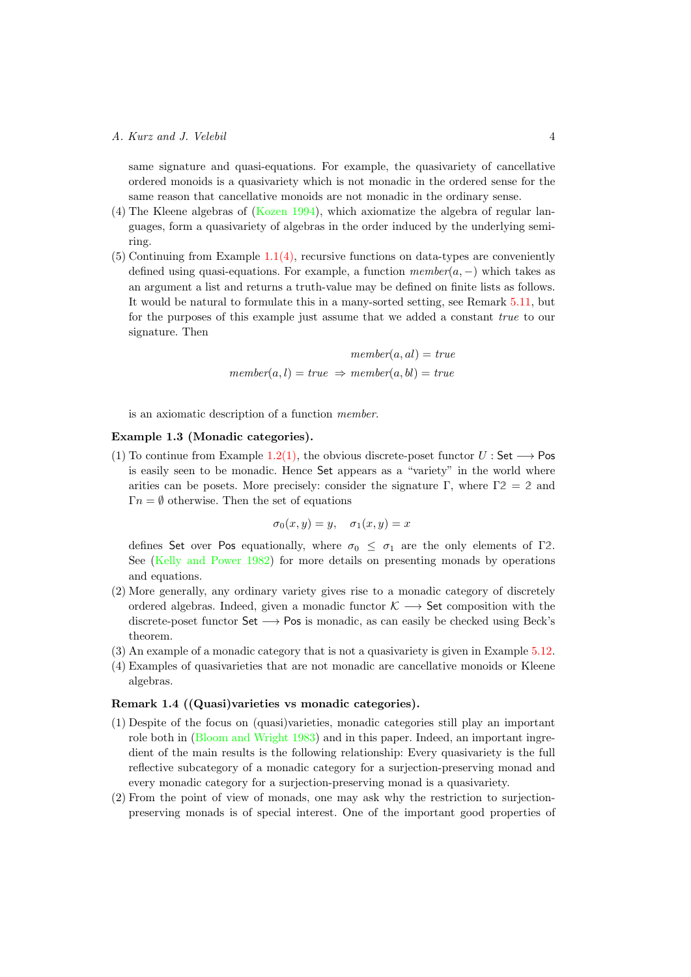same signature and quasi-equations. For example, the quasivariety of cancellative ordered monoids is a quasivariety which is not monadic in the ordered sense for the same reason that cancellative monoids are not monadic in the ordinary sense.

- (4) The Kleene algebras of [\(Kozen 1994\)](#page-41-5), which axiomatize the algebra of regular languages, form a quasivariety of algebras in the order induced by the underlying semiring.
- $(5)$  Continuing from Example [1.1](#page-1-0) $(4)$ , recursive functions on data-types are conveniently defined using quasi-equations. For example, a function  $member(a, -)$  which takes as an argument a list and returns a truth-value may be defined on finite lists as follows. It would be natural to formulate this in a many-sorted setting, see Remark [5.11,](#page-33-0) but for the purposes of this example just assume that we added a constant *true* to our signature. Then

$$
member(a, al) = true
$$
  

$$
member(a, l) = true \Rightarrow member(a, bl) = true
$$

is an axiomatic description of a function *member*.

## Example 1.3 (Monadic categories).

(1) To continue from Example [1.2](#page-2-1)[\(1\),](#page-2-2) the obvious discrete-poset functor  $U$ : Set  $\longrightarrow$  Pos is easily seen to be monadic. Hence Set appears as a "variety" in the world where arities can be posets. More precisely: consider the signature  $\Gamma$ , where  $\Gamma$ 2 = 2 and  $\Gamma n = \emptyset$  otherwise. Then the set of equations

$$
\sigma_0(x, y) = y, \quad \sigma_1(x, y) = x
$$

defines Set over Pos equationally, where  $\sigma_0 \leq \sigma_1$  are the only elements of  $\Gamma$ 2. See [\(Kelly and Power 1982\)](#page-41-2) for more details on presenting monads by operations and equations.

- (2) More generally, any ordinary variety gives rise to a monadic category of discretely ordered algebras. Indeed, given a monadic functor  $K \longrightarrow$  Set composition with the discrete-poset functor  $Set \longrightarrow Pos$  is monadic, as can easily be checked using Beck's theorem.
- (3) An example of a monadic category that is not a quasivariety is given in Example [5.12.](#page-33-1)
- (4) Examples of quasivarieties that are not monadic are cancellative monoids or Kleene algebras.

#### Remark 1.4 ((Quasi)varieties vs monadic categories).

- (1) Despite of the focus on (quasi)varieties, monadic categories still play an important role both in [\(Bloom and Wright 1983\)](#page-40-2) and in this paper. Indeed, an important ingredient of the main results is the following relationship: Every quasivariety is the full reflective subcategory of a monadic category for a surjection-preserving monad and every monadic category for a surjection-preserving monad is a quasivariety.
- (2) From the point of view of monads, one may ask why the restriction to surjectionpreserving monads is of special interest. One of the important good properties of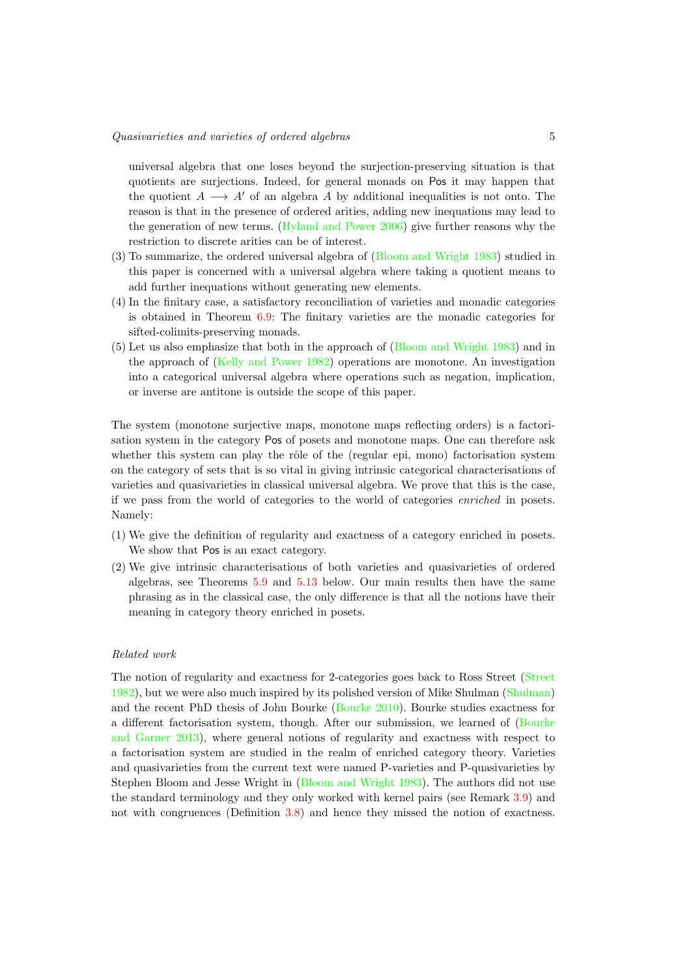universal algebra that one loses beyond the surjection-preserving situation is that quotients are surjections. Indeed, for general monads on Pos it may happen that the quotient  $A \longrightarrow A'$  of an algebra *A* by additional inequalities is not onto. The reason is that in the presence of ordered arities, adding new inequations may lead to the generation of new terms. [\(Hyland and Power 2006\)](#page-40-6) give further reasons why the restriction to discrete arities can be of interest.

- (3) To summarize, the ordered universal algebra of [\(Bloom and Wright 1983\)](#page-40-2) studied in this paper is concerned with a universal algebra where taking a quotient means to add further inequations without generating new elements.
- (4) In the finitary case, a satisfactory reconciliation of varieties and monadic categories is obtained in Theorem [6.9:](#page-37-0) The finitary varieties are the monadic categories for sifted-colimits-preserving monads.
- (5) Let us also emphasize that both in the approach of [\(Bloom and Wright 1983\)](#page-40-2) and in the approach of [\(Kelly and Power 1982\)](#page-41-2) operations are monotone. An investigation into a categorical universal algebra where operations such as negation, implication, or inverse are antitone is outside the scope of this paper.

The system (monotone surjective maps, monotone maps reflecting orders) is a factorisation system in the category Pos of posets and monotone maps. One can therefore ask whether this system can play the rôle of the (regular epi, mono) factorisation system on the category of sets that is so vital in giving intrinsic categorical characterisations of varieties and quasivarieties in classical universal algebra. We prove that this is the case, if we pass from the world of categories to the world of categories *enriched* in posets. Namely:

- (1) We give the definition of regularity and exactness of a category enriched in posets. We show that Pos is an exact category.
- (2) We give intrinsic characterisations of both varieties and quasivarieties of ordered algebras, see Theorems [5.9](#page-31-0) and [5.13](#page-34-0) below. Our main results then have the same phrasing as in the classical case, the only difference is that all the notions have their meaning in category theory enriched in posets.

## *Related work*

The notion of regularity and exactness for 2-categories goes back to Ross Street [\(Street](#page-41-6) [1982\)](#page-41-6), but we were also much inspired by its polished version of Mike Shulman [\(Shulman\)](#page-41-7) and the recent PhD thesis of John Bourke [\(Bourke 2010\)](#page-40-7). Bourke studies exactness for a different factorisation system, though. After our submission, we learned of [\(Bourke](#page-40-8) [and Garner 2013\)](#page-40-8), where general notions of regularity and exactness with respect to a factorisation system are studied in the realm of enriched category theory. Varieties and quasivarieties from the current text were named P-varieties and P-quasivarieties by Stephen Bloom and Jesse Wright in [\(Bloom and Wright 1983\)](#page-40-2). The authors did not use the standard terminology and they only worked with kernel pairs (see Remark [3.9\)](#page-14-0) and not with congruences (Definition [3.8\)](#page-14-1) and hence they missed the notion of exactness.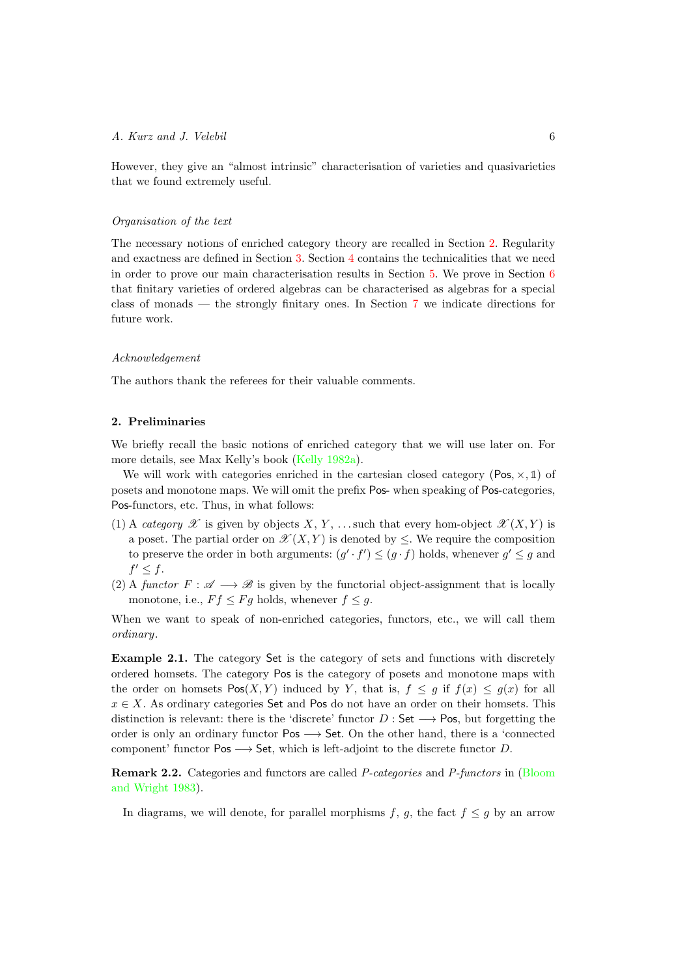However, they give an "almost intrinsic" characterisation of varieties and quasivarieties that we found extremely useful.

#### *Organisation of the text*

The necessary notions of enriched category theory are recalled in Section [2.](#page-5-0) Regularity and exactness are defined in Section [3.](#page-9-0) Section [4](#page-19-0) contains the technicalities that we need in order to prove our main characterisation results in Section [5.](#page-28-0) We prove in Section [6](#page-35-0) that finitary varieties of ordered algebras can be characterised as algebras for a special class of monads — the strongly finitary ones. In Section [7](#page-39-0) we indicate directions for future work.

#### *Acknowledgement*

The authors thank the referees for their valuable comments.

### <span id="page-5-0"></span>2. Preliminaries

We briefly recall the basic notions of enriched category that we will use later on. For more details, see Max Kelly's book [\(Kelly 1982a\)](#page-40-9).

We will work with categories enriched in the cartesian closed category ( $Pos, \times, 1$ ) of posets and monotone maps. We will omit the prefix Pos- when speaking of Pos-categories, Pos-functors, etc. Thus, in what follows:

- (1) A *category*  $\mathscr X$  is given by objects  $X, Y, \ldots$  such that every hom-object  $\mathscr X(X, Y)$  is a poset. The partial order on  $\mathscr{X}(X, Y)$  is denoted by  $\leq$ . We require the composition to preserve the order in both arguments:  $(g' \cdot f') \leq (g \cdot f)$  holds, whenever  $g' \leq g$  and  $f' < f$ .
- (2) A *functor*  $F : \mathscr{A} \longrightarrow \mathscr{B}$  is given by the functorial object-assignment that is locally monotone, i.e.,  $Ff \leq Fg$  holds, whenever  $f \leq g$ .

When we want to speak of non-enriched categories, functors, etc., we will call them *ordinary*.

Example 2.1. The category Set is the category of sets and functions with discretely ordered homsets. The category Pos is the category of posets and monotone maps with the order on homsets  $Pos(X, Y)$  induced by *Y*, that is,  $f \leq g$  if  $f(x) \leq g(x)$  for all  $x \in X$ . As ordinary categories Set and Pos do not have an order on their homsets. This distinction is relevant: there is the 'discrete' functor  $D : \mathsf{Set} \longrightarrow \mathsf{Pos}$ , but forgetting the order is only an ordinary functor  $Pos \longrightarrow Set$ . On the other hand, there is a 'connected component' functor  $Pos \longrightarrow Set$ , which is left-adjoint to the discrete functor *D*.

Remark 2.2. Categories and functors are called *P-categories* and *P-functors* in [\(Bloom](#page-40-2) [and Wright 1983\)](#page-40-2).

In diagrams, we will denote, for parallel morphisms  $f$ ,  $g$ , the fact  $f \leq g$  by an arrow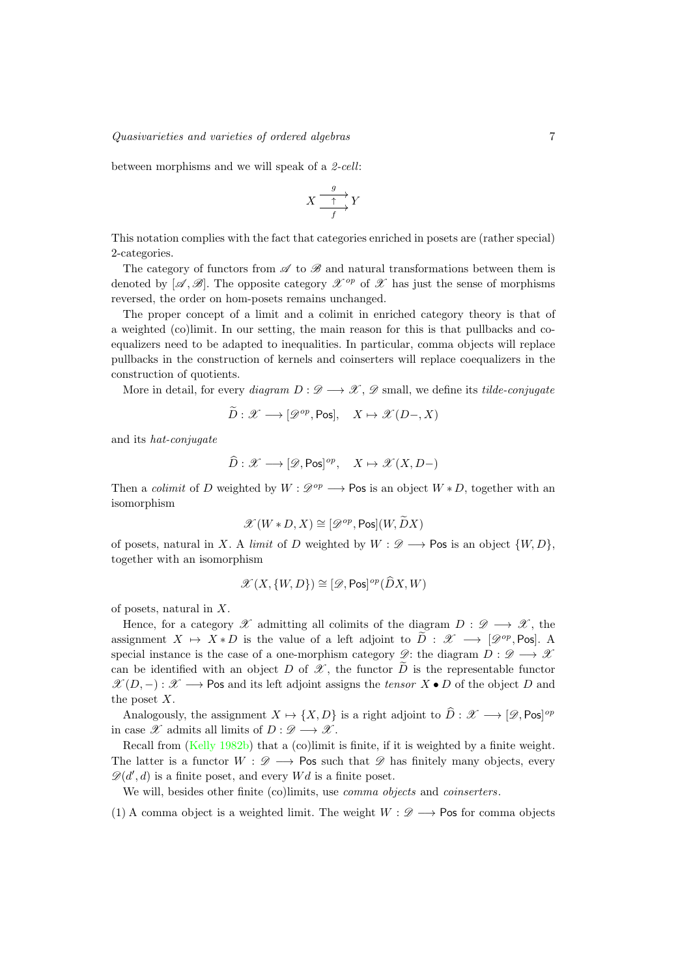between morphisms and we will speak of a *2-cell*:

$$
X \xrightarrow{g} Y
$$

This notation complies with the fact that categories enriched in posets are (rather special) 2-categories.

The category of functors from  $\mathscr A$  to  $\mathscr B$  and natural transformations between them is denoted by  $[\mathscr{A}, \mathscr{B}]$ . The opposite category  $\mathscr{X}^{op}$  of  $\mathscr{X}$  has just the sense of morphisms reversed, the order on hom-posets remains unchanged.

The proper concept of a limit and a colimit in enriched category theory is that of a weighted (co)limit. In our setting, the main reason for this is that pullbacks and coequalizers need to be adapted to inequalities. In particular, comma objects will replace pullbacks in the construction of kernels and coinserters will replace coequalizers in the construction of quotients.

More in detail, for every *diagram*  $D: \mathscr{D} \longrightarrow \mathscr{X}$ ,  $\mathscr{D}$  small, we define its *tilde-conjugate* 

$$
\widetilde{D}: \mathscr{X} \longrightarrow [\mathscr{D}^{op}, \text{Pos}], \quad X \mapsto \mathscr{X}(D-, X)
$$

and its *hat-conjugate*

$$
\widehat{D}: \mathscr{X} \longrightarrow [\mathscr{D}, \mathsf{Pos}]^{op}, \quad X \mapsto \mathscr{X}(X, D-)
$$

Then a *colimit* of *D* weighted by  $W : \mathcal{D}^{op} \longrightarrow \mathsf{Pos}$  is an object  $W * D$ , together with an isomorphism

$$
\mathscr{X}(W*D,X)\cong[\mathscr{D}^{op},\mathsf{Pos}](W,\widetilde{D}X)
$$

of posets, natural in *X*. A *limit* of *D* weighted by  $W : \mathscr{D} \longrightarrow \mathsf{Pos}$  is an object  $\{W, D\}$ , together with an isomorphism

$$
\mathscr{X}(X,\{W,D\}) \cong [\mathscr{D}, \mathsf{Pos}]^{op}(\widehat{D}X,W)
$$

of posets, natural in *X*.

Hence, for a category  $\mathscr X$  admitting all colimits of the diagram  $D: \mathscr D \longrightarrow \mathscr X$ , the assignment  $X \mapsto X * D$  is the value of a left adjoint to  $\tilde{D}: \mathscr{X} \longrightarrow [\mathscr{D}^{op}, \text{Pos}].$  A special instance is the case of a one-morphism category  $\mathscr{D}$ : the diagram  $D : \mathscr{D} \longrightarrow \mathscr{X}$ can be identified with an object *D* of  $\mathscr X$ , the functor  $\widetilde D$  is the representable functor  $\mathscr{X}(D,-): \mathscr{X} \longrightarrow \mathsf{Pos}$  and its left adjoint assigns the *tensor*  $X \bullet D$  of the object *D* and the poset *X*.

Analogously, the assignment  $X \mapsto \{X, D\}$  is a right adjoint to  $\hat{D} : \mathscr{X} \longrightarrow [\mathscr{D}, \text{Pos}]^{op}$ in case  $\mathscr X$  admits all limits of  $D: \mathscr D \longrightarrow \mathscr X$ .

Recall from [\(Kelly 1982b\)](#page-40-10) that a (co)limit is finite, if it is weighted by a finite weight. The latter is a functor  $W : \mathscr{D} \longrightarrow \mathsf{Pos}$  such that  $\mathscr{D}$  has finitely many objects, every  $\mathscr{D}(d', d)$  is a finite poset, and every *Wd* is a finite poset.

We will, besides other finite (co)limits, use *comma objects* and *coinserters*.

(1) A comma object is a weighted limit. The weight  $W : \mathscr{D} \longrightarrow \mathsf{Pos}$  for comma objects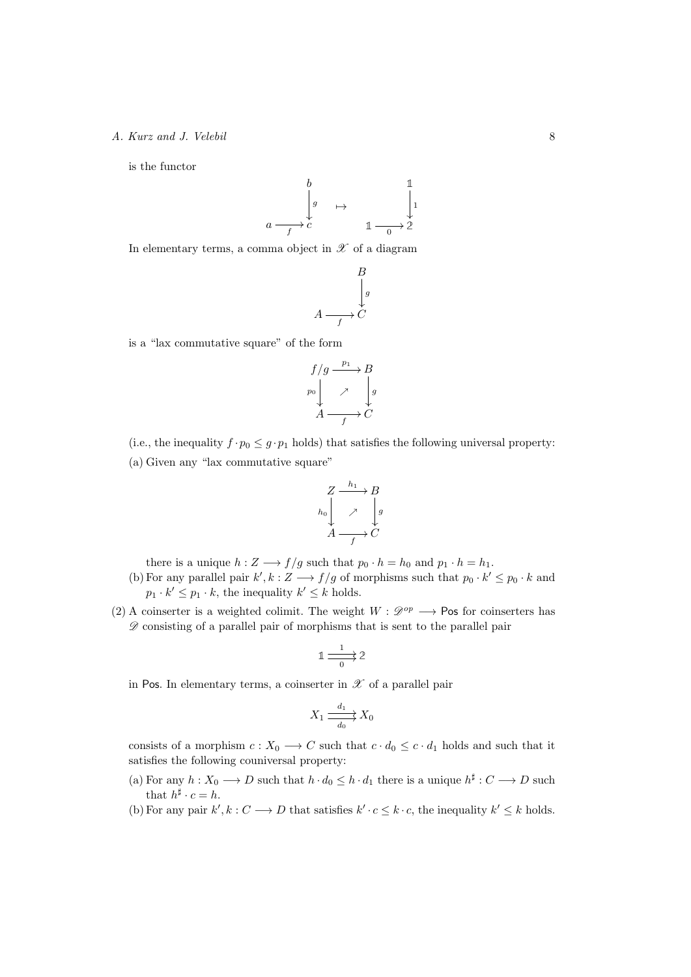is the functor



In elementary terms, a comma object in  $\mathscr X$  of a diagram

$$
A \xrightarrow{B} \downarrow g
$$

$$
A \xrightarrow{f} C
$$

is a "lax commutative square" of the form

$$
f/g \xrightarrow{p_1} B
$$
  
\n
$$
p_0 \downarrow \nearrow \downarrow g
$$
  
\n
$$
A \xrightarrow{f} C
$$

(i.e., the inequality  $f \cdot p_0 \leq g \cdot p_1$  holds) that satisfies the following universal property: (a) Given any "lax commutative square"

$$
\begin{array}{ccc}\nZ & \xrightarrow{h_1} & B \\
\downarrow & & \downarrow g \\
A & \xrightarrow{f} & C\n\end{array}
$$

there is a unique  $h: Z \longrightarrow f/g$  such that  $p_0 \cdot h = h_0$  and  $p_1 \cdot h = h_1$ .

- (b) For any parallel pair  $k', k : Z \longrightarrow f/g$  of morphisms such that  $p_0 \cdot k' \leq p_0 \cdot k$  and  $p_1 \cdot k' \leq p_1 \cdot k$ , the inequality  $k' \leq k$  holds.
- (2) A coinserter is a weighted colimit. The weight  $W : \mathcal{D}^{op} \longrightarrow \mathsf{Pos}$  for coinserters has *D* consisting of a parallel pair of morphisms that is sent to the parallel pair

$$
\mathbb{1} \xrightarrow[ \frac{1}{0} ] \mathbb{2}
$$

in Pos. In elementary terms, a coinserter in  $\mathscr X$  of a parallel pair

$$
X_1 \xrightarrow[d_0]{d_1} X_0
$$

consists of a morphism  $c: X_0 \longrightarrow C$  such that  $c \cdot d_0 \leq c \cdot d_1$  holds and such that it satisfies the following couniversal property:

- (a) For any  $h: X_0 \longrightarrow D$  such that  $h \cdot d_0 \leq h \cdot d_1$  there is a unique  $h^{\sharp}: C \longrightarrow D$  such that  $h^{\sharp} \cdot c = h$ .
- (b) For any pair  $k', k : C \longrightarrow D$  that satisfies  $k' \cdot c \leq k \cdot c$ , the inequality  $k' \leq k$  holds.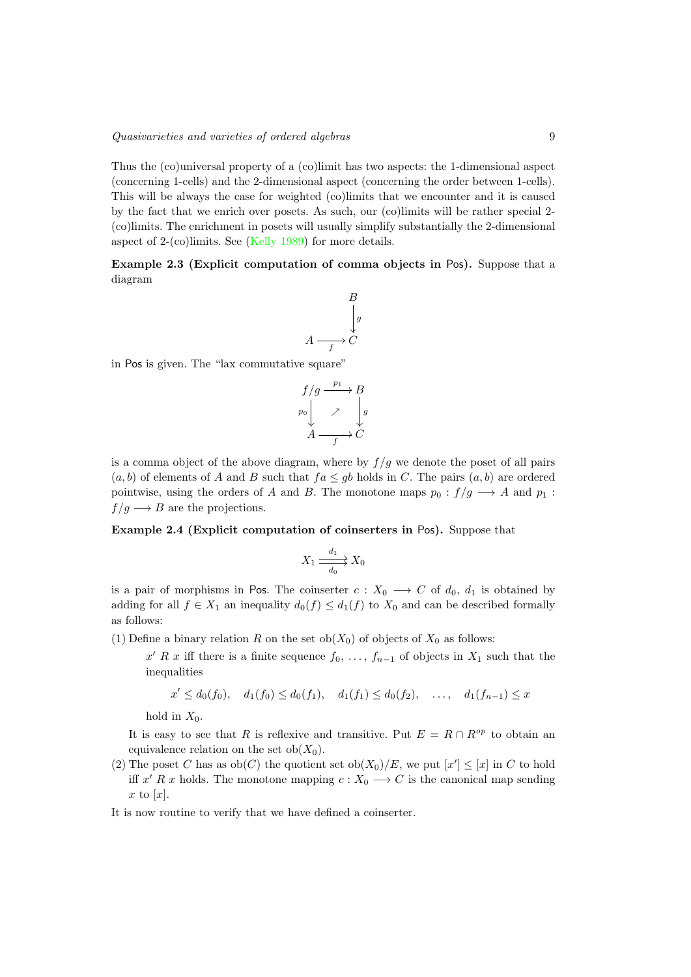Thus the (co)universal property of a (co)limit has two aspects: the 1-dimensional aspect (concerning 1-cells) and the 2-dimensional aspect (concerning the order between 1-cells). This will be always the case for weighted (co)limits that we encounter and it is caused by the fact that we enrich over posets. As such, our (co)limits will be rather special 2- (co)limits. The enrichment in posets will usually simplify substantially the 2-dimensional aspect of 2-(co)limits. See [\(Kelly 1989\)](#page-41-8) for more details.

<span id="page-8-1"></span>Example 2.3 (Explicit computation of comma objects in Pos). Suppose that a diagram

$$
A \xrightarrow{B} g
$$

$$
A \xrightarrow{f} C
$$

in Pos is given. The "lax commutative square"

$$
f/g \xrightarrow{p_1} B
$$
  
\n
$$
p_0 \downarrow \nearrow \downarrow g
$$
  
\n
$$
A \xrightarrow{f} C
$$

is a comma object of the above diagram, where by  $f/g$  we denote the poset of all pairs  $(a, b)$  of elements of *A* and *B* such that  $fa \le gb$  holds in *C*. The pairs  $(a, b)$  are ordered pointwise, using the orders of *A* and *B*. The monotone maps  $p_0: f/g \longrightarrow A$  and  $p_1$ :  $f/g \longrightarrow B$  are the projections.

<span id="page-8-0"></span>Example 2.4 (Explicit computation of coinserters in Pos). Suppose that

$$
X_1 \xrightarrow[d_0]{d_1} X_0
$$

is a pair of morphisms in Pos. The coinserter  $c: X_0 \longrightarrow C$  of  $d_0, d_1$  is obtained by adding for all  $f \in X_1$  an inequality  $d_0(f) \leq d_1(f)$  to  $X_0$  and can be described formally as follows:

- (1) Define a binary relation *R* on the set ob( $X_0$ ) of objects of  $X_0$  as follows:
	- $x^{\prime} R x$  iff there is a finite sequence  $f_0, \ldots, f_{n-1}$  of objects in  $X_1$  such that the inequalities

$$
x' \le d_0(f_0), \quad d_1(f_0) \le d_0(f_1), \quad d_1(f_1) \le d_0(f_2), \quad \ldots, \quad d_1(f_{n-1}) \le x
$$

hold in  $X_0$ .

It is easy to see that *R* is reflexive and transitive. Put  $E = R \cap R^{op}$  to obtain an equivalence relation on the set  $ob(X_0)$ .

(2) The poset *C* has as  $ob(C)$  the quotient set  $ob(X_0)/E$ , we put  $[x'] \leq [x]$  in *C* to hold iff x' R x holds. The monotone mapping  $c: X_0 \longrightarrow C$  is the canonical map sending *x* to [*x*].

It is now routine to verify that we have defined a coinserter.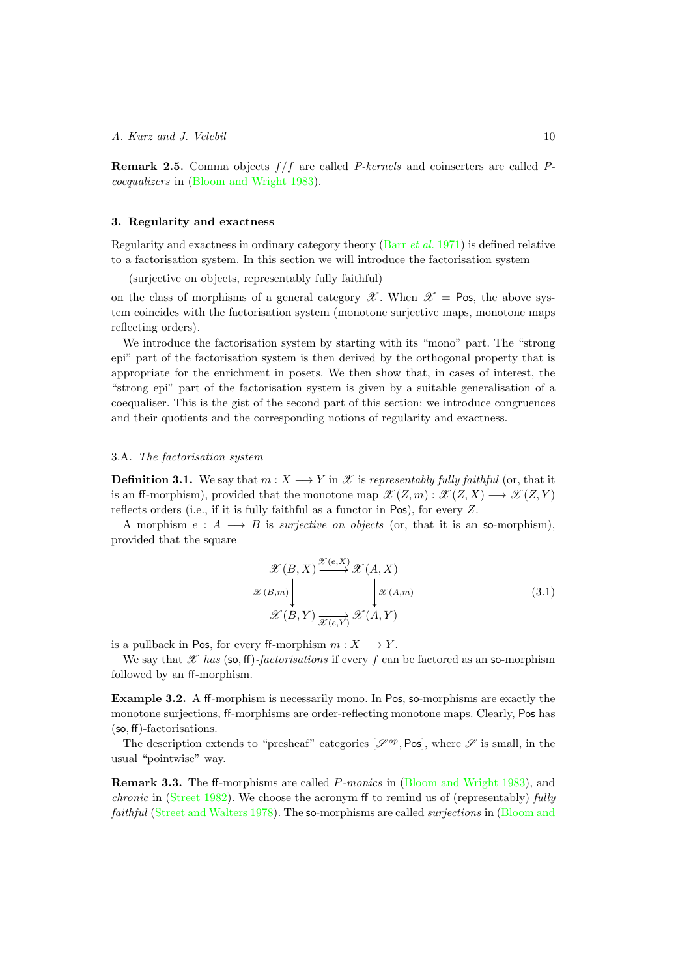<span id="page-9-2"></span>Remark 2.5. Comma objects *f /f* are called *P-kernels* and coinserters are called *Pcoequalizers* in [\(Bloom and Wright 1983\)](#page-40-2).

## <span id="page-9-0"></span>3. Regularity and exactness

Regularity and exactness in ordinary category theory (Barr *[et al.](#page-40-11)* 1971) is defined relative to a factorisation system. In this section we will introduce the factorisation system

(surjective on objects, representably fully faithful)

on the class of morphisms of a general category  $\mathscr X$ . When  $\mathscr X =$  Pos, the above system coincides with the factorisation system (monotone surjective maps, monotone maps reflecting orders).

We introduce the factorisation system by starting with its "mono" part. The "strong epi" part of the factorisation system is then derived by the orthogonal property that is appropriate for the enrichment in posets. We then show that, in cases of interest, the "strong epi" part of the factorisation system is given by a suitable generalisation of a coequaliser. This is the gist of the second part of this section: we introduce congruences and their quotients and the corresponding notions of regularity and exactness.

### 3.A. *The factorisation system*

**Definition 3.1.** We say that  $m: X \longrightarrow Y$  in  $\mathcal X$  is *representably fully faithful* (or, that it is an ff-morphism), provided that the monotone map  $\mathscr{X}(Z,m): \mathscr{X}(Z,X) \longrightarrow \mathscr{X}(Z,Y)$ reflects orders (i.e., if it is fully faithful as a functor in Pos), for every *Z*.

A morphism  $e : A \longrightarrow B$  is *surjective on objects* (or, that it is an so-morphism), provided that the square

<span id="page-9-1"></span>
$$
\mathcal{X}(B, X) \xrightarrow{\mathcal{X}(e, X)} \mathcal{X}(A, X)
$$
\n
$$
\mathcal{X}(B,m) \downarrow \qquad \qquad \downarrow \mathcal{X}(A,m)
$$
\n
$$
\mathcal{X}(B, Y) \xrightarrow{\mathcal{X}(e, Y)} \mathcal{X}(A, Y)
$$
\n(3.1)

is a pullback in Pos, for every ff-morphism  $m: X \longrightarrow Y$ .

We say that  $\mathscr X$  *has* (so, ff)-factorisations if every f can be factored as an so-morphism followed by an ff-morphism.

Example 3.2. A ff-morphism is necessarily mono. In Pos, so-morphisms are exactly the monotone surjections, ff-morphisms are order-reflecting monotone maps. Clearly, Pos has  $(so, ff)$ -factorisations.

The description extends to "presheaf" categories  $[\mathscr{S}^{op}, \text{Pos}]$ , where  $\mathscr{S}$  is small, in the usual "pointwise" way.

**Remark 3.3.** The ff-morphisms are called *P-monics* in [\(Bloom and Wright 1983\)](#page-40-2), and *chronic* in [\(Street 1982\)](#page-41-6). We choose the acronym ff to remind us of (representably) *fully faithful* [\(Street and Walters 1978\)](#page-41-9). The so-morphisms are called *surjections* in [\(Bloom and](#page-40-2)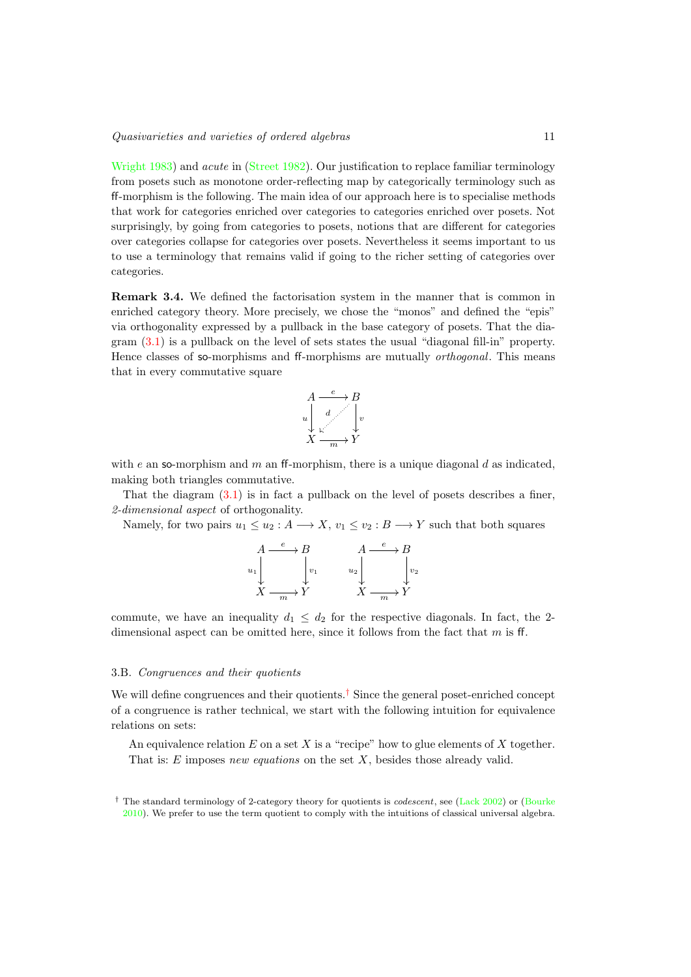[Wright 1983\)](#page-40-2) and *acute* in [\(Street 1982\)](#page-41-6). Our justification to replace familiar terminology from posets such as monotone order-reflecting map by categorically terminology such as ↵-morphism is the following. The main idea of our approach here is to specialise methods that work for categories enriched over categories to categories enriched over posets. Not surprisingly, by going from categories to posets, notions that are different for categories over categories collapse for categories over posets. Nevertheless it seems important to us to use a terminology that remains valid if going to the richer setting of categories over categories.

Remark 3.4. We defined the factorisation system in the manner that is common in enriched category theory. More precisely, we chose the "monos" and defined the "epis" via orthogonality expressed by a pullback in the base category of posets. That the diagram [\(3.1\)](#page-9-1) is a pullback on the level of sets states the usual "diagonal fill-in" property. Hence classes of so-morphisms and ff-morphisms are mutually *orthogonal*. This means that in every commutative square

$$
A \xrightarrow{e} B
$$
  
\n
$$
u \downarrow d
$$
  
\n
$$
X \xrightarrow{h} Y
$$

with *e* an so-morphism and *m* an ff-morphism, there is a unique diagonal *d* as indicated. making both triangles commutative.

That the diagram  $(3.1)$  is in fact a pullback on the level of posets describes a finer, *2-dimensional aspect* of orthogonality.

Namely, for two pairs  $u_1 \leq u_2 : A \longrightarrow X$ ,  $v_1 \leq v_2 : B \longrightarrow Y$  such that both squares

$$
\begin{array}{ccc}\nA & \xrightarrow{e} & B & A & \xrightarrow{e} & B \\
u_1 & & & & & \\
\downarrow & & & & & \\
X & \xrightarrow{m} & Y & & X & \xrightarrow{m} & Y\n\end{array}
$$

commute, we have an inequality  $d_1 \leq d_2$  for the respective diagonals. In fact, the 2dimensional aspect can be omitted here, since it follows from the fact that  $m$  is ff.

#### 3.B. *Congruences and their quotients*

We will define congruences and their quotients.<sup>[†](#page-10-0)</sup> Since the general poset-enriched concept of a congruence is rather technical, we start with the following intuition for equivalence relations on sets:

An equivalence relation *E* on a set *X* is a "recipe" how to glue elements of *X* together. That is: *E* imposes *new equations* on the set *X*, besides those already valid.

<span id="page-10-1"></span><span id="page-10-0"></span><sup>&</sup>lt;sup>†</sup> The standard terminology of 2-category theory for quotients is *codescent*, see [\(Lack 2002\)](#page-41-10) or [\(Bourke](#page-40-7) [2010\)](#page-40-7). We prefer to use the term quotient to comply with the intuitions of classical universal algebra.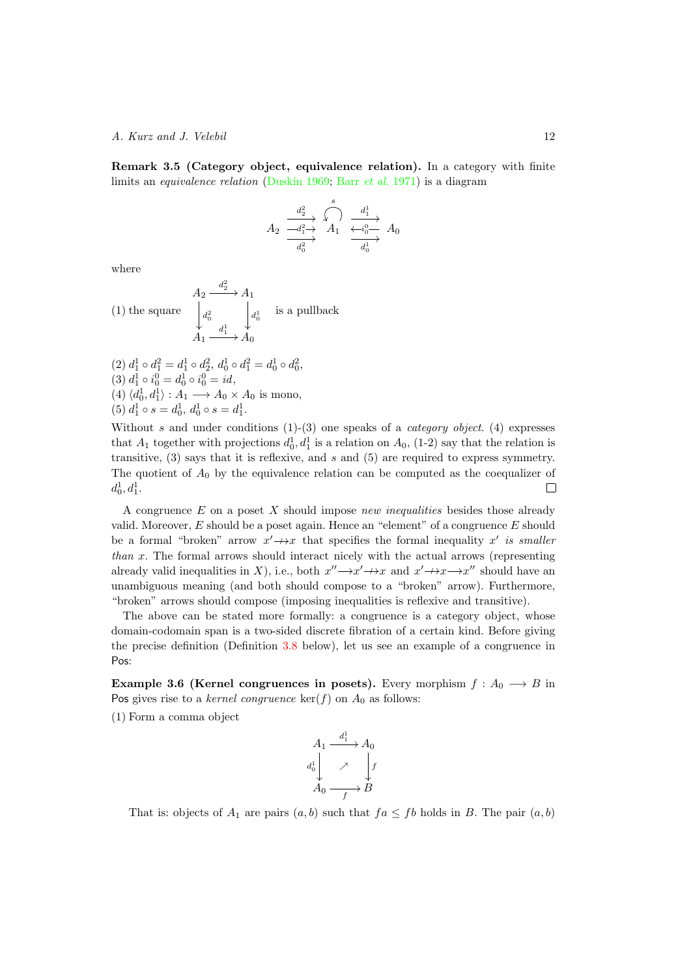Remark 3.5 (Category object, equivalence relation). In a category with finite limits an *equivalence relation* [\(Duskin 1969;](#page-40-12) Barr *[et al.](#page-40-11)* 1971) is a diagram

$$
A_2 \xrightarrow[d_1^2]{d_2^2} A_1 \xrightarrow[d_1^2]{s} A_0
$$
  

$$
\xrightarrow[d_0^2]{d_1^2} A_1 \xrightarrow[d_0^2]{d_1^2} A_0
$$

where

(1) the square 
$$
\begin{aligned}\n & A_2 \xrightarrow{d_2^2} A_1 \\
 & \downarrow_{d_0^2} \qquad \qquad \downarrow_{d_0^1} \qquad \text{is a pullback} \\
 & A_1 \xrightarrow{d_1^1} A_0\n \end{aligned}
$$
\n(2) 
$$
d_1^1 \circ d_1^2 = d_1^1 \circ d_2^2, \, d_0^1 \circ d_1^2 = d_0^1 \circ d_0^2,
$$

$$
(3) d_1^1 \circ i_0^0 = d_0^1 \circ i_0^0 = id,
$$
  
\n
$$
(4) \langle d_0^1, d_1^1 \rangle : A_1 \longrightarrow A_0 \times A_0 \text{ is mono},
$$
  
\n
$$
(5) d_1^1 \circ s = d_0^1, d_0^1 \circ s = d_1^1.
$$

Without *s* and under conditions (1)-(3) one speaks of a *category object*. (4) expresses that  $A_1$  together with projections  $d_0^1, d_1^1$  is a relation on  $A_0$ , (1-2) say that the relation is transitive, (3) says that it is reflexive, and *s* and (5) are required to express symmetry. The quotient of  $A_0$  by the equivalence relation can be computed as the coequalizer of  $d_0^1, d_1^1.$  $\Box$ 

A congruence *E* on a poset *X* should impose *new inequalities* besides those already valid. Moreover, *E* should be a poset again. Hence an "element" of a congruence *E* should be a formal "broken" arrow  $x' \rightarrow x$  that specifies the formal inequality  $x'$  *is smaller than x*. The formal arrows should interact nicely with the actual arrows (representing already valid inequalities in *X*), i.e., both  $x'' \rightarrow x' \rightarrow x$  and  $x' \rightarrow x \rightarrow x''$  should have an unambiguous meaning (and both should compose to a "broken" arrow). Furthermore, "broken" arrows should compose (imposing inequalities is reflexive and transitive).

The above can be stated more formally: a congruence is a category object, whose domain-codomain span is a two-sided discrete fibration of a certain kind. Before giving the precise definition (Definition [3.8](#page-14-1) below), let us see an example of a congruence in Pos:

**Example 3.6 (Kernel congruences in posets).** Every morphism  $f : A_0 \longrightarrow B$  in Pos gives rise to a *kernel congruence*  $\ker(f)$  on  $A_0$  as follows:

(1) Form a comma object

$$
A_1 \xrightarrow{d_1^1} A_0
$$
  

$$
A_0^1 \nearrow \qquad f
$$
  

$$
A_0 \xrightarrow{f} B
$$

That is: objects of  $A_1$  are pairs  $(a, b)$  such that  $fa \leq fb$  holds in *B*. The pair  $(a, b)$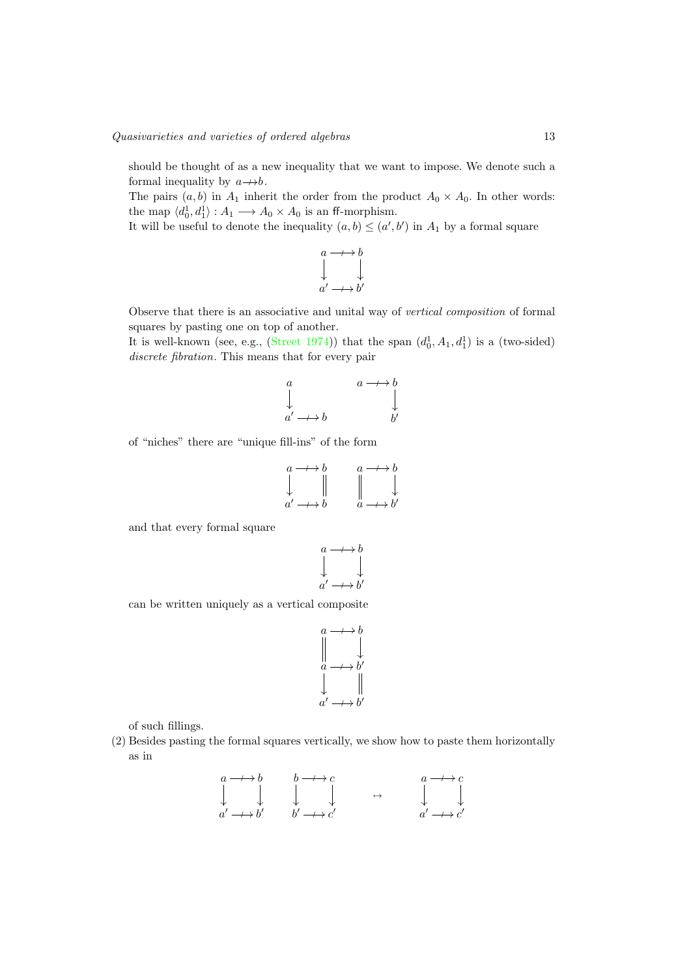should be thought of as a new inequality that we want to impose. We denote such a formal inequality by  $a \rightarrow b$ .

The pairs  $(a, b)$  in  $A_1$  inherit the order from the product  $A_0 \times A_0$ . In other words: the map  $\langle d_0^1, d_1^1 \rangle : A_1 \longrightarrow A_0 \times A_0$  is an ff-morphism.

It will be useful to denote the inequality  $(a, b) \leq (a', b')$  in  $A_1$  by a formal square

$$
\begin{array}{ccc}\na & \longrightarrow & b \\
\downarrow & & \downarrow \\
a' & \longrightarrow & b'\n\end{array}
$$

Observe that there is an associative and unital way of *vertical composition* of formal squares by pasting one on top of another.

It is well-known (see, e.g., [\(Street 1974\)](#page-41-11)) that the span  $(d_0^1, A_1, d_1^1)$  is a (two-sided) *discrete fibration*. This means that for every pair

$$
\begin{array}{ccc}\n a & & a \longrightarrow b \\
 \downarrow & & \downarrow \\
 a' \longrightarrow b & & b'\n\end{array}
$$

of "niches" there are "unique fill-ins" of the form

$$
\begin{array}{ccc}\n a \longrightarrow b & a \longrightarrow b \\
 \downarrow & \parallel & \parallel & \downarrow \\
 a' \longrightarrow b & a \longrightarrow b'\n\end{array}
$$

and that every formal square

$$
\begin{array}{ccc}\na & \longrightarrow & b \\
\downarrow & & \downarrow \\
a' & \longrightarrow & b'\n\end{array}
$$

can be written uniquely as a vertical composite

$$
\begin{array}{ccc}\n a & \longrightarrow & b \\
 & \downarrow & \\
 a & \longrightarrow & b' \\
 & \downarrow & \\
 a' & \longrightarrow & b'\n\end{array}
$$

of such fillings.

(2) Besides pasting the formal squares vertically, we show how to paste them horizontally as in

$$
\begin{array}{ccccccccc}\na & \longrightarrow & b & & b & \longrightarrow & c & & & a & \longrightarrow & c \\
\downarrow & & \downarrow & & \downarrow & & \downarrow & & & \downarrow & & \downarrow \\
a' & \longrightarrow & b' & & b' & \longrightarrow & c' & & & & a' & \longrightarrow & c'\n\end{array}
$$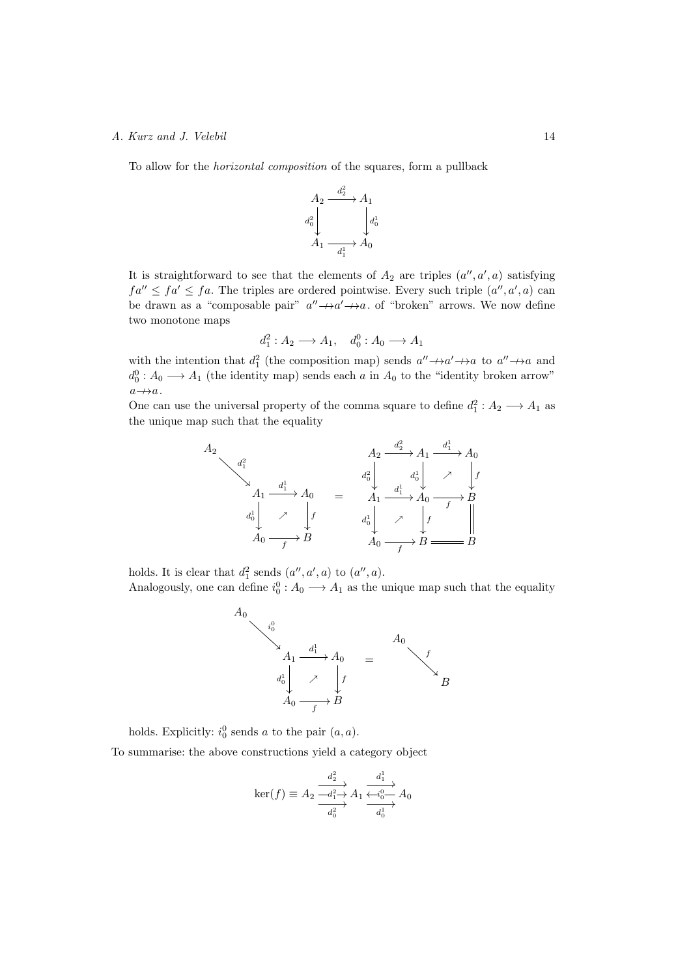To allow for the *horizontal composition* of the squares, form a pullback



It is straightforward to see that the elements of  $A_2$  are triples  $(a'', a', a)$  satisfying  $fa'' \leq fa' \leq fa$ . The triples are ordered pointwise. Every such triple  $(a'', a', a)$  can be drawn as a "composable pair"  $a'' \rightarrow a' \rightarrow a$ . of "broken" arrows. We now define two monotone maps

$$
d_1^2: A_2 \longrightarrow A_1, \quad d_0^0: A_0 \longrightarrow A_1
$$

with the intention that  $d_1^2$  (the composition map) sends  $a'' \rightarrow a' \rightarrow a$  to  $a'' \rightarrow a$  and  $d_0^0: A_0 \longrightarrow A_1$  (the identity map) sends each *a* in  $A_0$  to the "identity broken arrow"  $a \rightarrow a$ .

One can use the universal property of the comma square to define  $d_1^2 : A_2 \longrightarrow A_1$  as the unique map such that the equality



holds. It is clear that  $d_1^2$  sends  $(a'', a', a)$  to  $(a'', a)$ .

Analogously, one can define  $i_0^0: A_0 \longrightarrow A_1$  as the unique map such that the equality



holds. Explicitly:  $i_0^0$  sends *a* to the pair  $(a, a)$ .

To summarise: the above constructions yield a category object

$$
\ker(f) \equiv A_2 \xrightarrow{\frac{d_2^2}{-d_1^2 \to} A_1} \xrightarrow{\frac{d_1^1}{\leftarrow i_0^0 \to} A_0} A_0
$$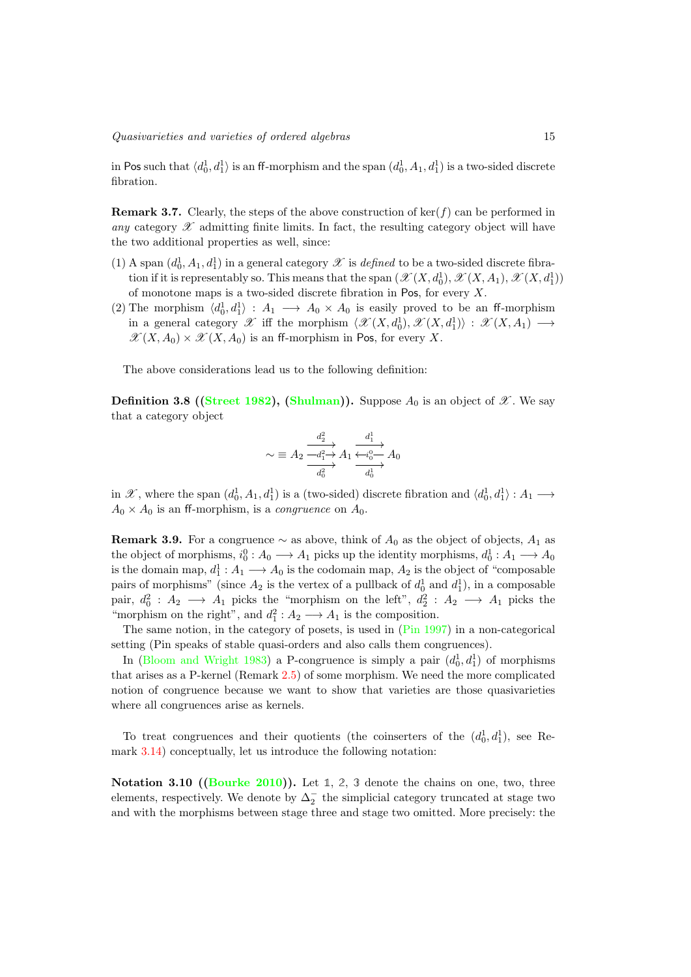in Pos such that  $\langle d_0^1, d_1^1 \rangle$  is an ff-morphism and the span  $(d_0^1, A_1, d_1^1)$  is a two-sided discrete fibration.

<span id="page-14-2"></span>Remark 3.7. Clearly, the steps of the above construction of ker(*f*) can be performed in *any* category  $\mathscr X$  admitting finite limits. In fact, the resulting category object will have the two additional properties as well, since:

- (1) A span  $(d_0^1, A_1, d_1^1)$  in a general category  $\mathscr X$  is *defined* to be a two-sided discrete fibration if it is representably so. This means that the span  $(\mathscr{X}(X, d_0^1), \mathscr{X}(X, A_1), \mathscr{X}(X, d_1^1))$ of monotone maps is a two-sided discrete fibration in Pos, for every *X*.
- (2) The morphism  $\langle d_0^1, d_1^1 \rangle : A_1 \longrightarrow A_0 \times A_0$  is easily proved to be an ff-morphism in a general category  $\mathscr X$  iff the morphism  $\langle \mathscr X(X, d_0^1), \mathscr X(X, d_1^1) \rangle : \mathscr X(X, A_1) \longrightarrow$  $\mathscr{X}(X, A_0) \times \mathscr{X}(X, A_0)$  is an ff-morphism in Pos, for every X.

<span id="page-14-1"></span>The above considerations lead us to the following definition:

**Definition 3.8 ([\(Street 1982\)](#page-41-6), [\(Shulman\)](#page-41-7)).** Suppose  $A_0$  is an object of  $\mathscr{X}$ . We say that a category object

$$
\sim \equiv A_2 \frac{\stackrel{d_2^2}{\longrightarrow} A_1 \stackrel{d_1^1}{\longrightarrow} A_0}{\stackrel{\overbrace{\longrightarrow}_{d_0^2}}{\longrightarrow}} A_0
$$

in *X*, where the span  $(d_0^1, A_1, d_1^1)$  is a (two-sided) discrete fibration and  $\langle d_0^1, d_1^1 \rangle : A_1 \longrightarrow$  $A_0 \times A_0$  is an ff-morphism, is a *congruence* on  $A_0$ .

<span id="page-14-0"></span>**Remark 3.9.** For a congruence  $\sim$  as above, think of  $A_0$  as the object of objects,  $A_1$  as the object of morphisms,  $i_0^0: A_0 \longrightarrow A_1$  picks up the identity morphisms,  $d_0^1: A_1 \longrightarrow A_0$ is the domain map,  $d_1^1: A_1 \longrightarrow A_0$  is the codomain map,  $A_2$  is the object of "composable" pairs of morphisms" (since  $A_2$  is the vertex of a pullback of  $d_0^1$  and  $d_1^1$ ), in a composable pair,  $d_0^2: A_2 \longrightarrow A_1$  picks the "morphism on the left",  $d_2^2: A_2 \longrightarrow A_1$  picks the "morphism on the right", and  $d_1^2: A_2 \longrightarrow A_1$  is the composition.

The same notion, in the category of posets, is used in [\(Pin 1997\)](#page-41-3) in a non-categorical setting (Pin speaks of stable quasi-orders and also calls them congruences).

In [\(Bloom and Wright 1983\)](#page-40-2) a P-congruence is simply a pair  $(d_0^1, d_1^1)$  of morphisms that arises as a P-kernel (Remark [2.5\)](#page-9-2) of some morphism. We need the more complicated notion of congruence because we want to show that varieties are those quasivarieties where all congruences arise as kernels.

To treat congruences and their quotients (the coinserters of the  $(d_0^1, d_1^1)$ , see Remark [3.14\)](#page-15-0) conceptually, let us introduce the following notation:

<span id="page-14-3"></span>Notation 3.10 ([\(Bourke 2010\)](#page-40-7)). Let **1**, **2**, **3** denote the chains on one, two, three elements, respectively. We denote by  $\Delta_2^-$  the simplicial category truncated at stage two and with the morphisms between stage three and stage two omitted. More precisely: the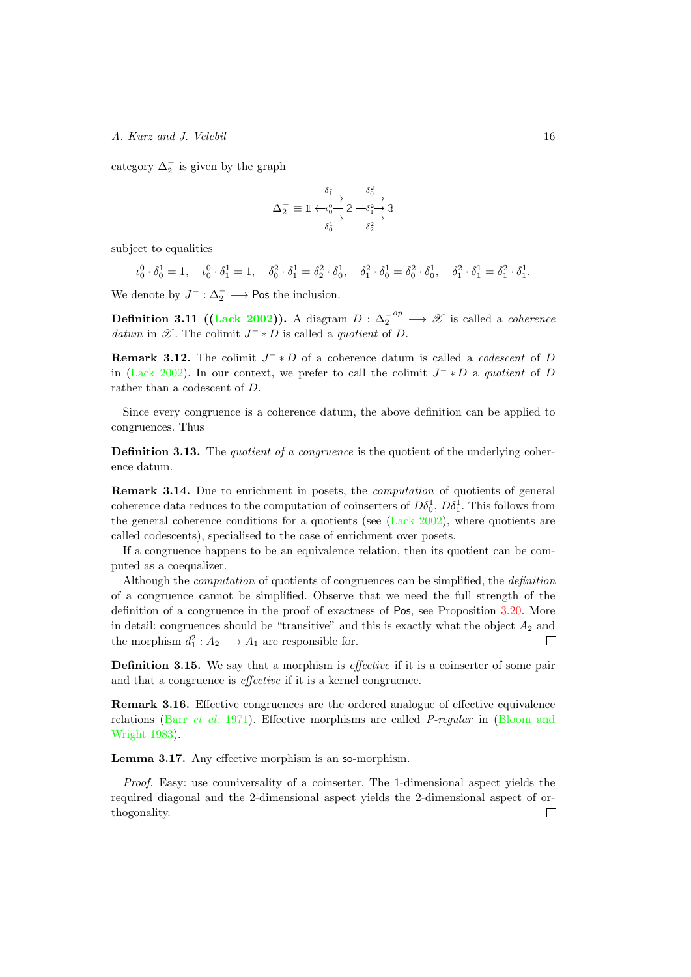category  $\Delta_2^-$  is given by the graph

$$
\Delta_2^- \equiv \mathbb{1} \xrightarrow[\delta_0^1]{\delta_1^1} \mathbb{2} \xrightarrow[\delta_0^2]{\delta_0^2} \mathbb{3}
$$

subject to equalities

$$
\iota_0^0 \cdot \delta_0^1 = 1, \quad \iota_0^0 \cdot \delta_1^1 = 1, \quad \delta_0^2 \cdot \delta_1^1 = \delta_2^2 \cdot \delta_0^1, \quad \delta_1^2 \cdot \delta_0^1 = \delta_0^2 \cdot \delta_0^1, \quad \delta_1^2 \cdot \delta_1^1 = \delta_1^2 \cdot \delta_1^1.
$$

We denote by  $J^- : \Delta_2^- \longrightarrow \text{Pos the inclusion.}$ 

<span id="page-15-2"></span>**Definition 3.11 ([\(Lack 2002\)](#page-41-10)).** A diagram  $D: \Delta_2^{-op} \longrightarrow \mathscr{X}$  is called a *coherence datum* in  $\mathscr{X}$ . The colimit  $J^- * D$  is called a *quotient* of *D*.

**Remark 3.12.** The colimit  $J^-\ast D$  of a coherence datum is called a *codescent* of *D* in [\(Lack 2002\)](#page-41-10). In our context, we prefer to call the colimit  $J^- * D$  a *quotient* of *D* rather than a codescent of *D*.

Since every congruence is a coherence datum, the above definition can be applied to congruences. Thus

Definition 3.13. The *quotient of a congruence* is the quotient of the underlying coherence datum.

<span id="page-15-0"></span>Remark 3.14. Due to enrichment in posets, the *computation* of quotients of general coherence data reduces to the computation of coinserters of  $D\delta_0^1$ ,  $D\delta_1^1$ . This follows from the general coherence conditions for a quotients (see [\(Lack 2002\)](#page-41-10), where quotients are called codescents), specialised to the case of enrichment over posets.

If a congruence happens to be an equivalence relation, then its quotient can be computed as a coequalizer.

Although the *computation* of quotients of congruences can be simplified, the *definition* of a congruence cannot be simplified. Observe that we need the full strength of the definition of a congruence in the proof of exactness of Pos, see Proposition [3.20.](#page-16-0) More in detail: congruences should be "transitive" and this is exactly what the object  $A_2$  and the morphism  $d_1^2: A_2 \longrightarrow A_1$  are responsible for.

Definition 3.15. We say that a morphism is *effective* if it is a coinserter of some pair and that a congruence is *effective* if it is a kernel congruence.

Remark 3.16. Effective congruences are the ordered analogue of effective equivalence relations (Barr *[et al.](#page-40-11)* 1971). Effective morphisms are called *P-regular* in [\(Bloom and](#page-40-2) [Wright 1983\)](#page-40-2).

<span id="page-15-1"></span>**Lemma 3.17.** Any effective morphism is an so-morphism.

*Proof.* Easy: use couniversality of a coinserter. The 1-dimensional aspect yields the required diagonal and the 2-dimensional aspect yields the 2-dimensional aspect of orthogonality. $\Box$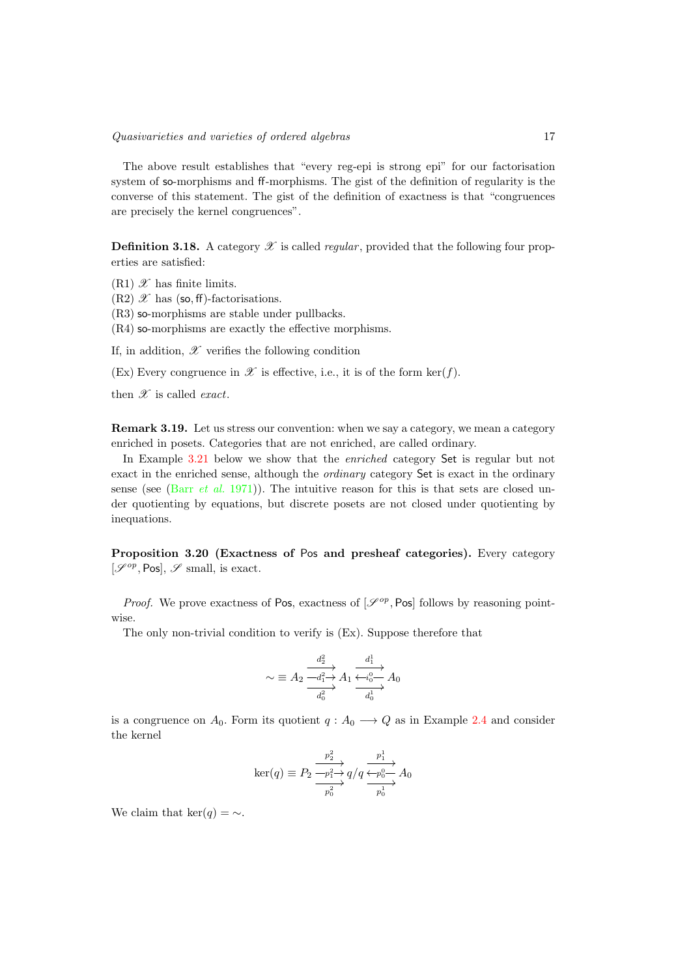The above result establishes that "every reg-epi is strong epi" for our factorisation system of so-morphisms and ff-morphisms. The gist of the definition of regularity is the converse of this statement. The gist of the definition of exactness is that "congruences are precisely the kernel congruences".

**Definition 3.18.** A category  $\mathscr X$  is called *regular*, provided that the following four properties are satisfied:

 $(R1)$   $\mathscr X$  has finite limits.

 $(R2)$   $\mathscr X$  has (so, ff)-factorisations.

(R3) so-morphisms are stable under pullbacks.

 $(R4)$  so-morphisms are exactly the effective morphisms.

If, in addition,  $\mathscr X$  verifies the following condition

(Ex) Every congruence in  $\mathscr X$  is effective, i.e., it is of the form ker(*f*).

then *X* is called *exact*.

Remark 3.19. Let us stress our convention: when we say a category, we mean a category enriched in posets. Categories that are not enriched, are called ordinary.

In Example [3.21](#page-17-0) below we show that the *enriched* category Set is regular but not exact in the enriched sense, although the *ordinary* category Set is exact in the ordinary sense (see (Barr *[et al.](#page-40-11)* 1971)). The intuitive reason for this is that sets are closed under quotienting by equations, but discrete posets are not closed under quotienting by inequations.

<span id="page-16-0"></span>Proposition 3.20 (Exactness of Pos and presheaf categories). Every category  $[\mathscr{S}^{op}, \text{Pos}], \mathscr{S}$  small, is exact.

*Proof.* We prove exactness of Pos, exactness of  $\mathcal{S}^{op}$ , Pos follows by reasoning pointwise.

The only non-trivial condition to verify is (Ex). Suppose therefore that

$$
\sim \equiv A_2 \frac{\stackrel{d_2^2}{\longrightarrow} A_1 \xrightarrow[d_1]{d_1^2} A_0}{\stackrel{d_2^2}{\longrightarrow}} A_2 \xrightarrow[d_0]{d_1^1} A_0
$$

is a congruence on  $A_0$ . Form its quotient  $q: A_0 \longrightarrow Q$  as in Example [2.4](#page-8-0) and consider the kernel

$$
\ker(q) \equiv P_2 \frac{\overrightarrow{p_2} \rightarrow P_1}{\overrightarrow{p_0} \rightarrow Q} q/q \frac{\overrightarrow{p_1} \rightarrow P_0}{\overrightarrow{p_0} \rightarrow Q_0} A_0
$$

We claim that  $\ker(q) = \sim$ .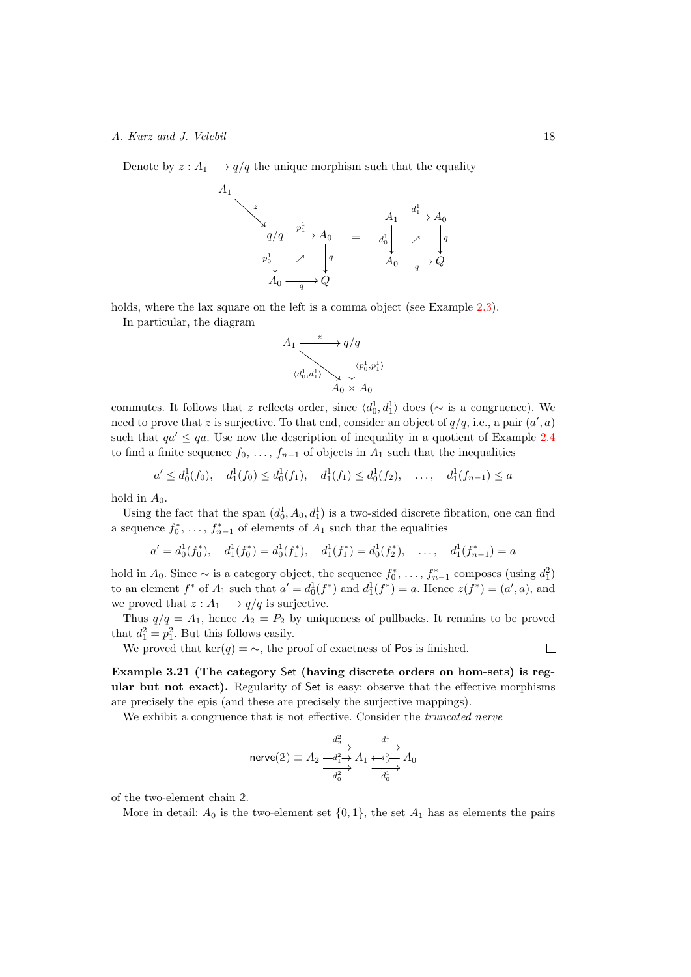Denote by  $z: A_1 \longrightarrow q/q$  the unique morphism such that the equality

$$
\begin{array}{c}\n \begin{array}{ccc}\n z \\
 \searrow & \\
 q/q \xrightarrow{p_1^1} & A_0 \\
 \hline\n p_0^1 & \nearrow & q \\
 A_0 \xrightarrow{q} & Q\n \end{array}\n \end{array}\n \begin{array}{c}\n A_1 \xrightarrow{d_1^1} A_0 \\
 \searrow & \\
 A_0 \xrightarrow{q} Q\n \end{array}
$$

holds, where the lax square on the left is a comma object (see Example [2.3\)](#page-8-1).

*A*<sup>1</sup>

In particular, the diagram

*A*<sup>1</sup>

$$
4_1 \xrightarrow{\begin{array}{c} z \to q/q \\ \downarrow \langle q_0^1, q_1^1 \rangle \\ A_0 \times A_0 \end{array}} \begin{array}{c} q/q \\ \downarrow \langle p_0^1, p_1^1 \rangle \\ \downarrow \end{array}
$$

commutes. It follows that *z* reflects order, since  $\langle d_0^1, d_1^1 \rangle$  does ( $\sim$  is a congruence). We need to prove that *z* is surjective. To that end, consider an object of  $q/q$ , i.e., a pair  $(a', a)$ such that  $qa' \le qa$ . Use now the description of inequality in a quotient of Example [2.4](#page-8-0) to find a finite sequence  $f_0, \ldots, f_{n-1}$  of objects in  $A_1$  such that the inequalities

$$
a' \le d_0^1(f_0), \quad d_1^1(f_0) \le d_0^1(f_1), \quad d_1^1(f_1) \le d_0^1(f_2), \quad \dots, \quad d_1^1(f_{n-1}) \le a
$$

hold in  $A_0$ .

Using the fact that the span  $(d_0^1, A_0, d_1^1)$  is a two-sided discrete fibration, one can find a sequence  $f_0^*, \ldots, f_{n-1}^*$  of elements of  $A_1$  such that the equalities

$$
a' = d_0^1(f_0^*), \quad d_1^1(f_0^*) = d_0^1(f_1^*), \quad d_1^1(f_1^*) = d_0^1(f_2^*), \quad \dots, \quad d_1^1(f_{n-1}^*) = a
$$

hold in  $A_0$ . Since  $\sim$  is a category object, the sequence  $f_0^*, \ldots, f_{n-1}^*$  composes (using  $d_1^2$ ) to an element  $f^*$  of  $A_1$  such that  $a' = d_0^1(f^*)$  and  $d_1^1(f^*) = a$ . Hence  $z(f^*) = (a', a)$ , and we proved that  $z: A_1 \longrightarrow q/q$  is surjective.

Thus  $q/q = A_1$ , hence  $A_2 = P_2$  by uniqueness of pullbacks. It remains to be proved that  $d_1^2 = p_1^2$ . But this follows easily.

We proved that  $\ker(q) = \sim$ , the proof of exactness of Pos is finished.

<span id="page-17-0"></span>Example 3.21 (The category Set (having discrete orders on hom-sets) is regular but not exact). Regularity of Set is easy: observe that the effective morphisms are precisely the epis (and these are precisely the surjective mappings).

We exhibit a congruence that is not effective. Consider the *truncated nerve* 

$$
\text{nerve}(2) \equiv A_2 \xrightarrow[d_1^2]{d_2^2} A_1 \xrightarrow[d_0^2]{d_1^1} A_0
$$

of the two-element chain **2**.

More in detail:  $A_0$  is the two-element set  $\{0,1\}$ , the set  $A_1$  has as elements the pairs

 $\Box$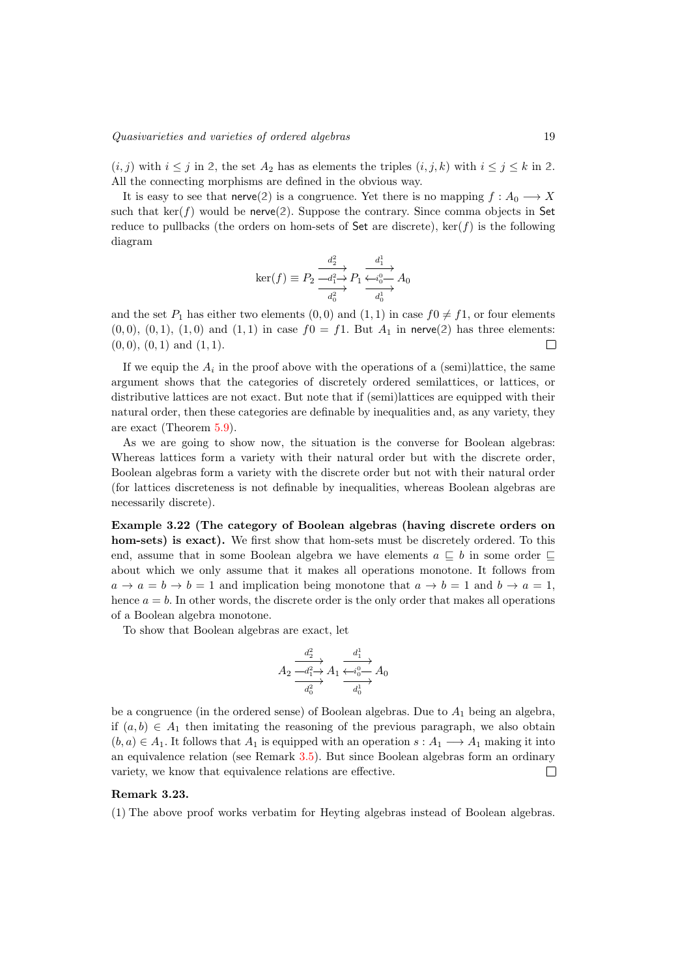$(i, j)$  with  $i \leq j$  in 2, the set  $A_2$  has as elements the triples  $(i, j, k)$  with  $i \leq j \leq k$  in 2. All the connecting morphisms are defined in the obvious way.

It is easy to see that  $\text{neve}(2)$  is a congruence. Yet there is no mapping  $f: A_0 \longrightarrow X$ such that  $\ker(f)$  would be nerve(2). Suppose the contrary. Since comma objects in Set reduce to pullbacks (the orders on hom-sets of  $Set$  are discrete),  $\ker(f)$  is the following diagram

$$
\ker(f) \equiv P_2 \frac{\stackrel{d_2^2}{\longrightarrow} P_1 \xrightarrow{\frac{d_1^1}{\longleftarrow i_0^0 \longrightarrow}} A_0}{\stackrel{d_0^2}{\longrightarrow}}
$$

and the set  $P_1$  has either two elements  $(0,0)$  and  $(1,1)$  in case  $f0 \neq f1$ , or four elements  $(0,0), (0,1), (1,0)$  and  $(1,1)$  in case  $f0 = f1$ . But  $A_1$  in nerve(2) has three elements: (0*,* 0), (0*,* 1) and (1*,* 1).  $\Box$ 

If we equip the  $A_i$  in the proof above with the operations of a (semi)lattice, the same argument shows that the categories of discretely ordered semilattices, or lattices, or distributive lattices are not exact. But note that if (semi)lattices are equipped with their natural order, then these categories are definable by inequalities and, as any variety, they are exact (Theorem [5.9\)](#page-31-0).

As we are going to show now, the situation is the converse for Boolean algebras: Whereas lattices form a variety with their natural order but with the discrete order, Boolean algebras form a variety with the discrete order but not with their natural order (for lattices discreteness is not definable by inequalities, whereas Boolean algebras are necessarily discrete).

Example 3.22 (The category of Boolean algebras (having discrete orders on hom-sets) is exact). We first show that hom-sets must be discretely ordered. To this end, assume that in some Boolean algebra we have elements  $a \subseteq b$  in some order  $\subseteq$ about which we only assume that it makes all operations monotone. It follows from  $a \rightarrow a = b \rightarrow b = 1$  and implication being monotone that  $a \rightarrow b = 1$  and  $b \rightarrow a = 1$ , hence  $a = b$ . In other words, the discrete order is the only order that makes all operations of a Boolean algebra monotone.

To show that Boolean algebras are exact, let

$$
A_2 \xrightarrow[d_1^2]{d_2^2} A_1 \xrightarrow[d_0^2]{d_1^1} A_0
$$
  

$$
\xrightarrow[d_0^2]{d_0^2} A_1 \xrightarrow[d_0^1]{d_0^1} A_0
$$

be a congruence (in the ordered sense) of Boolean algebras. Due to *A*<sup>1</sup> being an algebra, if  $(a, b) \in A_1$  then imitating the reasoning of the previous paragraph, we also obtain  $(b, a) \in A_1$ . It follows that  $A_1$  is equipped with an operation  $s : A_1 \longrightarrow A_1$  making it into an equivalence relation (see Remark [3.5\)](#page-10-1). But since Boolean algebras form an ordinary variety, we know that equivalence relations are effective.  $\Box$ 

#### Remark 3.23.

(1) The above proof works verbatim for Heyting algebras instead of Boolean algebras.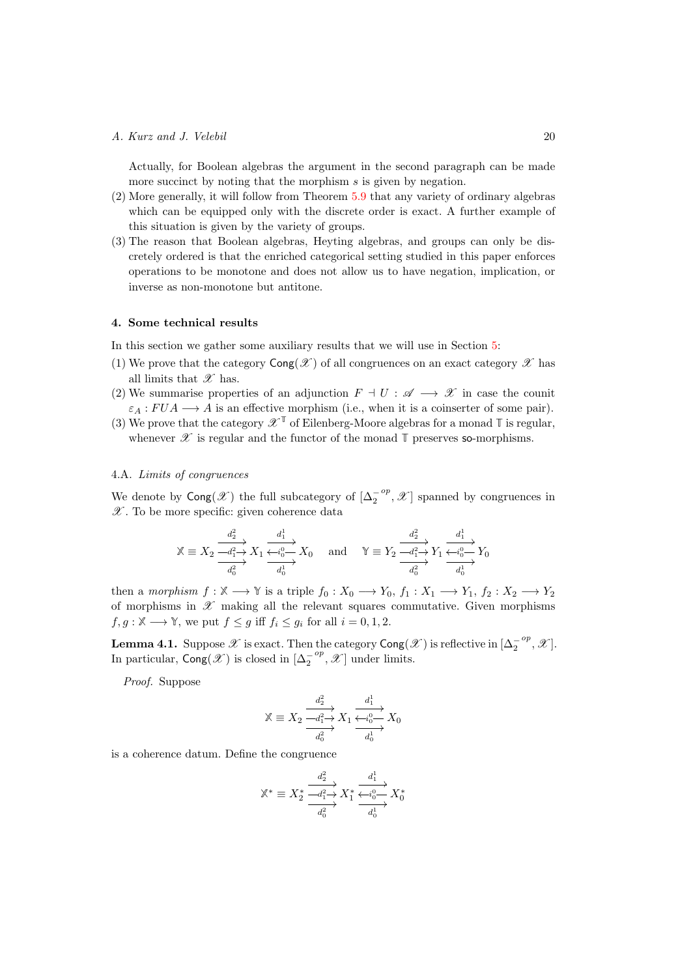Actually, for Boolean algebras the argument in the second paragraph can be made more succinct by noting that the morphism *s* is given by negation.

- (2) More generally, it will follow from Theorem [5.9](#page-31-0) that any variety of ordinary algebras which can be equipped only with the discrete order is exact. A further example of this situation is given by the variety of groups.
- (3) The reason that Boolean algebras, Heyting algebras, and groups can only be discretely ordered is that the enriched categorical setting studied in this paper enforces operations to be monotone and does not allow us to have negation, implication, or inverse as non-monotone but antitone.

## <span id="page-19-0"></span>4. Some technical results

In this section we gather some auxiliary results that we will use in Section [5:](#page-28-0)

- (1) We prove that the category  $\text{Cong}(\mathscr{X})$  of all congruences on an exact category  $\mathscr{X}$  has all limits that *X* has.
- (2) We summarise properties of an adjunction  $F \dashv U : \mathscr{A} \longrightarrow \mathscr{X}$  in case the counit  $\varepsilon_A : FUA \longrightarrow A$  is an effective morphism (i.e., when it is a coinserter of some pair).
- (3) We prove that the category  $\mathscr{X}^{\mathbb{T}}$  of Eilenberg-Moore algebras for a monad  $\mathbb{T}$  is regular, whenever  $\mathscr X$  is regular and the functor of the monad  $\mathbb T$  preserves so-morphisms.

#### 4.A. *Limits of congruences*

We denote by  $\textsf{Cong}(\mathscr{X})$  the full subcategory of  $[\Delta_2^{-op}, \mathscr{X}]$  spanned by congruences in *X* . To be more specific: given coherence data

$$
\mathbb{X}\equiv X_2\xrightarrow[d_1^2]{d_2^2}X_1\xrightarrow[d_0^2]{d_1^1}X_0\quad\text{ and }\quad\mathbb{Y}\equiv Y_2\xrightarrow[d_1^2]{d_2^2}Y_1\xrightarrow[d_0^2]{d_1^1}Y_0
$$

then a *morphism*  $f : \mathbb{X} \longrightarrow \mathbb{Y}$  is a triple  $f_0 : X_0 \longrightarrow Y_0, f_1 : X_1 \longrightarrow Y_1, f_2 : X_2 \longrightarrow Y_2$ of morphisms in  $\mathscr X$  making all the relevant squares commutative. Given morphisms  $f, g: \mathbb{X} \longrightarrow \mathbb{Y}$ , we put  $f \leq g$  iff  $f_i \leq g_i$  for all  $i = 0, 1, 2$ .

<span id="page-19-1"></span>**Lemma 4.1.** Suppose  $\mathscr X$  is exact. Then the category  $\text{Cong}(\mathscr X)$  is reflective in  $[\Delta_2^{-op}, \mathscr X]$ . In particular,  $\text{Cong}(\mathscr{X})$  is closed in  $[\Delta_2^{-op}, \mathscr{X}]$  under limits.

*Proof.* Suppose

$$
\mathbb{X} \equiv X_2 \xrightarrow[d_1^2]{d_2^2} X_1 \xrightarrow[d_1^2]{d_1^1} X_0
$$

$$
\xrightarrow[d_0^2]{d_0^2} X_1 \xrightarrow[d_0^1]{d_0^1} X_0
$$

is a coherence datum. Define the congruence

$$
\mathbb{X}^* \equiv X_2^* \xrightarrow[d_1^2]{d_2^2} X_1^* \xrightarrow[d_0^2]{d_1^1} X_0^*
$$

$$
\xrightarrow[d_0^2]{d_2^2} X_1^* \xrightarrow[d_0^1]{d_2^1} X_0^*
$$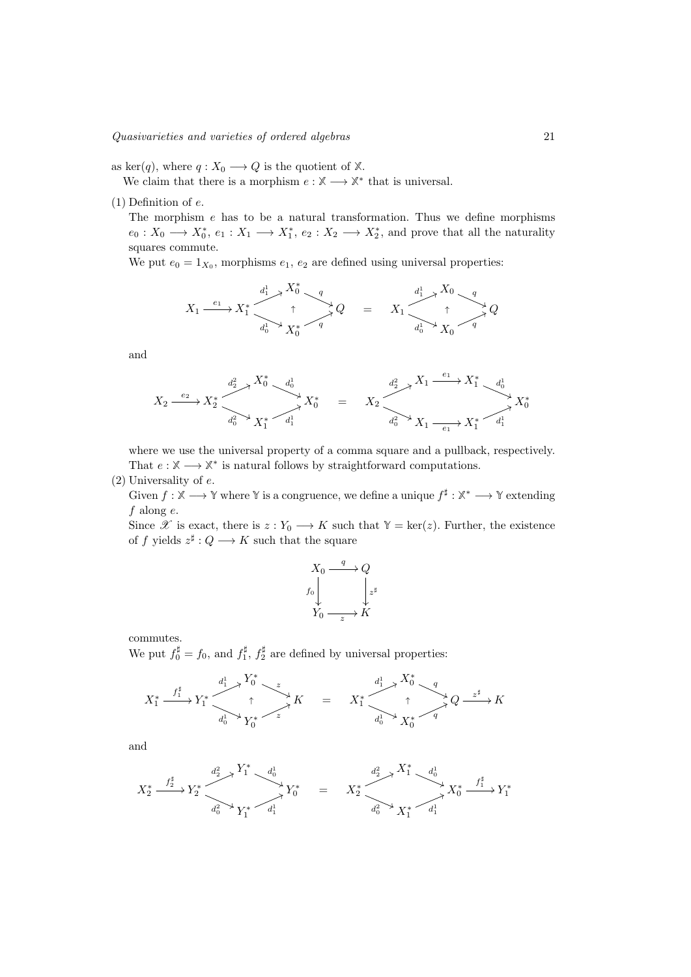as ker(q), where  $q: X_0 \longrightarrow Q$  is the quotient of  $X$ .

We claim that there is a morphism  $e: \mathbb{X} \longrightarrow \mathbb{X}^*$  that is universal.

(1) Definition of *e*.

The morphism *e* has to be a natural transformation. Thus we define morphisms  $e_0: X_0 \longrightarrow X_0^*, e_1: X_1 \longrightarrow X_1^*, e_2: X_2 \longrightarrow X_2^*,$  and prove that all the naturality squares commute.

We put  $e_0 = 1_{X_0}$ , morphisms  $e_1, e_2$  are defined using universal properties:

$$
X_1 \xrightarrow{e_1} X_1^* \xrightarrow{d_1^1} X_0^* \xrightarrow{q} Q \qquad = \qquad X_1 \xrightarrow{d_1^1} X_0 \xrightarrow{q} Q
$$

$$
X_1 \xrightarrow{e_1} X_1^* \xrightarrow{q} Q
$$

and

$$
X_2 \xrightarrow{e_2} X_2^* \xrightarrow{d_2^2} X_1^* \xrightarrow{d_0^1} X_0^* \xrightarrow{d_1^1} X_2^* \xrightarrow{d_2^2} X_1 \xrightarrow{e_1} X_1^* \xrightarrow{d_0^1} X_0^*
$$
  

$$
X_2 \xrightarrow{e_2} X_2^* \xrightarrow{d_0^2} X_1 \xrightarrow{d_0^2} X_1 \xrightarrow{e_1} X_1^* \xrightarrow{d_1^1} X_0^*
$$

where we use the universal property of a comma square and a pullback, respectively. That  $e : \mathbb{X} \longrightarrow \mathbb{X}^*$  is natural follows by straightforward computations.

(2) Universality of *e*.

Given  $f : \mathbb{X} \longrightarrow \mathbb{Y}$  where  $\mathbb{Y}$  is a congruence, we define a unique  $f^{\sharp} : \mathbb{X}^* \longrightarrow \mathbb{Y}$  extending *f* along *e*.

Since *X* is exact, there is  $z: Y_0 \longrightarrow K$  such that  $Y = \text{ker}(z)$ . Further, the existence of *f* yields  $z^{\sharp}: Q \longrightarrow K$  such that the square

$$
X_0 \xrightarrow{q} Q
$$
  

$$
f_0 \downarrow \qquad \qquad \downarrow z^{\sharp}
$$
  

$$
Y_0 \xrightarrow{z} K
$$

commutes. We put  $f_0^{\sharp} = f_0$ , and  $f_1^{\sharp}$ ,  $f_2^{\sharp}$  are defined by universal properties:

$$
X_1^* \xrightarrow{f_1^*} Y_1^* \xrightarrow{d_1^1} Y_0^* \xrightarrow{z} K = X_1^* \xrightarrow{d_1^1} X_0^* Q \xrightarrow{z^{\sharp}} K
$$

and

$$
X_2^* \xrightarrow{f_2^{\sharp}} Y_2^* \xrightarrow{d_2^2} Y_1^* \xrightarrow{d_0^1} Y_0^* = X_2^* \xrightarrow{d_2^2} X_1^* \xrightarrow{d_0^1} X_0^* \xrightarrow{f_1^{\sharp}} Y_1^*
$$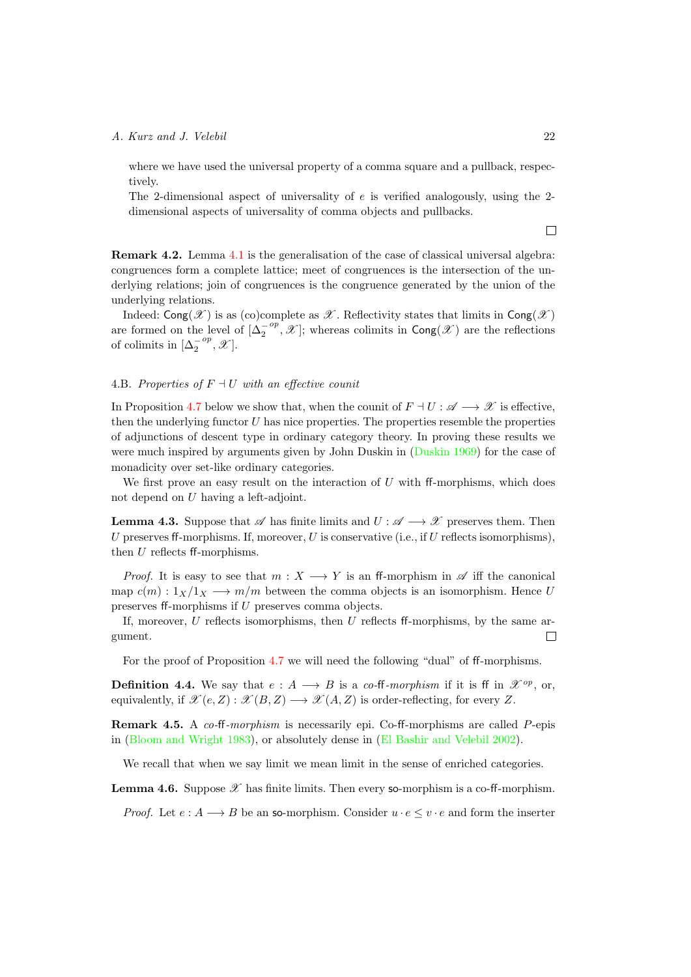where we have used the universal property of a comma square and a pullback, respectively.

The 2-dimensional aspect of universality of *e* is verified analogously, using the 2 dimensional aspects of universality of comma objects and pullbacks.

Remark 4.2. Lemma [4.1](#page-19-1) is the generalisation of the case of classical universal algebra: congruences form a complete lattice; meet of congruences is the intersection of the underlying relations; join of congruences is the congruence generated by the union of the underlying relations.

Indeed:  $\textsf{Cong}(\mathscr{X})$  is as (co)complete as  $\mathscr{X}$ . Reflectivity states that limits in  $\textsf{Cong}(\mathscr{X})$ are formed on the level of  $[\Delta_2^{-op}, \mathscr{X}]$ ; whereas colimits in  $\text{Cong}(\mathscr{X})$  are the reflections of colimits in  $[\Delta_2^{-op}, \mathscr{X}]$ .

#### 4.B. Properties of  $F \dashv U$  with an effective counit

In Proposition [4.7](#page-22-0) below we show that, when the counit of  $F \dashv U : \mathscr{A} \longrightarrow \mathscr{X}$  is effective, then the underlying functor *U* has nice properties. The properties resemble the properties of adjunctions of descent type in ordinary category theory. In proving these results we were much inspired by arguments given by John Duskin in [\(Duskin 1969\)](#page-40-12) for the case of monadicity over set-like ordinary categories.

We first prove an easy result on the interaction of  $U$  with  $ff$ -morphisms, which does not depend on *U* having a left-adjoint.

<span id="page-21-0"></span>**Lemma 4.3.** Suppose that  $\mathscr A$  has finite limits and  $U : \mathscr A \longrightarrow \mathscr X$  preserves them. Then *U* preserves ff-morphisms. If, moreover, *U* is conservative (i.e., if *U* reflects isomorphisms), then  $U$  reflects  $ff$ -morphisms.

*Proof.* It is easy to see that  $m: X \longrightarrow Y$  is an ff-morphism in  $\mathscr A$  iff the canonical map  $c(m): 1_X/1_X \longrightarrow m/m$  between the comma objects is an isomorphism. Hence *U* preserves ff-morphisms if *U* preserves comma objects.

If, moreover,  $U$  reflects isomorphisms, then  $U$  reflects ff-morphisms, by the same ar- $\Box$ gument.

For the proof of Proposition  $4.7$  we will need the following "dual" of ff-morphisms.

**Definition 4.4.** We say that  $e: A \longrightarrow B$  is a *co-***ff**-morphism if it is **ff** in  $\mathcal{X}^{op}$ , or, equivalently, if  $\mathscr{X}(e, Z) : \mathscr{X}(B, Z) \longrightarrow \mathscr{X}(A, Z)$  is order-reflecting, for every Z.

**Remark 4.5.** A *co-*<sup> $f$ </sup>-*morphism* is necessarily epi. Co-<sup> $f$ </sup>-morphisms are called *P*-epis in [\(Bloom and Wright 1983\)](#page-40-2), or absolutely dense in [\(El Bashir and Velebil 2002\)](#page-40-13).

We recall that when we say limit we mean limit in the sense of enriched categories.

<span id="page-21-1"></span>**Lemma 4.6.** Suppose  $\mathscr X$  has finite limits. Then every so-morphism is a co-ff-morphism.

*Proof.* Let  $e : A \longrightarrow B$  be an so-morphism. Consider  $u \cdot e \leq v \cdot e$  and form the inserter

 $\Box$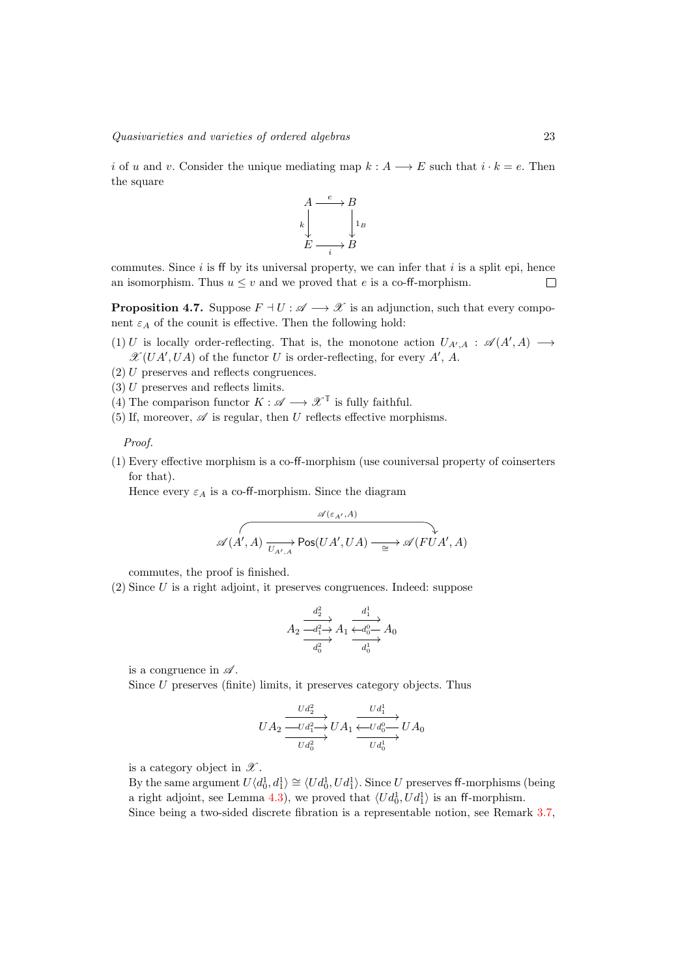*i* of *u* and *v*. Consider the unique mediating map  $k : A \longrightarrow E$  such that  $i \cdot k = e$ . Then the square



commutes. Since  $i$  is ff by its universal property, we can infer that  $i$  is a split epi, hence an isomorphism. Thus  $u \leq v$  and we proved that *e* is a co-ff-morphism.  $\Box$ 

<span id="page-22-0"></span>**Proposition 4.7.** Suppose  $F \dashv U : \mathscr{A} \longrightarrow \mathscr{X}$  is an adjunction, such that every component  $\varepsilon_A$  of the counit is effective. Then the following hold:

- (1) *U* is locally order-reflecting. That is, the monotone action  $U_{A',A}$  :  $\mathscr{A}(A',A) \longrightarrow$  $\mathscr{X}(UA', UA)$  of the functor *U* is order-reflecting, for every *A*<sup> $\prime$ </sup>, *A*.
- (2) *U* preserves and reflects congruences.
- (3) *U* preserves and reflects limits.
- (4) The comparison functor  $K : \mathscr{A} \longrightarrow \mathscr{X}^{\mathbb{T}}$  is fully faithful.
- (5) If, moreover,  $\mathscr A$  is regular, then *U* reflects effective morphisms.

*Proof.*

 $(1)$  Every effective morphism is a co-ff-morphism (use couniversal property of coinserters for that).

Hence every  $\varepsilon_A$  is a co-ff-morphism. Since the diagram

$$
\overbrace{\mathscr{A}(A',A) \xrightarrow[U_{A',A}] \text{Pos}(UA',UA) \xrightarrow[\cong]{}}^{\mathscr{A}(\varepsilon_{A'},A)} \downarrow
$$

commutes, the proof is finished.

(2) Since *U* is a right adjoint, it preserves congruences. Indeed: suppose

$$
A_2 \xrightarrow[d_1^2]{d_2^2} A_1 \xrightarrow[d_0^2]{d_1^1} A_0
$$
  

$$
\xrightarrow[d_0^2]{d_0^2} A_1 \xrightarrow[d_0^1]{d_0^1} A_0
$$

is a congruence in *A* .

Since *U* preserves (finite) limits, it preserves category objects. Thus

$$
UA_2 \xrightarrow{Ud_2^2} UA_1 \xrightarrow{Ud_1^1} UA_0
$$
  

$$
UA_2 \xrightarrow{Ud_1^2} UA_1 \xrightarrow{Ud_0^0} UA_0
$$

is a category object in *X* .

By the same argument  $U\langle d_0^1, d_1^1 \rangle \cong \langle Ud_0^1, Ud_1^1 \rangle$ . Since *U* preserves ff-morphisms (being a right adjoint, see Lemma [4.3\)](#page-21-0), we proved that  $\langle U d_0^1, U d_1^1 \rangle$  is an ff-morphism. Since being a two-sided discrete fibration is a representable notion, see Remark [3.7,](#page-14-2)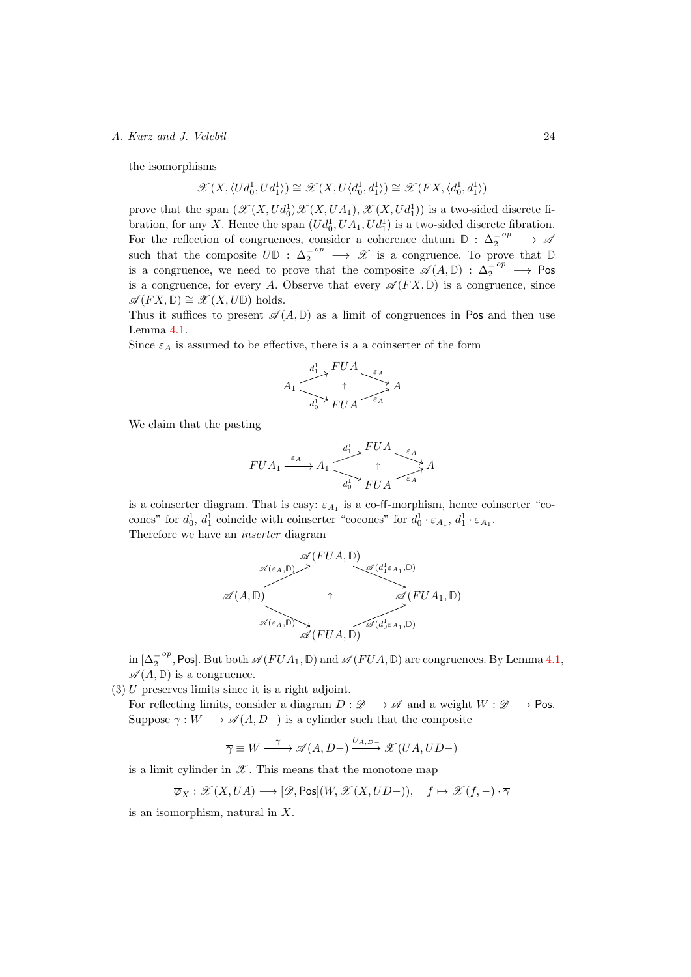the isomorphisms

$$
\mathscr{X}(X, \langle Ud_0^1, Ud_1^1 \rangle) \cong \mathscr{X}(X, U\langle d_0^1, d_1^1 \rangle) \cong \mathscr{X}(FX, \langle d_0^1, d_1^1 \rangle)
$$

prove that the span  $(\mathscr{X}(X, Ud_0^1)\mathscr{X}(X, UA_1), \mathscr{X}(X, Ud_1^1))$  is a two-sided discrete fibration, for any *X*. Hence the span  $(Ud_0^1, UA_1, Ud_1^1)$  is a two-sided discrete fibration. For the reflection of congruences, consider a coherence datum  $\mathbb{D}: \Delta_2^{-op} \longrightarrow \mathscr{A}$ such that the composite  $U\mathbb{D}$  :  $\Delta_2^{-op} \longrightarrow \mathscr{X}$  is a congruence. To prove that  $\mathbb{D}$ is a congruence, we need to prove that the composite  $\mathscr{A}(A,\mathbb{D}) : \Delta_2^{-op} \longrightarrow \text{Pos}$ is a congruence, for every *A*. Observe that every  $\mathscr{A}(FX, \mathbb{D})$  is a congruence, since  $\mathscr{A}(FX, \mathbb{D}) \cong \mathscr{X}(X, U\mathbb{D})$  holds.

Thus it suffices to present  $\mathscr{A}(A,\mathbb{D})$  as a limit of congruences in Pos and then use Lemma [4.1.](#page-19-1)

Since  $\varepsilon_A$  is assumed to be effective, there is a a coinserter of the form

$$
A_1 \xrightarrow{\begin{array}{c} d_1^1 \uparrow \\ f \uparrow \\ d_0^1 \uparrow \\ \hline \end{array}} \begin{array}{c} FUA \longrightarrow \varepsilon_A \\ \uparrow \\ FUA \end{array} A
$$

We claim that the pasting

$$
FUA_1 \xrightarrow{\varepsilon_{A_1}} A_1 \xrightarrow{\begin{array}{c} d_1^1 \nearrow FUA \\ \uparrow \\ d_0^1 \nearrow FUA \end{array}} A
$$

is a coinserter diagram. That is easy:  $\varepsilon_{A_1}$  is a co-ff-morphism, hence coinserter "cocones" for  $d_0^1$ ,  $d_1^1$  coincide with coinserter "cocones" for  $d_0^1 \cdot \varepsilon_{A_1}$ ,  $d_1^1 \cdot \varepsilon_{A_1}$ . Therefore we have an *inserter* diagram

$$
\mathscr{A}(FUA, \mathbb{D})
$$
\n
$$
\mathscr{A}(A, \mathbb{D}) \rightarrow \mathscr{A}(d_1^1 \varepsilon_{A_1}, \mathbb{D})
$$
\n
$$
\mathscr{A}(A, \mathbb{D}) \rightarrow \mathscr{A}(FUA_1, \mathbb{D})
$$
\n
$$
\mathscr{A}(\varepsilon_A, \mathbb{D}) \rightarrow \mathscr{A}(FUA, \mathbb{D})
$$

in  $[\Delta_2^{-op}, \text{Pos}]$ . But both  $\mathscr{A}(FUA_1, \mathbb{D})$  and  $\mathscr{A}(FUA, \mathbb{D})$  are congruences. By Lemma [4.1,](#page-19-1)  $\mathscr{A}(A, \mathbb{D})$  is a congruence.

(3) *U* preserves limits since it is a right adjoint.

For reflecting limits, consider a diagram  $D : \mathcal{D} \longrightarrow \mathcal{A}$  and a weight  $W : \mathcal{D} \longrightarrow \mathsf{Pos}$ . Suppose  $\gamma: W \longrightarrow \mathscr{A}(A, D-)$  is a cylinder such that the composite

$$
\overline{\gamma} \equiv W \xrightarrow{\gamma} \mathscr{A}(A, D-) \xrightarrow{U_{A, D-}} \mathscr{X}(UA, UD-)
$$

is a limit cylinder in  $\mathscr X$ . This means that the monotone map

$$
\overline{\varphi}_X: \mathscr{X}(X, UA) \longrightarrow [\mathscr{D}, \mathsf{Pos}](W, \mathscr{X}(X, UD-)), \quad f \mapsto \mathscr{X}(f, -) \cdot \overline{\gamma}
$$

is an isomorphism, natural in *X*.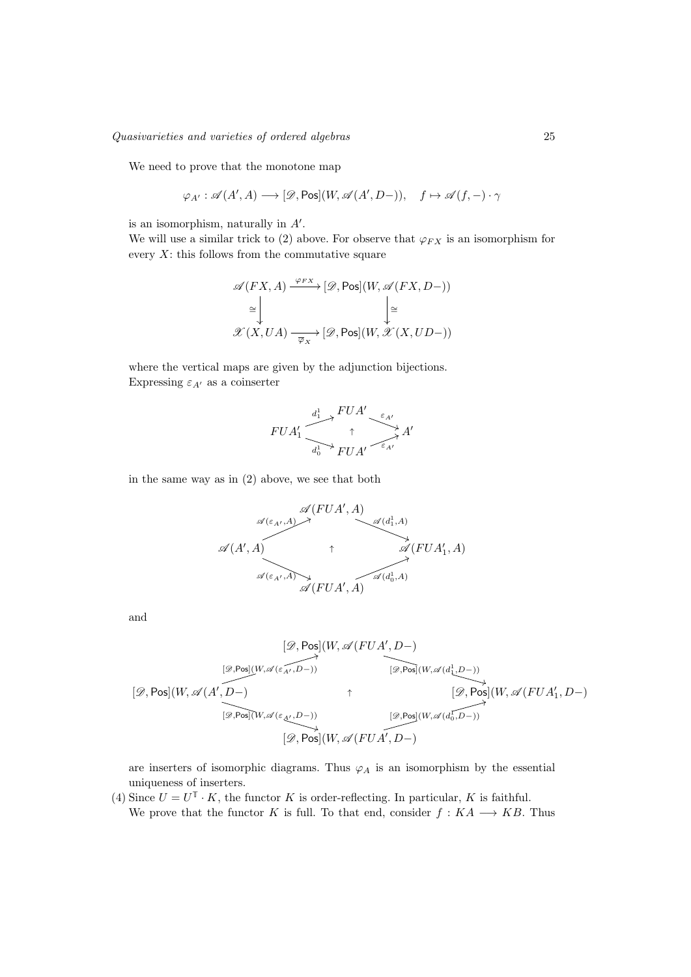We need to prove that the monotone map

$$
\varphi_{A'}: \mathscr{A}(A',A) \longrightarrow [\mathscr{D},\text{Pos}](W,\mathscr{A}(A',D-)), \quad f \mapsto \mathscr{A}(f,-)\cdot \gamma
$$

is an isomorphism, naturally in  $A'$ .

We will use a similar trick to (2) above. For observe that  $\varphi_{FX}$  is an isomorphism for every  $X$ : this follows from the commutative square

$$
\mathscr{A}(FX, A) \xrightarrow{\varphi_{FX}} [\mathscr{D}, \text{Pos}](W, \mathscr{A}(FX, D-))
$$
  
\n
$$
\cong \qquad \qquad \downarrow \cong
$$
  
\n
$$
\mathscr{X}(X, UA) \xrightarrow{\overline{\varphi_X}} [\mathscr{D}, \text{Pos}](W, \mathscr{X}(X, UD-))
$$

where the vertical maps are given by the adjunction bijections. Expressing  $\varepsilon_{A'}$  as a coinserter

$$
FUA_1' \xrightarrow{\begin{array}{c} d_1^1 \nearrow FUA' & \xrightarrow{\varepsilon_{A'}} \\ \uparrow \\ d_0^1 \nearrow FUA' & \xrightarrow{\varepsilon_{A'}} A' \end{array}}
$$

in the same way as in (2) above, we see that both

$$
\mathscr{A}(FUA', A)
$$
  
\n
$$
\mathscr{A}(A', A)
$$
  
\n
$$
\mathscr{A}(A', A)
$$
  
\n
$$
\mathscr{A}(FUA', A)
$$
  
\n
$$
\mathscr{A}(FUA', A)
$$
  
\n
$$
\mathscr{A}(FUA', A)
$$
  
\n
$$
\mathscr{A}(FUA', A)
$$

and

$$
\begin{array}{ccccc} & [\mathscr{D},\text{Pos}](W,\mathscr{A}(FUA',D-)\\ & & & & [\mathscr{D},\text{Pos}](W,\mathscr{A}(c_{A'},D-))\\ & & & & [\mathscr{D},\text{Pos}](W,\mathscr{A}(d_{1}^{1},D-))\\ & & & & & [\mathscr{D},\text{Pos}](W,\mathscr{A}(FUA_{1}^{1},D-))\\ & & & & & [\mathscr{D},\text{Pos}](W,\mathscr{A}(FUA_{1}^{1},D-))\\ & & & & & [\mathscr{D},\text{Pos}](W,\mathscr{A}(FUA',D-))\\ & & & & & [\mathscr{D},\text{Pos}](W,\mathscr{A}(FUA',D-))\\ & & & & & & [\mathscr{D},\text{Pos}](W,\mathscr{A}(FUA',D-))\\ \end{array}
$$

are inserters of isomorphic diagrams. Thus  $\varphi_A$  is an isomorphism by the essential uniqueness of inserters.

(4) Since  $U = U^{\mathbb{T}} \cdot K$ , the functor *K* is order-reflecting. In particular, *K* is faithful. We prove that the functor *K* is full. To that end, consider  $f : KA \longrightarrow KB$ . Thus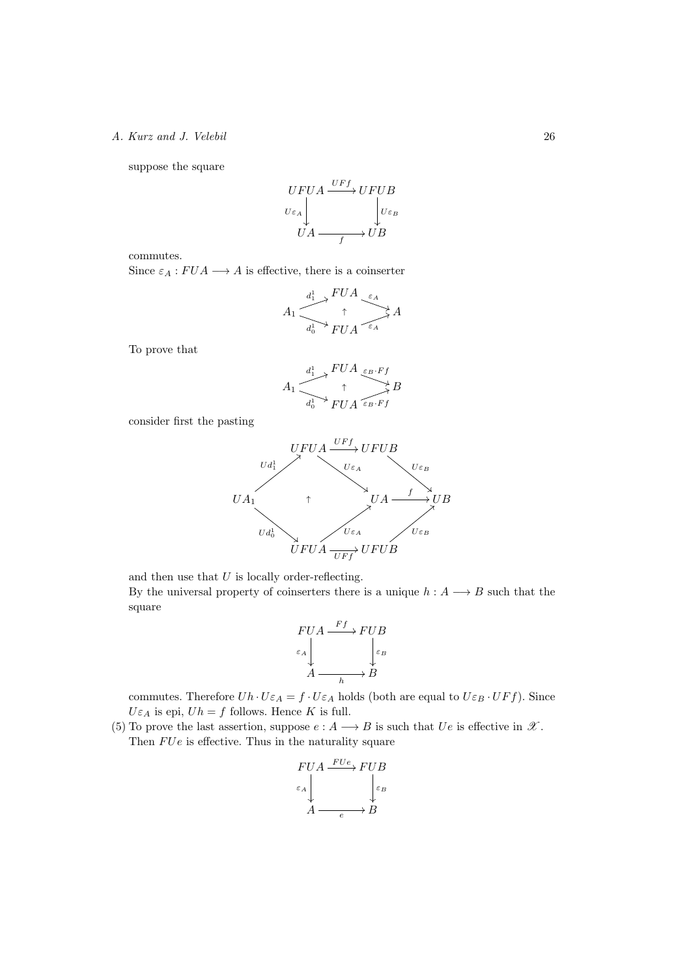suppose the square

$$
\begin{array}{c}\nUFUA \xrightarrow{U F f} U F U B \\
U \varepsilon_A \downarrow \\
UA \xrightarrow{U A} U B\n\end{array}
$$

commutes.

Since  $\varepsilon_A : FUA \longrightarrow A$  is effective, there is a coinserter

$$
A_1 \xrightarrow[d_0]{d_1^1} \bigwedge^{FUA} \bigotimes_{\varepsilon_A} A
$$
  

$$
H_1 \xrightarrow[d_0]{d_1^1} FUA \xrightarrow{\varepsilon_A} A
$$

To prove that

$$
A_1 \xrightarrow{d_1^1} \begin{array}{c} FUA \xrightarrow{\varepsilon_B \cdot Ff} B \\ \uparrow \\ FUA \xrightarrow{\varepsilon_B \cdot Ff} B \end{array}
$$

consider first the pasting



and then use that *U* is locally order-reflecting.

By the universal property of coinserters there is a unique  $h : A \longrightarrow B$  such that the square

$$
\begin{array}{c}\nFUA \xrightarrow{Ff} FUB \\
\epsilon_A \downarrow \\
A \xrightarrow{\epsilon_B} B\n\end{array}
$$

commutes. Therefore  $Uh \cdot U\varepsilon_A = f \cdot U\varepsilon_A$  holds (both are equal to  $U\varepsilon_B \cdot UFf$ ). Since  $U\varepsilon_A$  is epi,  $Uh = f$  follows. Hence *K* is full.

(5) To prove the last assertion, suppose  $e : A \longrightarrow B$  is such that  $Ue$  is effective in  $\mathscr{X}$ . Then  $FUe$  is effective. Thus in the naturality square

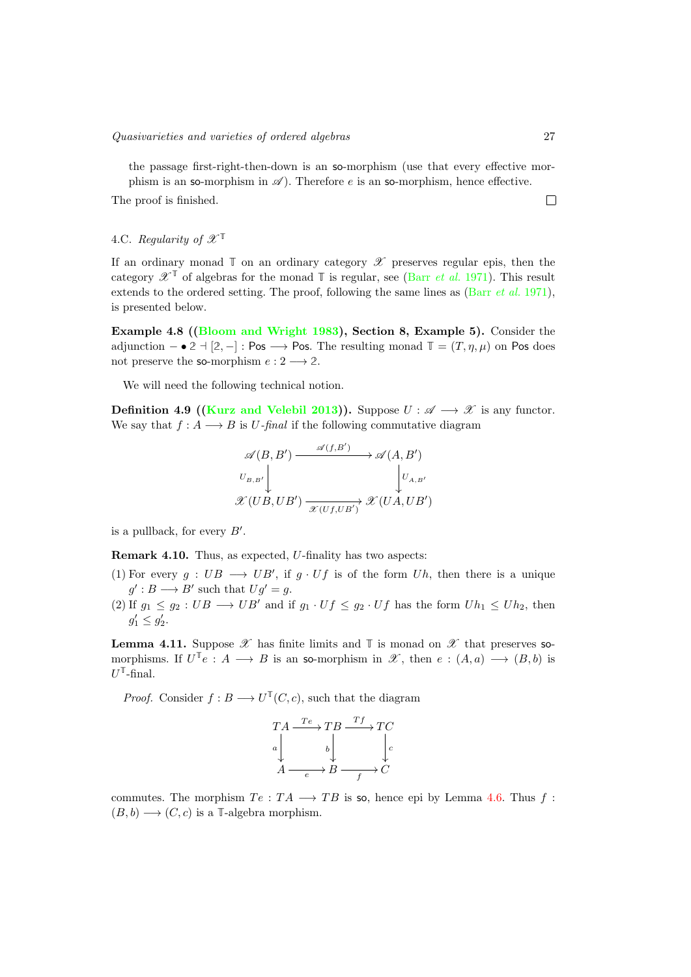the passage first-right-then-down is an so-morphism (use that every effective morphism is an so-morphism in  $\mathscr A$ ). Therefore *e* is an so-morphism, hence effective.

The proof is finished.

4.C. *Regularity of*  $\mathscr{X}^{\mathbb{T}}$ 

If an ordinary monad  $\mathbb{T}$  on an ordinary category  $\mathscr{X}$  preserves regular epis, then the category  $\mathscr{X}^{\mathsf{T}}$  of algebras for the monad  $\mathsf{T}$  is regular, see (Barr *[et al.](#page-40-11)* 1971). This result extends to the ordered setting. The proof, following the same lines as (Barr *[et al.](#page-40-11)* 1971), is presented below.

<span id="page-26-0"></span>Example 4.8 ([\(Bloom and Wright 1983\)](#page-40-2), Section 8, Example 5). Consider the adjunction  $-\bullet 2 + [2, -]:$  Pos  $\longrightarrow$  Pos. The resulting monad  $\mathbb{T} = (T, \eta, \mu)$  on Pos does not preserve the so-morphism  $e: 2 \longrightarrow 2$ .

We will need the following technical notion.

**Definition 4.9 [\(Kurz and Velebil 2013\)](#page-41-12)).** Suppose  $U : \mathscr{A} \longrightarrow \mathscr{X}$  is any functor. We say that  $f : A \longrightarrow B$  is *U*-final if the following commutative diagram

$$
\mathscr{A}(B, B') \xrightarrow{\mathscr{A}(f, B')} \mathscr{A}(A, B')
$$
\n
$$
\begin{array}{c}\nU_{B, B'} \downarrow \downarrow \qquad \qquad \downarrow \mathcal{U}_{A, B'} \\
\mathscr{X}(UB, UB') \xrightarrow{\mathscr{X}(Uf, UB')} \mathscr{X}(UA, UB')\n\end{array}
$$

is a pullback, for every  $B'$ .

Remark 4.10. Thus, as expected, *U*-finality has two aspects:

- (1) For every  $g: UB \longrightarrow UB'$ , if  $g \cdot Uf$  is of the form  $Uh$ , then there is a unique  $g' : B \longrightarrow B'$  such that  $Ug' = g$ .
- $(2)$  If  $g_1 \leq g_2 : UB \longrightarrow UB'$  and if  $g_1 \cdot Uf \leq g_2 \cdot Uf$  has the form  $Uh_1 \leq Uh_2$ , then  $g'_1 \leq g'_2.$

**Lemma 4.11.** Suppose  $\mathscr X$  has finite limits and  $\mathbb T$  is monad on  $\mathscr X$  that preserves somorphisms. If  $U^{\mathbb{T}}e : A \longrightarrow B$  is an so-morphism in  $\mathscr{X}$ , then  $e : (A,a) \longrightarrow (B,b)$  is  $U^{\mathbb{T}}$ -final.

*Proof.* Consider  $f : B \longrightarrow U^{\mathbb{T}}(C, c)$ , such that the diagram

$$
TA \xrightarrow{Te} TB \xrightarrow{Tf} TC
$$
  
\n
$$
a \downarrow \qquad b \downarrow \qquad \qquad c
$$
  
\n
$$
A \xrightarrow{e} B \xrightarrow{f} C
$$

commutes. The morphism  $Te: TA \longrightarrow TB$  is so, hence epi by Lemma [4.6.](#page-21-1) Thus f:  $(B, b) \longrightarrow (C, c)$  is a **T**-algebra morphism.

 $\Box$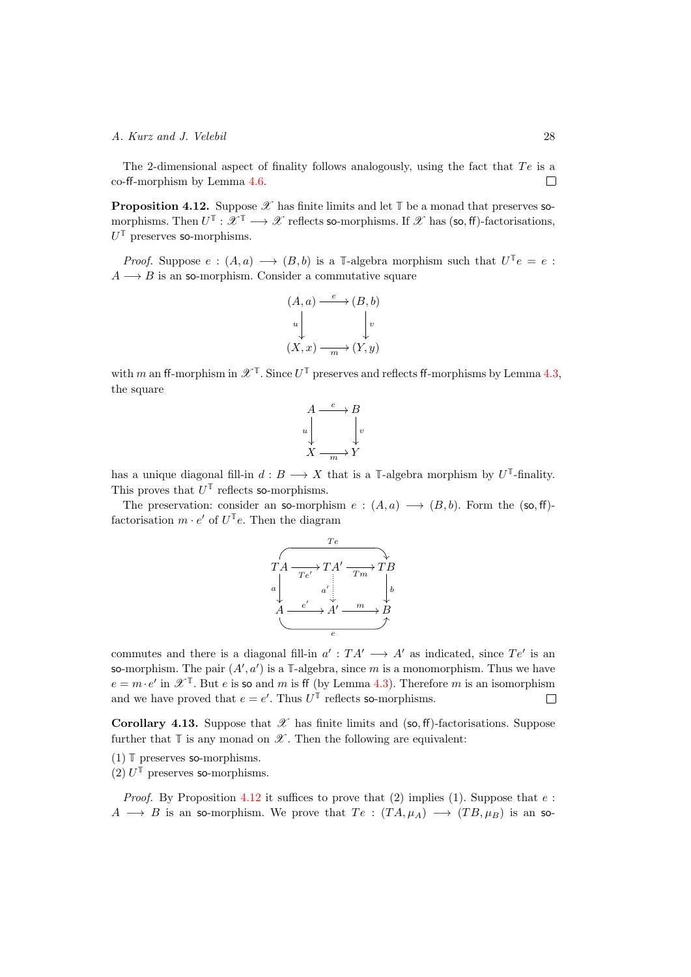The 2-dimensional aspect of finality follows analogously, using the fact that *T e* is a  $co$ -ff-morphism by Lemma  $4.6$ .  $\Box$ 

<span id="page-27-0"></span>**Proposition 4.12.** Suppose  $\mathscr X$  has finite limits and let  $\mathbb T$  be a monad that preserves somorphisms. Then  $U^{\mathbb{T}} : \mathscr{X}^{\mathbb{T}} \longrightarrow \mathscr{X}$  reflects so-morphisms. If  $\mathscr{X}$  has (so, ff)-factorisations, *U***<sup>T</sup>** preserves so-morphisms.

*Proof.* Suppose  $e : (A, a) \longrightarrow (B, b)$  is a **T**-algebra morphism such that  $U^{\mathbb{T}}e = e$ :  $A \longrightarrow B$  is an so-morphism. Consider a commutative square

$$
(A, a) \xrightarrow{e} (B, b)
$$
  
\n
$$
\downarrow \qquad \qquad \downarrow \qquad \downarrow \qquad \downarrow
$$
  
\n
$$
(X, x) \xrightarrow{m} (Y, y)
$$

with *m* an ff-morphism in  $\mathscr{X}^{\mathbb{T}}$ . Since  $U^{\mathbb{T}}$  preserves and reflects ff-morphisms by Lemma [4.3,](#page-21-0) the square



has a unique diagonal fill-in  $d : B \longrightarrow X$  that is a **T**-algebra morphism by  $U^{\mathbb{T}}$ -finality. This proves that  $U^{\mathbb{T}}$  reflects so-morphisms.

The preservation: consider an so-morphism  $e : (A, a) \longrightarrow (B, b)$ . Form the (so, ff)factorisation  $m \cdot e'$  of  $U^{\mathbb{T}}e$ . Then the diagram



commutes and there is a diagonal fill-in  $a' : T A' \longrightarrow A'$  as indicated, since  $T e'$  is an so-morphism. The pair  $(A', a')$  is a  $\mathbb{T}$ -algebra, since *m* is a monomorphism. Thus we have  $e = m \cdot e'$  in  $\mathscr{X}^{\mathbb{T}}$ . But *e* is so and *m* is ff (by Lemma [4.3\)](#page-21-0). Therefore *m* is an isomorphism and we have proved that  $e = e'$ . Thus  $U^{\mathbb{T}}$  reflects so-morphisms. and we have proved that  $e = e'$ . Thus  $U^{\mathbb{T}}$  reflects so-morphisms.

<span id="page-27-1"></span>Corollary 4.13. Suppose that  $\mathscr X$  has finite limits and (so, ff)-factorisations. Suppose further that  $\mathbb T$  is any monad on  $\mathscr X$ . Then the following are equivalent:

(1) **T** preserves so-morphisms.

 $(2)$   $U^{\mathbb{T}}$  preserves so-morphisms.

*Proof.* By Proposition [4.12](#page-27-0) it suffices to prove that (2) implies (1). Suppose that  $e$ :  $A \longrightarrow B$  is an so-morphism. We prove that  $Te : (TA, \mu_A) \longrightarrow (TB, \mu_B)$  is an so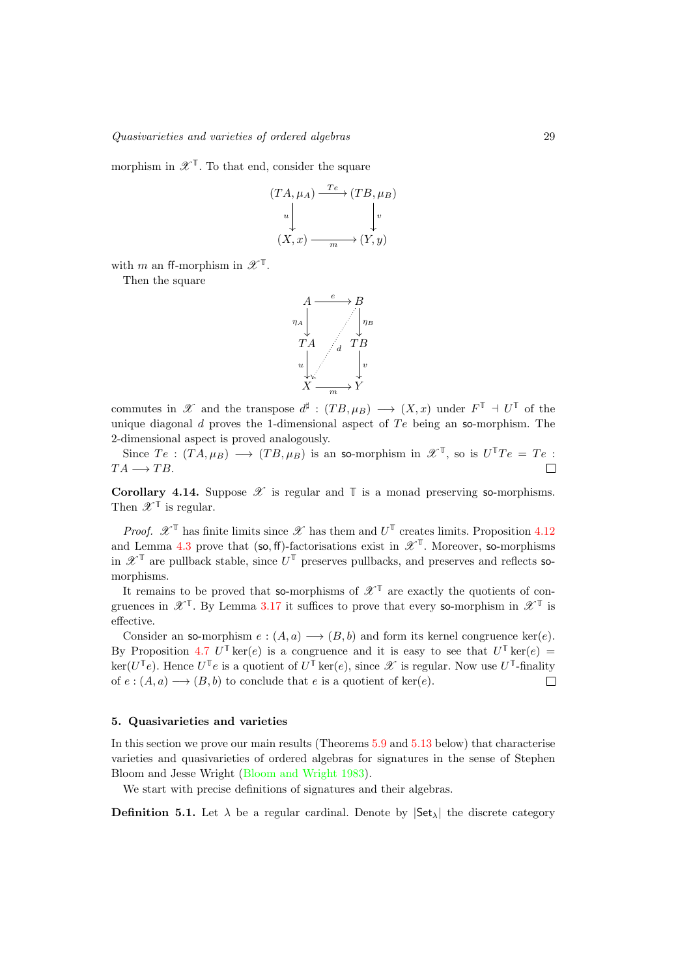morphism in  $\mathscr{X}^{\mathbb{T}}$ . To that end, consider the square

$$
(TA, \mu_A) \xrightarrow{Te} (TB, \mu_B)
$$
  
\n
$$
\downarrow \qquad \qquad \downarrow \qquad \downarrow \qquad \downarrow \qquad \downarrow \qquad \downarrow \qquad \downarrow \qquad \downarrow
$$
  
\n
$$
(X, x) \xrightarrow{m} (Y, y)
$$

with *m* an ff-morphism in  $\mathscr{X}^{\mathbb{T}}$ .

Then the square



commutes in  $\mathscr X$  and the transpose  $d^{\sharp}$  :  $(TB,\mu_B) \longrightarrow (X,x)$  under  $F^{\mathbb T} \dashv U^{\mathbb T}$  of the unique diagonal *d* proves the 1-dimensional aspect of *T e* being an so-morphism. The 2-dimensional aspect is proved analogously.

Since  $Te : (TA, \mu_B) \longrightarrow (TB, \mu_B)$  is an so-morphism in  $\mathscr{X}^{\mathbb{T}}$ , so is  $U^{\mathbb{T}}Te = Te : A \longrightarrow TB$ .  $TA \longrightarrow TB$ .

<span id="page-28-1"></span>**Corollary 4.14.** Suppose  $\mathscr X$  is regular and  $\mathbb T$  is a monad preserving so-morphisms. Then  $\mathscr{X}^{\mathbb{T}}$  is regular.

*Proof.*  $\mathscr{X}^{\mathsf{T}}$  has finite limits since  $\mathscr{X}$  has them and  $U^{\mathsf{T}}$  creates limits. Proposition [4.12](#page-27-0) and Lemma [4.3](#page-21-0) prove that (so, ff)-factorisations exist in  $\mathscr{X}^{\mathbb{T}}$ . Moreover, so-morphisms in  $\mathscr{X}^{\mathbb{T}}$  are pullback stable, since  $U^{\mathbb{T}}$  preserves pullbacks, and preserves and reflects somorphisms.

It remains to be proved that so-morphisms of  $\mathscr{X}^{\mathbb{T}}$  are exactly the quotients of congruences in  $\mathscr{X}^{\mathbb{T}}$ . By Lemma [3.17](#page-15-1) it suffices to prove that every so-morphism in  $\mathscr{X}^{\mathbb{T}}$  is effective.

Consider an so-morphism  $e : (A, a) \longrightarrow (B, b)$  and form its kernel congruence ker(*e*). By Proposition [4.7](#page-22-0)  $U^{\mathbb{T}}$  ker(*e*) is a congruence and it is easy to see that  $U^{\mathbb{T}}$  ker(*e*) =  $\ker(U^{\mathbb{T}}e)$ . Hence  $U^{\mathbb{T}}e$  is a quotient of  $U^{\mathbb{T}}\ker(e)$ , since  $\mathscr X$  is regular. Now use  $U^{\mathbb{T}}$ -finality of  $e : (A, a) \longrightarrow (B, b)$  to conclude that  $e$  is a quotient of ker( $e$ ).  $\Box$ 

#### <span id="page-28-0"></span>5. Quasivarieties and varieties

In this section we prove our main results (Theorems [5.9](#page-31-0) and [5.13](#page-34-0) below) that characterise varieties and quasivarieties of ordered algebras for signatures in the sense of Stephen Bloom and Jesse Wright [\(Bloom and Wright 1983\)](#page-40-2).

We start with precise definitions of signatures and their algebras.

**Definition 5.1.** Let  $\lambda$  be a regular cardinal. Denote by  $|\mathsf{Set}_{\lambda}|$  the discrete category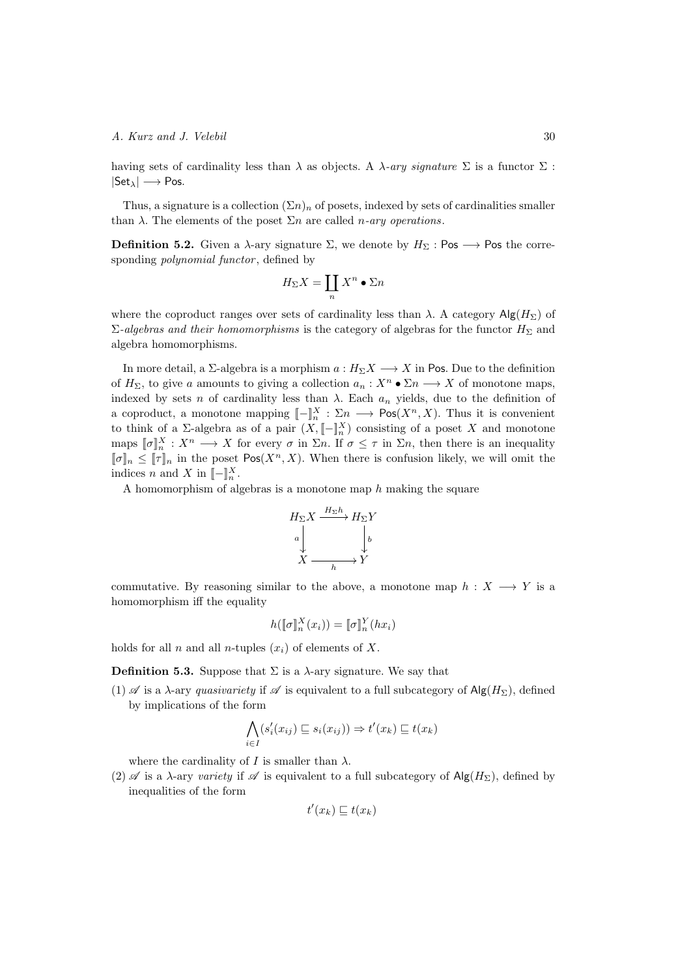having sets of cardinality less than  $\lambda$  as objects. A  $\lambda$ -ary signature  $\Sigma$  is a functor  $\Sigma$ :  $|Set_{\lambda}| \longrightarrow Pos.$ 

Thus, a signature is a collection  $(\Sigma n)_n$  of posets, indexed by sets of cardinalities smaller than  $\lambda$ . The elements of the poset  $\Sigma n$  are called *n-ary operations*.

<span id="page-29-0"></span>**Definition 5.2.** Given a  $\lambda$ -ary signature  $\Sigma$ , we denote by  $H_{\Sigma}$ : Pos  $\longrightarrow$  Pos the corresponding *polynomial functor* , defined by

$$
H_{\Sigma}X = \coprod_{n} X^{n} \bullet \Sigma n
$$

where the coproduct ranges over sets of cardinality less than  $\lambda$ . A category  $\text{Alg}(H_{\Sigma})$  of  $\Sigma$ -algebras and their homomorphisms is the category of algebras for the functor  $H_{\Sigma}$  and algebra homomorphisms.

In more detail, a  $\Sigma$ -algebra is a morphism  $a: H_{\Sigma}X \longrightarrow X$  in Pos. Due to the definition of  $H_{\Sigma}$ , to give *a* amounts to giving a collection  $a_n : X^n \bullet \Sigma n \longrightarrow X$  of monotone maps, indexed by sets *n* of cardinality less than  $\lambda$ . Each  $a_n$  yields, due to the definition of a coproduct, a monotone mapping  $[-]_n^X : \Sigma_n \longrightarrow \text{Pos}(X^n, X)$ . Thus it is convenient to think of a  $\Sigma$ -algebra as of a pair  $(X, \llbracket - \rrbracket_{n}^{X})$  consisting of a poset X and monotone maps  $[\![\sigma]\!]_n^X : X^n \longrightarrow X$  for every  $\sigma$  in  $\Sigma_n$ . If  $\sigma \leq \tau$  in  $\Sigma_n$ , then there is an inequality  $[\![\sigma]\!]_n \leq [\![\tau]\!]_n$  in the poset Pos( $X^n, X$ ). When there is confusion likely, we will omit the indices *n* and *X* in  $[-]_n^X$ .

A homomorphism of algebras is a monotone map *h* making the square



commutative. By reasoning similar to the above, a monotone map  $h: X \longrightarrow Y$  is a homomorphism iff the equality

$$
h(\llbracket \sigma \rrbracket_n^X(x_i)) = \llbracket \sigma \rrbracket_n^Y(hx_i)
$$

holds for all *n* and all *n*-tuples  $(x_i)$  of elements of X.

**Definition 5.3.** Suppose that  $\Sigma$  is a  $\lambda$ -ary signature. We say that

 $(1)$  *A* is a  $\lambda$ -ary *quasivariety* if  $\mathscr A$  is equivalent to a full subcategory of Alg( $H_{\Sigma}$ ), defined by implications of the form

$$
\bigwedge_{i \in I} (s_i'(x_{ij}) \sqsubseteq s_i(x_{ij})) \Rightarrow t'(x_k) \sqsubseteq t(x_k)
$$

where the cardinality of  $I$  is smaller than  $\lambda$ .

(2)  $\mathscr A$  is a  $\lambda$ -ary *variety* if  $\mathscr A$  is equivalent to a full subcategory of  $\mathsf{Alg}(H_\Sigma)$ , defined by inequalities of the form

$$
t'(x_k) \sqsubseteq t(x_k)
$$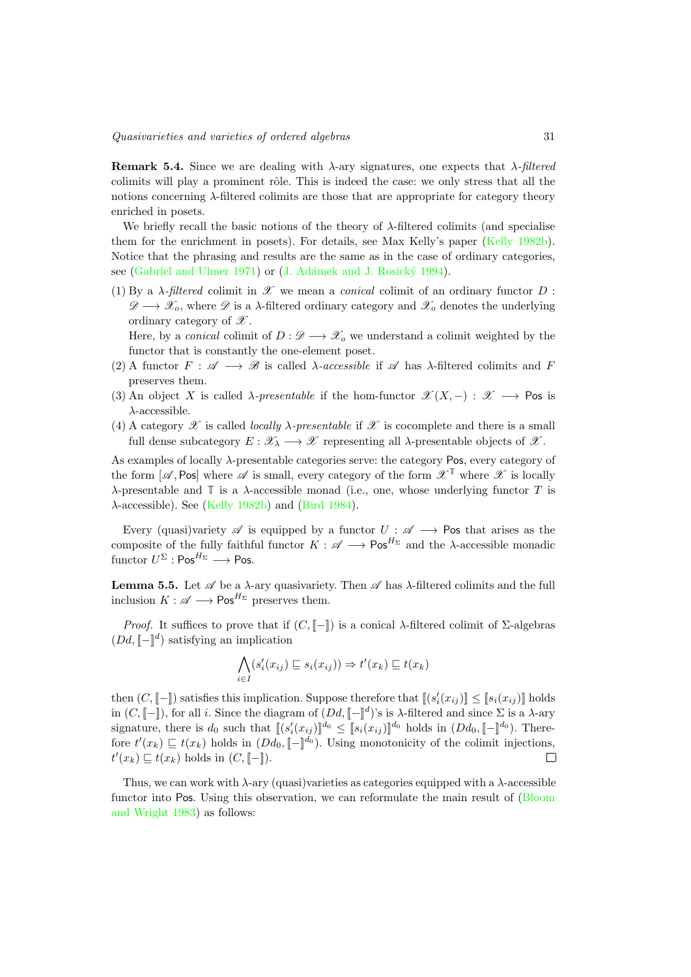**Remark 5.4.** Since we are dealing with  $\lambda$ -ary signatures, one expects that  $\lambda$ -filtered colimits will play a prominent rôle. This is indeed the case: we only stress that all the notions concerning  $\lambda$ -filtered colimits are those that are appropriate for category theory enriched in posets.

We briefly recall the basic notions of the theory of  $\lambda$ -filtered colimits (and specialise them for the enrichment in posets). For details, see Max Kelly's paper [\(Kelly 1982b\)](#page-40-10). Notice that the phrasing and results are the same as in the case of ordinary categories, see [\(Gabriel and Ulmer 1971\)](#page-40-14) or (J. Adámek and J. Rosický 1994).

(1) By a  $\lambda$ -filtered colimit in  $\mathscr X$  we mean a *conical* colimit of an ordinary functor  $D$ :  $\mathscr{D} \longrightarrow \mathscr{X}_o$ , where  $\mathscr{D}$  is a  $\lambda$ -filtered ordinary category and  $\mathscr{X}_o$  denotes the underlying ordinary category of *X* .

Here, by a *conical* colimit of  $D : \mathscr{D} \longrightarrow \mathscr{X}_o$  we understand a colimit weighted by the functor that is constantly the one-element poset.

- (2) A functor  $F : \mathscr{A} \longrightarrow \mathscr{B}$  is called  $\lambda$ -accessible if  $\mathscr{A}$  has  $\lambda$ -filtered colimits and F preserves them.
- (3) An object *X* is called  $\lambda$ -presentable if the hom-functor  $\mathscr{X}(X, -) : \mathscr{X} \longrightarrow \mathsf{Pos}$  is  $\lambda$ -accessible.
- (4) A category  $\mathscr X$  is called *locally*  $\lambda$ -presentable if  $\mathscr X$  is cocomplete and there is a small full dense subcategory  $E: \mathscr{X}_{\lambda} \longrightarrow \mathscr{X}$  representing all  $\lambda$ -presentable objects of  $\mathscr{X}$ .

As examples of locally  $\lambda$ -presentable categories serve: the category Pos, every category of the form  $[\mathscr{A}, \text{Pos}]$  where  $\mathscr{A}$  is small, every category of the form  $\mathscr{X}^T$  where  $\mathscr{X}$  is locally  $\lambda$ -presentable and  $\mathbb T$  is a  $\lambda$ -accessible monad (i.e., one, whose underlying functor *T* is  $\lambda$ -accessible). See [\(Kelly 1982b\)](#page-40-10) and [\(Bird 1984\)](#page-40-16).

Every (quasi)variety  $\mathscr A$  is equipped by a functor  $U : \mathscr A \longrightarrow \mathsf{Pos}$  that arises as the composite of the fully faithful functor  $K : \mathscr{A} \longrightarrow \mathsf{Pos}^{H_{\Sigma}}$  and the  $\lambda$ -accessible monadic functor  $U^{\Sigma}$  : Pos<sup> $H_{\Sigma} \longrightarrow$  Pos.</sup>

**Lemma 5.5.** Let  $\mathscr A$  be a  $\lambda$ -ary quasivariety. Then  $\mathscr A$  has  $\lambda$ -filtered colimits and the full inclusion  $K : \mathscr{A} \longrightarrow \mathsf{Pos}^{H_{\Sigma}}$  preserves them.

*Proof.* It suffices to prove that if  $(C, \llbracket - \rrbracket)$  is a conical  $\lambda$ -filtered colimit of  $\Sigma$ -algebras  $(Dd, \llbracket - \rrbracket^d)$  satisfying an implication

$$
\bigwedge_{i \in I} (s_i'(x_{ij}) \sqsubseteq s_i(x_{ij})) \Rightarrow t'(x_k) \sqsubseteq t(x_k)
$$

then  $(C, \llbracket - \rrbracket)$  satisfies this implication. Suppose therefore that  $\llbracket (s_i'(x_{ij}) \rrbracket \leq \llbracket s_i(x_{ij}) \rrbracket$  holds in  $(C, [-])$ , for all *i*. Since the diagram of  $(Dd, [-]^d)$ 's is  $\lambda$ -filtered and since  $\Sigma$  is a  $\lambda$ -ary signature, there is  $d_0$  such that  $[(s'_i(x_{ij})]^{d_0} \leq [s_i(x_{ij})]^{d_0}$  holds in  $(Dd_0, [[-]^{d_0})$ . Therefore  $t'(x_k) \sqsubseteq t(x_k)$  holds in  $(Dd_0, \llbracket - \rrbracket^{d_0})$ . Using monotonicity of the colimit injections,  $t'(x_k) \sqsubseteq t(x_k)$  holds in  $(C, [\![-]\!])$ .

Thus, we can work with  $\lambda$ -ary (quasi)varieties as categories equipped with a  $\lambda$ -accessible functor into Pos. Using this observation, we can reformulate the main result of [\(Bloom](#page-40-2) [and Wright 1983\)](#page-40-2) as follows: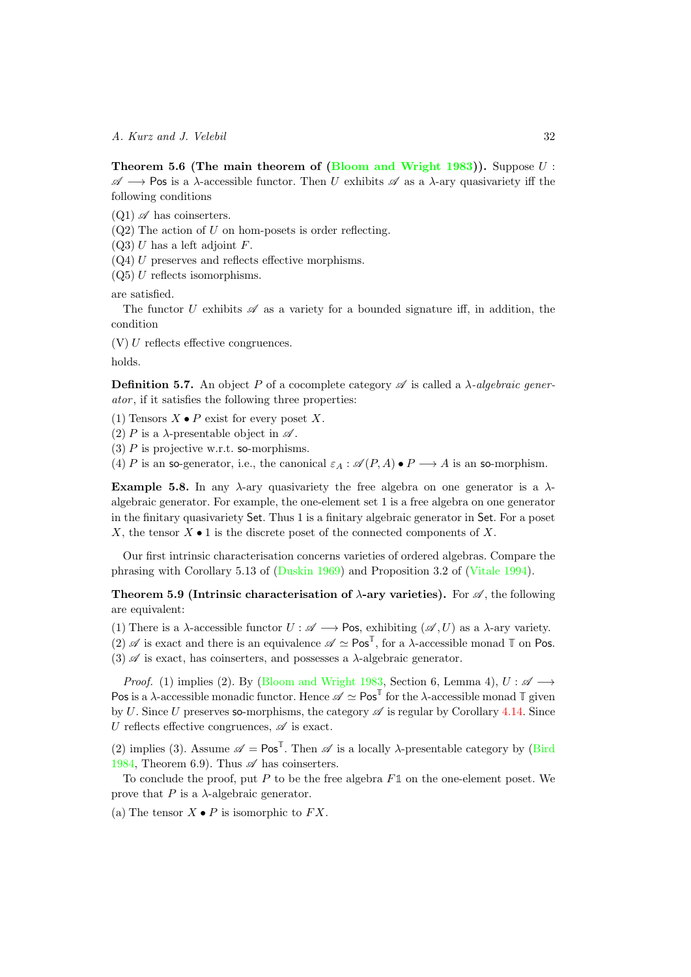Theorem 5.6 (The main theorem of [\(Bloom and Wright 1983\)](#page-40-2)). Suppose *U* :  $\mathscr{A} \longrightarrow$  Pos is a  $\lambda$ -accessible functor. Then *U* exhibits  $\mathscr{A}$  as a  $\lambda$ -ary quasivariety iff the following conditions

 $(Q1)$   $\mathscr A$  has coinserters.

(Q2) The action of *U* on hom-posets is order reflecting.

(Q3) *U* has a left adjoint *F*.

 $(Q4)$  *U* preserves and reflects effective morphisms.

(Q5) *U* reflects isomorphisms.

are satisfied.

The functor *U* exhibits  $\mathscr A$  as a variety for a bounded signature iff, in addition, the condition

 $(V) U$  reflects effective congruences.

holds.

**Definition 5.7.** An object P of a cocomplete category  $\mathscr A$  is called a  $\lambda$ -algebraic gener*ator* , if it satisfies the following three properties:

(1) Tensors  $X \bullet P$  exist for every poset  $X$ .

(2) *P* is a  $\lambda$ -presentable object in  $\mathscr A$ .

(3) *P* is projective w.r.t. so-morphisms.

(4) *P* is an so-generator, i.e., the canonical  $\varepsilon_A : \mathcal{A}(P,A) \bullet P \longrightarrow A$  is an so-morphism.

**Example 5.8.** In any  $\lambda$ -ary quasivariety the free algebra on one generator is a  $\lambda$ algebraic generator. For example, the one-element set 1 is a free algebra on one generator in the finitary quasivariety Set. Thus 1 is a finitary algebraic generator in Set. For a poset *X*, the tensor *X •* 1 is the discrete poset of the connected components of *X*.

Our first intrinsic characterisation concerns varieties of ordered algebras. Compare the phrasing with Corollary 5.13 of [\(Duskin 1969\)](#page-40-12) and Proposition 3.2 of [\(Vitale 1994\)](#page-41-13).

<span id="page-31-0"></span>**Theorem 5.9 (Intrinsic characterisation of**  $\lambda$ **-ary varieties).** For  $\mathscr A$ , the following are equivalent:

(1) There is a  $\lambda$ -accessible functor  $U : \mathscr{A} \longrightarrow \mathsf{Pos}$ , exhibiting  $(\mathscr{A}, U)$  as a  $\lambda$ -ary variety.

(2)  $\mathscr A$  is exact and there is an equivalence  $\mathscr A \simeq \mathsf{Pos}^{\mathbb{T}}$ , for a  $\lambda$ -accessible monad  $\mathbb T$  on Pos.

(3)  $\mathscr A$  is exact, has coinserters, and possesses a  $\lambda$ -algebraic generator.

*Proof.* (1) implies (2). By [\(Bloom and Wright 1983,](#page-40-2) Section 6, Lemma 4),  $U : \mathscr{A} \longrightarrow$ Pos is a  $\lambda$ -accessible monadic functor. Hence  $\mathscr{A} \simeq \mathsf{Pos}^{\mathbb{T}}$  for the  $\lambda$ -accessible monad  $\mathbb{T}$  given by *U*. Since *U* preserves so-morphisms, the category  $\mathscr A$  is regular by Corollary [4.14.](#page-28-1) Since *U* reflects effective congruences,  $\mathscr A$  is exact.

(2) implies (3). Assume  $\mathscr{A} = \mathsf{Pos}^{\mathbb{T}}$ . Then  $\mathscr{A}$  is a locally  $\lambda$ -presentable category by [\(Bird](#page-40-16) [1984,](#page-40-16) Theorem 6.9). Thus  $\mathscr A$  has coinserters.

To conclude the proof, put *P* to be the free algebra *F***1** on the one-element poset. We prove that  $P$  is a  $\lambda$ -algebraic generator.

(a) The tensor  $X \bullet P$  is isomorphic to  $FX$ .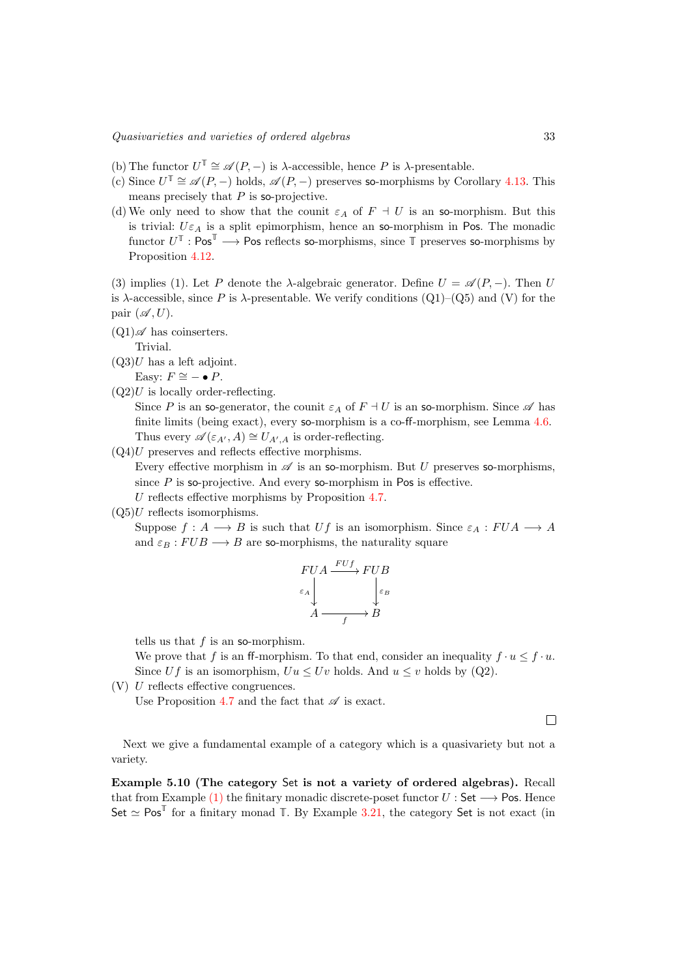- (b) The functor  $U^{\mathbb{T}} \cong \mathscr{A}(P, -)$  is  $\lambda$ -accessible, hence P is  $\lambda$ -presentable.
- (c) Since  $U^{\mathbb{T}} \cong \mathscr{A}(P,-)$  holds,  $\mathscr{A}(P,-)$  preserves so-morphisms by Corollary [4.13.](#page-27-1) This means precisely that *P* is so-projective.
- (d) We only need to show that the counit  $\varepsilon_A$  of  $F \perp U$  is an so-morphism. But this is trivial:  $U \varepsilon_A$  is a split epimorphism, hence an so-morphism in Pos. The monadic functor  $U^{\mathbb{T}}$  : Pos<sup> $\mathbb{T}$ </sup>  $\longrightarrow$  Pos reflects so-morphisms, since  $\mathbb{T}$  preserves so-morphisms by Proposition [4.12.](#page-27-0)

(3) implies (1). Let P denote the  $\lambda$ -algebraic generator. Define  $U = \mathscr{A}(P, -)$ . Then U is  $\lambda$ -accessible, since P is  $\lambda$ -presentable. We verify conditions (Q1)–(Q5) and (V) for the pair  $(\mathscr{A}, U)$ .

 $(Q1)\mathscr{A}$  has coinserters.

Trivial.

 $(Q3)U$  has a left adjoint.

Easy:  $F \cong - \bullet P$ .

 $(Q2)U$  is locally order-reflecting.

Since *P* is an so-generator, the counit  $\varepsilon_A$  of  $F \dashv U$  is an so-morphism. Since  $\mathscr A$  has finite limits (being exact), every so-morphism is a co-ff-morphism, see Lemma  $4.6$ . Thus every  $\mathscr{A}(\varepsilon_{A'}, A) \cong U_{A',A}$  is order-reflecting.

 $(Q4)U$  preserves and reflects effective morphisms.

Every effective morphism in  $\mathscr A$  is an so-morphism. But *U* preserves so-morphisms, since  $P$  is so-projective. And every so-morphism in Pos is effective.

*U* reflects effective morphisms by Proposition [4.7.](#page-22-0)

 $(Q5)U$  reflects isomorphisms.

Suppose  $f: A \longrightarrow B$  is such that  $Uf$  is an isomorphism. Since  $\varepsilon_A: FUA \longrightarrow A$ and  $\varepsilon_B : FUB \longrightarrow B$  are so-morphisms, the naturality square

$$
\begin{array}{c}\nFUA \xrightarrow{FUf} FUB \\
\epsilon_A \downarrow \\
A \xrightarrow{f} B\n\end{array}
$$

tells us that *f* is an so-morphism.

We prove that *f* is an ff-morphism. To that end, consider an inequality  $f \cdot u \leq f \cdot u$ . Since *Uf* is an isomorphism,  $Uu \leq Uv$  holds. And  $u \leq v$  holds by (Q2).

 $(V)$  *U* reflects effective congruences.

Use Proposition [4.7](#page-22-0) and the fact that  $\mathscr A$  is exact.

 $\Box$ 

Next we give a fundamental example of a category which is a quasivariety but not a variety.

<span id="page-32-0"></span>Example 5.10 (The category Set is not a variety of ordered algebras). Recall that from Example [\(1\)](#page-2-2) the finitary monadic discrete-poset functor  $U:$  Set  $\longrightarrow$  Pos. Hence Set  $\simeq$  Pos<sup>T</sup> for a finitary monad T. By Example [3.21,](#page-17-0) the category Set is not exact (in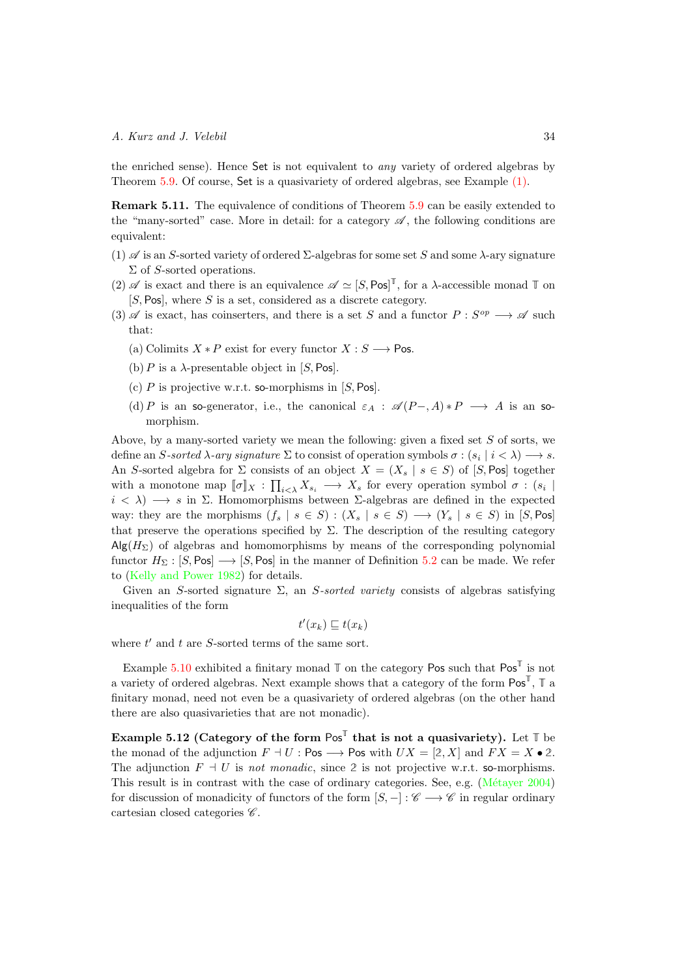the enriched sense). Hence Set is not equivalent to *any* variety of ordered algebras by Theorem [5.9.](#page-31-0) Of course, Set is a quasivariety of ordered algebras, see Example [\(1\).](#page-2-2)

<span id="page-33-0"></span>Remark 5.11. The equivalence of conditions of Theorem [5.9](#page-31-0) can be easily extended to the "many-sorted" case. More in detail: for a category  $\mathscr A$ , the following conditions are equivalent:

- (1)  $\mathscr A$  is an *S*-sorted variety of ordered  $\Sigma$ -algebras for some set *S* and some  $\lambda$ -ary signature  $\Sigma$  of *S*-sorted operations.
- (2)  $\mathscr A$  is exact and there is an equivalence  $\mathscr A \simeq [S, \text{Pos}]^T$ , for a  $\lambda$ -accessible monad  $\mathbb T$  on [*S,* Pos], where *S* is a set, considered as a discrete category.
- $(3)$   $\mathscr A$  is exact, has coinserters, and there is a set *S* and a functor  $P: S^{op} \longrightarrow \mathscr A$  such that:
	- (a) Colimits  $X * P$  exist for every functor  $X : S \longrightarrow \mathsf{Pos}$ .
	- (b)  $P$  is a  $\lambda$ -presentable object in [*S*, Pos].
	- (c) *P* is projective w.r.t. so-morphisms in [*S,* Pos].
	- (d) *P* is an so-generator, i.e., the canonical  $\varepsilon_A$  :  $\mathscr{A}(P-,A)*P \longrightarrow A$  is an somorphism.

Above, by a many-sorted variety we mean the following: given a fixed set *S* of sorts, we define an *S*-sorted  $\lambda$ -ary signature  $\Sigma$  to consist of operation symbols  $\sigma$ :  $(s_i | i < \lambda) \rightarrow s$ . An *S*-sorted algebra for  $\Sigma$  consists of an object  $X = (X_s | s \in S)$  of [*S*, Pos] together with a monotone map  $[\![\sigma]\!]_X : \prod_{i \leq \lambda} X_{s_i} \longrightarrow X_s$  for every operation symbol  $\sigma : (s_i \mid$  $i < \lambda$ )  $\longrightarrow s$  in  $\Sigma$ . Homomorphisms between  $\Sigma$ -algebras are defined in the expected way: they are the morphisms  $(f_s | s \in S) : (X_s | s \in S) \longrightarrow (Y_s | s \in S)$  in  $[S, Pos]$ that preserve the operations specified by  $\Sigma$ . The description of the resulting category  $\text{Alg}(H_{\Sigma})$  of algebras and homomorphisms by means of the corresponding polynomial functor  $H_{\Sigma}$ :  $[S, Pos] \longrightarrow [S, Pos]$  in the manner of Definition [5.2](#page-29-0) can be made. We refer to [\(Kelly and Power 1982\)](#page-41-2) for details.

Given an *S*-sorted signature  $\Sigma$ , an *S*-sorted variety consists of algebras satisfying inequalities of the form

$$
t'(x_k) \sqsubseteq t(x_k)
$$

where  $t'$  and  $t$  are  $S$ -sorted terms of the same sort.

Example [5.10](#page-32-0) exhibited a finitary monad  $\mathbb{T}$  on the category Pos such that  $\text{Pos}^{\mathbb{T}}$  is not a variety of ordered algebras. Next example shows that a category of the form Pos**<sup>T</sup>**, **T** a finitary monad, need not even be a quasivariety of ordered algebras (on the other hand there are also quasivarieties that are not monadic).

<span id="page-33-1"></span>Example 5.12 (Category of the form  $Pos^T$  that is not a quasivariety). Let  $T$  be the monad of the adjunction  $F \dashv U$ : Pos  $\longrightarrow$  Pos with  $UX = [2, X]$  and  $FX = X \cdot 2$ . The adjunction  $F \dashv U$  is *not monadic*, since 2 is not projective w.r.t. so-morphisms. This result is in contrast with the case of ordinary categories. See, e.g. (Métayer 2004) for discussion of monadicity of functors of the form  $[S, -] : \mathscr{C} \longrightarrow \mathscr{C}$  in regular ordinary cartesian closed categories *C* .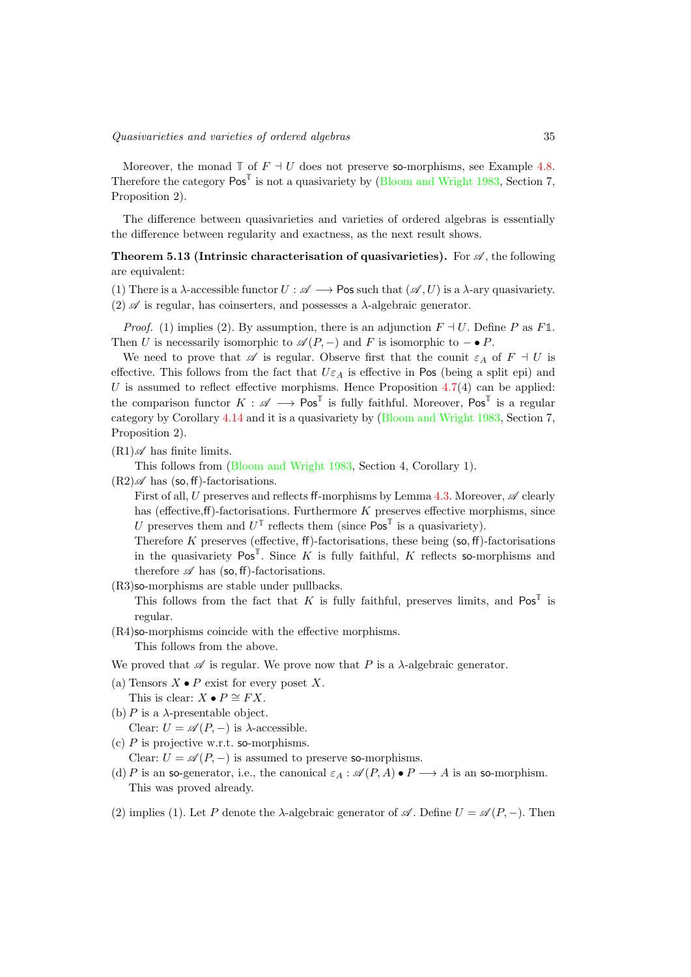Moreover, the monad  $\mathbb{T}$  of  $F \dashv U$  does not preserve so-morphisms, see Example [4.8.](#page-26-0) Therefore the category Pos**<sup>T</sup>** is not a quasivariety by [\(Bloom and Wright 1983,](#page-40-2) Section 7, Proposition 2).

The difference between quasivarieties and varieties of ordered algebras is essentially the difference between regularity and exactness, as the next result shows.

<span id="page-34-0"></span>**Theorem 5.13 (Intrinsic characterisation of quasivarieties).** For  $\mathscr{A}$ , the following are equivalent:

(1) There is a  $\lambda$ -accessible functor  $U : \mathscr{A} \longrightarrow \mathsf{Pos}$  such that  $(\mathscr{A}, U)$  is a  $\lambda$ -ary quasivariety.  $(2)$   $\mathscr A$  is regular, has coinserters, and possesses a  $\lambda$ -algebraic generator.

*Proof.* (1) implies (2). By assumption, there is an adjunction  $F \dashv U$ . Define P as F1. Then *U* is necessarily isomorphic to  $\mathcal{A}(P,-)$  and *F* is isomorphic to  $-\bullet P$ .

We need to prove that  $\mathscr A$  is regular. Observe first that the counit  $\varepsilon_A$  of  $F \dashv U$  is effective. This follows from the fact that  $U\varepsilon_A$  is effective in Pos (being a split epi) and *U* is assumed to reflect effective morphisms. Hence Proposition  $4.7(4)$  $4.7(4)$  can be applied: the comparison functor  $K : \mathscr{A} \longrightarrow \mathsf{Pos}^{\mathbb{T}}$  is fully faithful. Moreover,  $\mathsf{Pos}^{\mathbb{T}}$  is a regular category by Corollary [4.14](#page-28-1) and it is a quasivariety by [\(Bloom and Wright 1983,](#page-40-2) Section 7, Proposition 2).

 $(R1)\mathscr{A}$  has finite limits.

This follows from [\(Bloom and Wright 1983,](#page-40-2) Section 4, Corollary 1).

 $(R2)\mathscr{A}$  has (so, ff)-factorisations.

First of all, *U* preserves and reflects ff-morphisms by Lemma [4.3.](#page-21-0) Moreover,  $\mathscr A$  clearly has (effective,ff)-factorisations. Furthermore *K* preserves effective morphisms, since *U* preserves them and  $U^{\mathbb{T}}$  reflects them (since  $\mathsf{Pos}^{\mathbb{T}}$  is a quasivariety).

Therefore  $K$  preserves (effective, ff)-factorisations, these being (so, ff)-factorisations in the quasivariety  $Pos^{\mathbb{T}}$ . Since *K* is fully faithful, *K* reflects so-morphisms and therefore  $\mathscr A$  has (so, ff)-factorisations.

(R3)so-morphisms are stable under pullbacks.

This follows from the fact that *K* is fully faithful, preserves limits, and  $Pos^T$  is regular.

 $(R4)$ so-morphisms coincide with the effective morphisms.

This follows from the above.

We proved that  $\mathscr A$  is regular. We prove now that P is a  $\lambda$ -algebraic generator.

- (a) Tensors  $X \bullet P$  exist for every poset  $X$ .
	- This is clear:  $X \bullet P \cong FX$ .
- (b) *P* is a  $\lambda$ -presentable object. Clear:  $U = \mathscr{A}(P, -)$  is  $\lambda$ -accessible.
- (c) *P* is projective w.r.t. so-morphisms.

Clear:  $U = \mathcal{A}(P, -)$  is assumed to preserve so-morphisms.

- (d) *P* is an so-generator, i.e., the canonical  $\varepsilon_A : \mathcal{A}(P,A) \bullet P \longrightarrow A$  is an so-morphism. This was proved already.
- (2) implies (1). Let P denote the  $\lambda$ -algebraic generator of  $\mathscr{A}$ . Define  $U = \mathscr{A}(P, -)$ . Then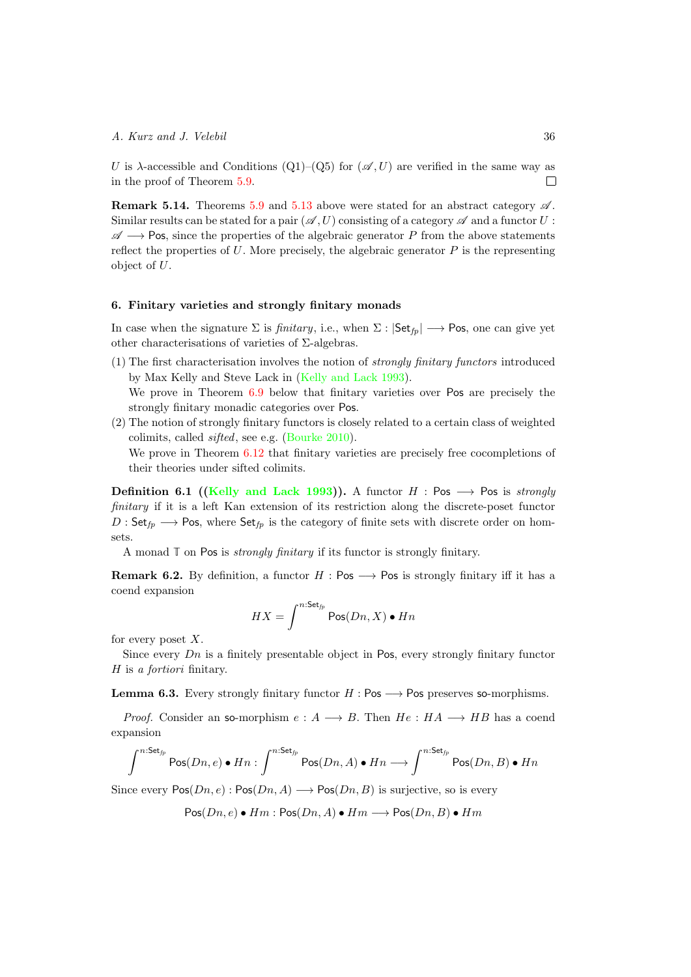*U* is  $\lambda$ -accessible and Conditions (Q1)–(Q5) for ( $\mathscr{A}, U$ ) are verified in the same way as in the proof of Theorem [5.9.](#page-31-0)  $\Box$ 

Remark 5.14. Theorems [5.9](#page-31-0) and [5.13](#page-34-0) above were stated for an abstract category *A* . Similar results can be stated for a pair  $(\mathscr{A}, U)$  consisting of a category  $\mathscr A$  and a functor  $U$ :  $\mathscr{A} \longrightarrow$  Pos, since the properties of the algebraic generator *P* from the above statements reflect the properties of  $U$ . More precisely, the algebraic generator  $P$  is the representing object of *U*.

### <span id="page-35-0"></span>6. Finitary varieties and strongly finitary monads

In case when the signature  $\Sigma$  is *finitary*, i.e., when  $\Sigma$  :  $|\mathsf{Set}_{fp}| \longrightarrow \mathsf{Pos}$ , one can give yet other characterisations of varieties of  $\Sigma$ -algebras.

- (1) The first characterisation involves the notion of *strongly finitary functors* introduced by Max Kelly and Steve Lack in [\(Kelly and Lack 1993\)](#page-41-15). We prove in Theorem [6.9](#page-37-0) below that finitary varieties over Pos are precisely the strongly finitary monadic categories over Pos.
- (2) The notion of strongly finitary functors is closely related to a certain class of weighted colimits, called *sifted*, see e.g. [\(Bourke 2010\)](#page-40-7). We prove in Theorem  $6.12$  that finitary varieties are precisely free cocompletions of their theories under sifted colimits.

**Definition 6.1** [\(Kelly and Lack 1993\)](#page-41-15)). A functor  $H : Pos \longrightarrow Pos$  is *strongly finitary* if it is a left Kan extension of its restriction along the discrete-poset functor  $D:$  Set<sub>fp</sub>  $\longrightarrow$  Pos, where Set<sub>fp</sub> is the category of finite sets with discrete order on homsets.

A monad **T** on Pos is *strongly finitary* if its functor is strongly finitary.

**Remark 6.2.** By definition, a functor  $H : Pos \longrightarrow Pos$  is strongly finitary iff it has a coend expansion

$$
HX = \int^{n:\mathsf{Set}_{fp}} \mathsf{Pos}(Dn, X) \bullet Hn
$$

for every poset *X*.

Since every *Dn* is a finitely presentable object in Pos, every strongly finitary functor *H* is *a fortiori* finitary.

<span id="page-35-1"></span>**Lemma 6.3.** Every strongly finitary functor  $H : Pos \longrightarrow Pos$  preserves so-morphisms.

*Proof.* Consider an so-morphism  $e: A \longrightarrow B$ . Then  $He: HA \longrightarrow HB$  has a coend expansion

$$
\int^{n:\mathsf{Set}_{fp}} \mathsf{Pos}(Dn,e) \bullet Hn: \int^{n:\mathsf{Set}_{fp}} \mathsf{Pos}(Dn,A) \bullet Hn \longrightarrow \int^{n:\mathsf{Set}_{fp}} \mathsf{Pos}(Dn,B) \bullet Hn
$$

Since every  $Pos(Dn, e): Pos(Dn, A) \longrightarrow Pos(Dn, B)$  is surjective, so is every

$$
\mathsf{Pos}(Dn,e) \bullet Hm : \mathsf{Pos}(Dn,A) \bullet Hm \longrightarrow \mathsf{Pos}(Dn,B) \bullet Hm
$$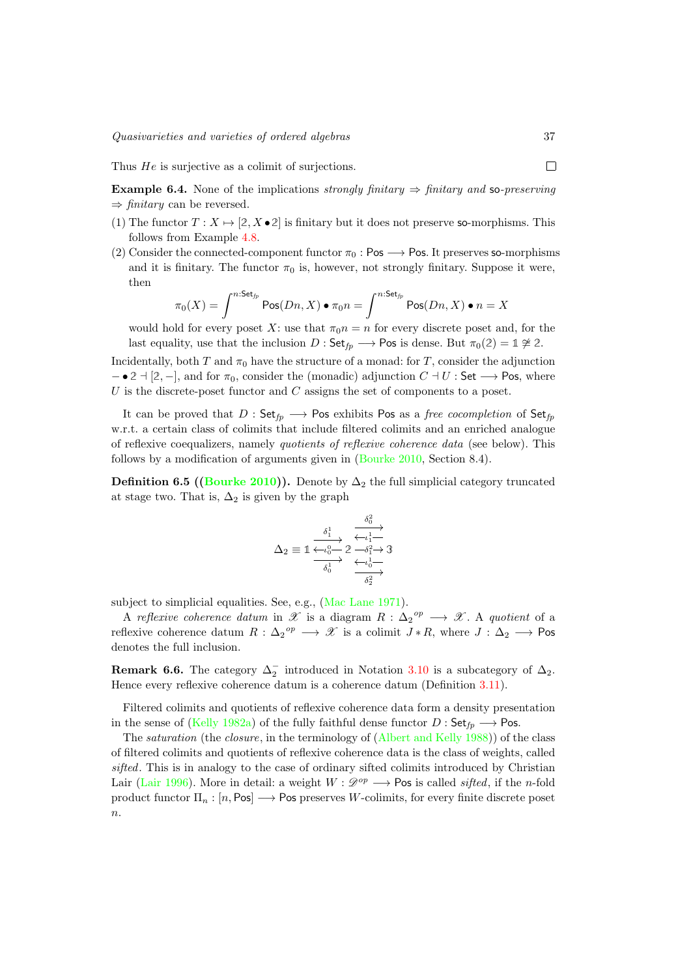Thus *He* is surjective as a colimit of surjections.

**Example 6.4.** None of the implications *strongly finitary*  $\Rightarrow$  *finitary and* so-*preserving*  $\Rightarrow$  *finitary* can be reversed.

- (1) The functor  $T: X \mapsto [2, X \bullet 2]$  is finitary but it does not preserve so-morphisms. This follows from Example [4.8.](#page-26-0)
- (2) Consider the connected-component functor  $\pi_0$ : Pos  $\longrightarrow$  Pos. It preserves so-morphisms and it is finitary. The functor  $\pi_0$  is, however, not strongly finitary. Suppose it were, then

$$
\pi_0(X) = \int^{n:\mathsf{Set}_p} \mathsf{Pos}(Dn, X) \bullet \pi_0 n = \int^{n:\mathsf{Set}_p} \mathsf{Pos}(Dn, X) \bullet n = X
$$

would hold for every poset X: use that  $\pi_0 n = n$  for every discrete poset and, for the last equality, use that the inclusion  $D : \mathsf{Set}_{fp} \longrightarrow \mathsf{Pos}$  is dense. But  $\pi_0(2) = \mathbb{1} \not\cong 2$ .

Incidentally, both *T* and  $\pi_0$  have the structure of a monad: for *T*, consider the adjunction  $\bullet$  2  $\uparrow$  [2, -], and for  $\pi_0$ , consider the (monadic) adjunction  $C \uparrow U$  : Set  $\rightarrow$  Pos, where *U* is the discrete-poset functor and *C* assigns the set of components to a poset.

It can be proved that  $D : \mathsf{Set}_{f_p} \longrightarrow \mathsf{Pos}$  exhibits Pos as a *free cocompletion* of  $\mathsf{Set}_{f_p}$ w.r.t. a certain class of colimits that include filtered colimits and an enriched analogue of reflexive coequalizers, namely *quotients of reflexive coherence data* (see below). This follows by a modification of arguments given in [\(Bourke 2010,](#page-40-7) Section 8.4).

**Definition 6.5 ([\(Bourke 2010\)](#page-40-7)).** Denote by  $\Delta_2$  the full simplicial category truncated at stage two. That is,  $\Delta_2$  is given by the graph

$$
\Delta_2 \equiv \mathbb{1} \xrightarrow{\delta_1^1} \xrightarrow{\delta_0^2} \overbrace{\phantom{\mathcal{L}_1 \rightarrow \mathcal{L}_2 \rightarrow \mathcal{L}_3 \rightarrow \mathcal{L}_4 \rightarrow \mathcal{L}_1 \rightarrow \mathcal{L}_2 \rightarrow \mathcal{L}_3 \rightarrow \mathcal{L}_4}}^{\delta_0^1} \xrightarrow{\delta_1^2} \overbrace{\phantom{\mathcal{L}_2 \rightarrow \mathcal{L}_2 \rightarrow \mathcal{L}_2 \rightarrow \mathcal{L}_2 \rightarrow \mathcal{L}_2 \rightarrow \mathcal{L}_2 \rightarrow \mathcal{L}_2 \rightarrow \mathcal{L}_2 \rightarrow \mathcal{L}_2 \rightarrow \mathcal{L}_2 \rightarrow \mathcal{L}_2 \rightarrow \mathcal{L}_2 \rightarrow \mathcal{L}_2 \rightarrow \mathcal{L}_2 \rightarrow \mathcal{L}_2 \rightarrow \mathcal{L}_2 \rightarrow \mathcal{L}_2 \rightarrow \mathcal{L}_2 \rightarrow \mathcal{L}_2 \rightarrow \mathcal{L}_2 \rightarrow \mathcal{L}_2 \rightarrow \mathcal{L}_2 \rightarrow \mathcal{L}_2 \rightarrow \mathcal{L}_2 \rightarrow \mathcal{L}_2 \rightarrow \mathcal{L}_2 \rightarrow \mathcal{L}_2 \rightarrow \mathcal{L}_2 \rightarrow \mathcal{L}_2 \rightarrow \mathcal{L}_2 \rightarrow \mathcal{L}_2 \rightarrow \mathcal{L}_2 \rightarrow \mathcal{L}_2 \rightarrow \mathcal{L}_2 \rightarrow \mathcal{L}_2 \rightarrow \mathcal{L}_2 \rightarrow \mathcal{L}_2 \rightarrow \mathcal{L}_2 \rightarrow \mathcal{L}_2 \rightarrow \mathcal{L}_2 \rightarrow \mathcal{L}_2 \rightarrow \mathcal{L}_2 \rightarrow \mathcal{L}_2 \rightarrow \mathcal{L}_2 \rightarrow \mathcal{L}_2 \rightarrow \mathcal{L}_2 \rightarrow \mathcal{L}_2 \rightarrow \mathcal{L}_2 \rightarrow \mathcal{L}_2 \rightarrow \mathcal{L}_2 \rightarrow \mathcal{L}_2 \rightarrow \mathcal{L}_2 \rightarrow \mathcal{L}_2 \rightarrow \mathcal{L}_2 \rightarrow \mathcal{L}_2 \rightarrow \mathcal{L}_2 \rightarrow \mathcal{L}_2 \rightarrow \mathcal{L}_2 \rightarrow \mathcal{L}_2 \rightarrow \mathcal{L}_2 \rightarrow \mathcal{L}_2 \rightarrow \mathcal{L}_2 \rightarrow \mathcal{L}_2 \rightarrow \mathcal{L}_2 \rightarrow \mathcal{L}_2 \rightarrow \mathcal{L}_2 \rightarrow \mathcal{L}_2 \rightarrow \mathcal{L}_2 \rightarrow \mathcal{L}_2 \rightarrow \mathcal{L}_
$$

subject to simplicial equalities. See, e.g., [\(Mac Lane 1971\)](#page-41-16).

A *reflexive coherence datum* in  $\mathscr X$  is a diagram  $R: \Delta_2^{\text{op}} \longrightarrow \mathscr X$ . A *quotient* of a reflexive coherence datum  $R: \Delta_2^{\text{op}} \longrightarrow \mathscr{X}$  is a colimit  $J * R$ , where  $J: \Delta_2 \longrightarrow \text{Pos}$ denotes the full inclusion.

**Remark 6.6.** The category  $\Delta_2^-$  introduced in Notation [3.10](#page-14-3) is a subcategory of  $\Delta_2$ . Hence every reflexive coherence datum is a coherence datum (Definition [3.11\)](#page-15-2).

Filtered colimits and quotients of reflexive coherence data form a density presentation in the sense of [\(Kelly 1982a\)](#page-40-9) of the fully faithful dense functor  $D : \mathsf{Set}_{fp} \longrightarrow \mathsf{Pos}.$ 

The *saturation* (the *closure*, in the terminology of [\(Albert and Kelly 1988\)](#page-40-17)) of the class of filtered colimits and quotients of reflexive coherence data is the class of weights, called *sifted*. This is in analogy to the case of ordinary sifted colimits introduced by Christian Lair [\(Lair 1996\)](#page-41-17). More in detail: a weight  $W: \mathcal{D}^{op} \longrightarrow \mathsf{Pos}$  is called *sifted*, if the *n*-fold product functor  $\Pi_n : [n, \text{Pos}] \longrightarrow \text{Pos}$  preserves *W*-colimits, for every finite discrete poset *n*.

 $\Box$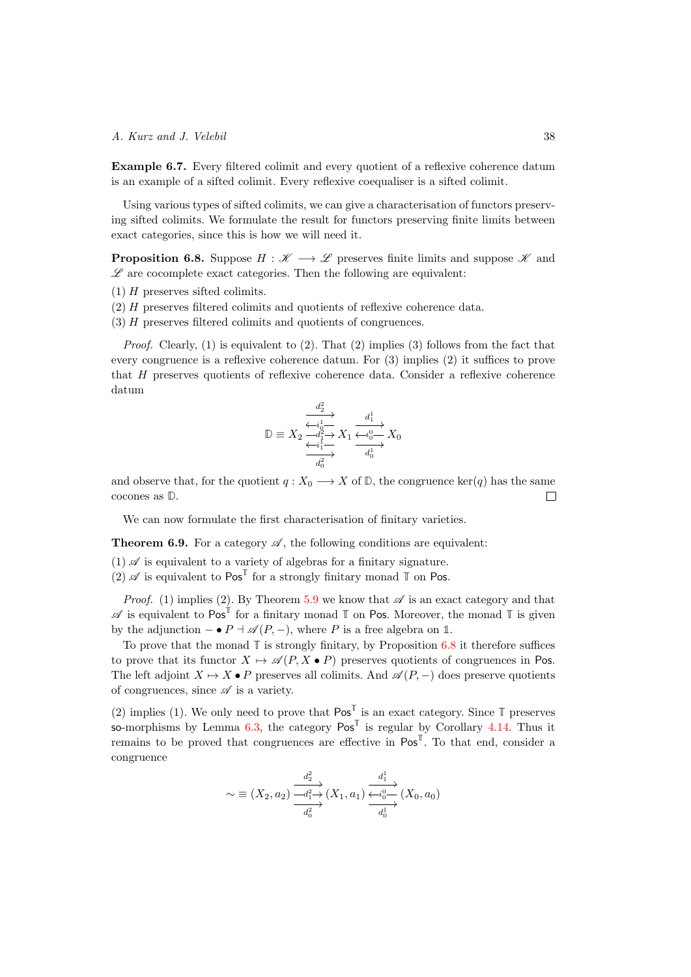Example 6.7. Every filtered colimit and every quotient of a reflexive coherence datum is an example of a sifted colimit. Every reflexive coequaliser is a sifted colimit.

Using various types of sifted colimits, we can give a characterisation of functors preserving sifted colimits. We formulate the result for functors preserving finite limits between exact categories, since this is how we will need it.

<span id="page-37-1"></span>**Proposition 6.8.** Suppose  $H : \mathcal{K} \longrightarrow \mathcal{L}$  preserves finite limits and suppose  $\mathcal{K}$  and  $\mathscr L$  are cocomplete exact categories. Then the following are equivalent:

- (1) *H* preserves sifted colimits.
- (2) *H* preserves filtered colimits and quotients of reflexive coherence data.
- (3) *H* preserves filtered colimits and quotients of congruences.

*Proof.* Clearly, (1) is equivalent to (2). That (2) implies (3) follows from the fact that every congruence is a reflexive coherence datum. For  $(3)$  implies  $(2)$  it suffices to prove that *H* preserves quotients of reflexive coherence data. Consider a reflexive coherence datum

$$
\mathbb{D} \equiv X_2 \xrightarrow{\overbrace{d_1^1 \rightarrow \atop \overbrace{d_1^2 \rightarrow \atop d_0^2}}^{d_2^2} X_1 \xrightarrow{\overbrace{d_1^1 \rightarrow \atop \overbrace{d_0^2}}^{d_1^1} X_0}
$$

and observe that, for the quotient *q* :  $X_0 \longrightarrow X$  of  $\mathbb{D}$ , the congruence ker(*q*) has the same cocones as  $\mathbb{D}$ . cocones as **D**.

We can now formulate the first characterisation of finitary varieties.

<span id="page-37-0"></span>**Theorem 6.9.** For a category  $\mathscr A$ , the following conditions are equivalent:

- $(1)$   $\mathscr A$  is equivalent to a variety of algebras for a finitary signature.
- (2)  $\mathscr A$  is equivalent to  $\mathsf{Pos}^{\mathbb{T}}$  for a strongly finitary monad  $\mathbb T$  on Pos.

*Proof.* (1) implies (2). By Theorem [5.9](#page-31-0) we know that  $\mathscr A$  is an exact category and that  $\mathscr A$  is equivalent to  $\mathsf{Pos}^{\mathbb{T}}$  for a finitary monad  $\mathbb T$  on Pos. Moreover, the monad  $\mathbb T$  is given by the adjunction  $-\bullet P + \mathcal{A}(P,-)$ , where *P* is a free algebra on 1.

To prove that the monad  $\mathbb T$  is strongly finitary, by Proposition [6.8](#page-37-1) it therefore suffices to prove that its functor  $X \mapsto \mathscr{A}(P, X \bullet P)$  preserves quotients of congruences in Pos. The left adjoint  $X \mapsto X \cdot P$  preserves all colimits. And  $\mathscr{A}(P, -)$  does preserve quotients of congruences, since  $\mathscr A$  is a variety.

(2) implies (1). We only need to prove that  $\text{Pos}^{\mathbb{T}}$  is an exact category. Since  $\mathbb{T}$  preserves so-morphisms by Lemma  $6.3$ , the category  $Pos^T$  is regular by Corollary [4.14.](#page-28-1) Thus it remains to be proved that congruences are effective in  $Pos^T$ . To that end, consider a congruence

$$
\sim \equiv (X_2, a_2) \frac{\overrightarrow{d_2} \rightarrow}{\overrightarrow{d_1} \rightarrow} (X_1, a_1) \frac{\overrightarrow{d_1} \rightarrow}{\overrightarrow{d_0} \rightarrow} (X_0, a_0)
$$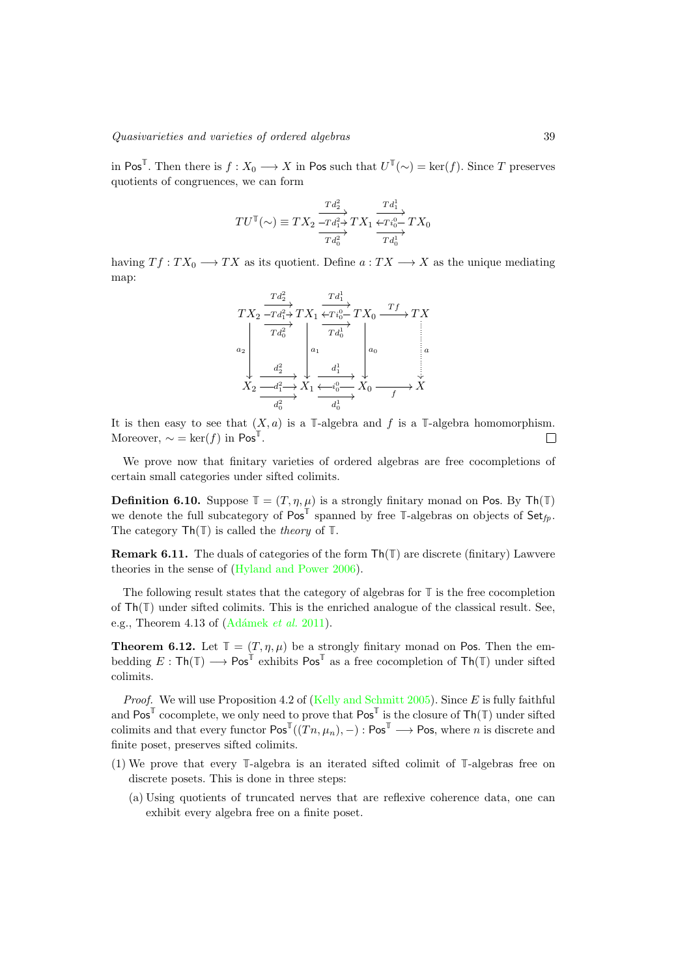in Pos<sup>**T**</sup>. Then there is  $f: X_0 \longrightarrow X$  in Pos such that  $U^{\mathbb{T}}(\sim) = \ker(f)$ . Since *T* preserves quotients of congruences, we can form

$$
TU^{\mathbb{T}}(\sim) \equiv TX_2 \frac{\frac{Td_2^2}{-Td_1^2 \rightarrow} TX_1 \frac{Td_1^1}{\leftarrow Ti_0^0 \rightarrow} TX_0}{Td_0^1}
$$

having  $Tf: TX_0 \longrightarrow TX$  as its quotient. Define  $a: TX \longrightarrow X$  as the unique mediating map:

*T X*<sup>2</sup> *T d*<sup>2</sup> 2 / *T d*<sup>2</sup> 1 / *T d*<sup>2</sup> 0 / *a*<sup>2</sup> ✏✏ *T X*<sup>1</sup> *T d*<sup>1</sup> 1 / *T d*<sup>1</sup> 0 / *a*<sup>1</sup> ✏✏ *T i T X*<sup>0</sup> <sup>0</sup> <sup>0</sup> <sup>o</sup> *T f* / *a*<sup>0</sup> ✏✏ *T X a* ✏✏ *<sup>X</sup>*<sup>2</sup> *d*2 <sup>2</sup> / *d*2 <sup>1</sup> / *d*2 0 / *X*<sup>1</sup> *d*1 <sup>1</sup> / *d*1 0 / *<sup>i</sup> <sup>X</sup>*<sup>0</sup> <sup>0</sup> <sup>0</sup> <sup>o</sup> *<sup>f</sup>* /*X*

It is then easy to see that  $(X, a)$  is a **T**-algebra and  $f$  is a **T**-algebra homomorphism. Moreover,  $\sim = \ker(f)$  in Pos<sup>T</sup>.  $\Box$ 

We prove now that finitary varieties of ordered algebras are free cocompletions of certain small categories under sifted colimits.

**Definition 6.10.** Suppose  $\mathbb{T} = (T, \eta, \mu)$  is a strongly finitary monad on Pos. By Th(T) we denote the full subcategory of  $Pos^{\mathbb{T}}$  spanned by free  $\mathbb{T}$ -algebras on objects of  $Set_{fp}$ . The category Th(**T**) is called the *theory* of **T**.

Remark 6.11. The duals of categories of the form Th(**T**) are discrete (finitary) Lawvere theories in the sense of [\(Hyland and Power 2006\)](#page-40-6).

The following result states that the category of algebras for **T** is the free cocompletion of Th(**T**) under sifted colimits. This is the enriched analogue of the classical result. See, e.g., Theorem 4.13 of (Adámek *et al.* 2011).

<span id="page-38-0"></span>**Theorem 6.12.** Let  $\mathbb{T} = (T, \eta, \mu)$  be a strongly finitary monad on Pos. Then the embedding  $E : \textsf{Th}(\mathbb{T}) \longrightarrow \textsf{Pos}^{\mathbb{T}}$  exhibits  $\textsf{Pos}^{\mathbb{T}}$  as a free cocompletion of  $\textsf{Th}(\mathbb{T})$  under sifted colimits.

*Proof.* We will use Proposition 4.2 of [\(Kelly and Schmitt 2005\)](#page-41-18). Since *E* is fully faithful and  $\text{Pos}^{\mathbb{T}}$  cocomplete, we only need to prove that  $\text{Pos}^{\mathbb{T}}$  is the closure of  $\text{Th}(\mathbb{T})$  under sifted colimits and that every functor  $\text{Pos}^{\mathbb{T}}((T_n,\mu_n),-) : \text{Pos}^{\mathbb{T}} \longrightarrow \text{Pos}$ , where *n* is discrete and finite poset, preserves sifted colimits.

- (1) We prove that every **T**-algebra is an iterated sifted colimit of **T**-algebras free on discrete posets. This is done in three steps:
	- (a) Using quotients of truncated nerves that are reflexive coherence data, one can exhibit every algebra free on a finite poset.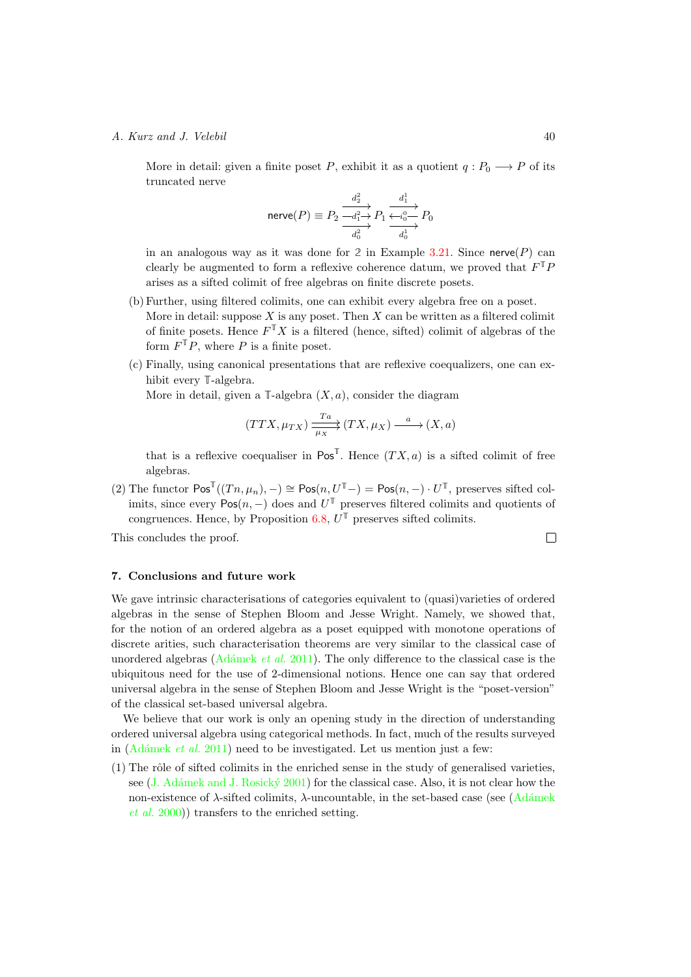More in detail: given a finite poset *P*, exhibit it as a quotient  $q: P_0 \longrightarrow P$  of its truncated nerve

$$
\text{nerve}(P) \equiv P_2 \xrightarrow[d_2^2]{d_2^2} P_1 \xrightarrow[d_0^2]{d_1^1} P_0
$$

in an analogous way as it was done for 2 in Example [3.21.](#page-17-0) Since nerve( $P$ ) can clearly be augmented to form a reflexive coherence datum, we proved that  $F^{\mathbb{T}}P$ arises as a sifted colimit of free algebras on finite discrete posets.

- (b) Further, using filtered colimits, one can exhibit every algebra free on a poset. More in detail: suppose  $X$  is any poset. Then  $X$  can be written as a filtered colimit of finite posets. Hence  $F^{\mathbb{T}}X$  is a filtered (hence, sifted) colimit of algebras of the form  $F^{\mathbb{T}}P$ , where P is a finite poset.
- (c) Finally, using canonical presentations that are reflexive coequalizers, one can exhibit every **T**-algebra.

More in detail, given a  $\mathbb{T}\text{-algebra } (X, a)$ , consider the diagram

$$
(TTX, \mu_{TX}) \xrightarrow{\text{Ta}} (TX, \mu_X) \xrightarrow{a} (X, a)
$$

that is a reflexive coequaliser in  $\text{Pos}^{\mathbb{T}}$ . Hence  $(TX, a)$  is a sifted colimit of free algebras.

 $(2)$  The functor  $\text{Pos}^{\mathbb{T}}((T_n,\mu_n),-)\cong \text{Pos}(n,U^{\mathbb{T}}-) = \text{Pos}(n,-)\cdot U^{\mathbb{T}}$ , preserves sifted colimits, since every  $Pos(n, -)$  does and  $U^{\mathbb{T}}$  preserves filtered colimits and quotients of congruences. Hence, by Proposition [6.8,](#page-37-1)  $U^{\mathbb{T}}$  preserves sifted colimits.

This concludes the proof.

## <span id="page-39-0"></span>7. Conclusions and future work

We gave intrinsic characterisations of categories equivalent to (quasi)varieties of ordered algebras in the sense of Stephen Bloom and Jesse Wright. Namely, we showed that, for the notion of an ordered algebra as a poset equipped with monotone operations of discrete arities, such characterisation theorems are very similar to the classical case of unordered algebras (Adámek *et al.* 2011). The only difference to the classical case is the ubiquitous need for the use of 2-dimensional notions. Hence one can say that ordered universal algebra in the sense of Stephen Bloom and Jesse Wright is the "poset-version" of the classical set-based universal algebra.

We believe that our work is only an opening study in the direction of understanding ordered universal algebra using categorical methods. In fact, much of the results surveyed in (Adámek *et al.* 2011) need to be investigated. Let us mention just a few:

 $(1)$  The rôle of sifted colimits in the enriched sense in the study of generalised varieties, see (J. Adámek and J. Rosický 2001) for the classical case. Also, it is not clear how the non-existence of  $\lambda$ -sifted colimits,  $\lambda$ -uncountable, in the set-based case (see (Adámek *[et al.](#page-40-19)* 2000)) transfers to the enriched setting.

 $\Box$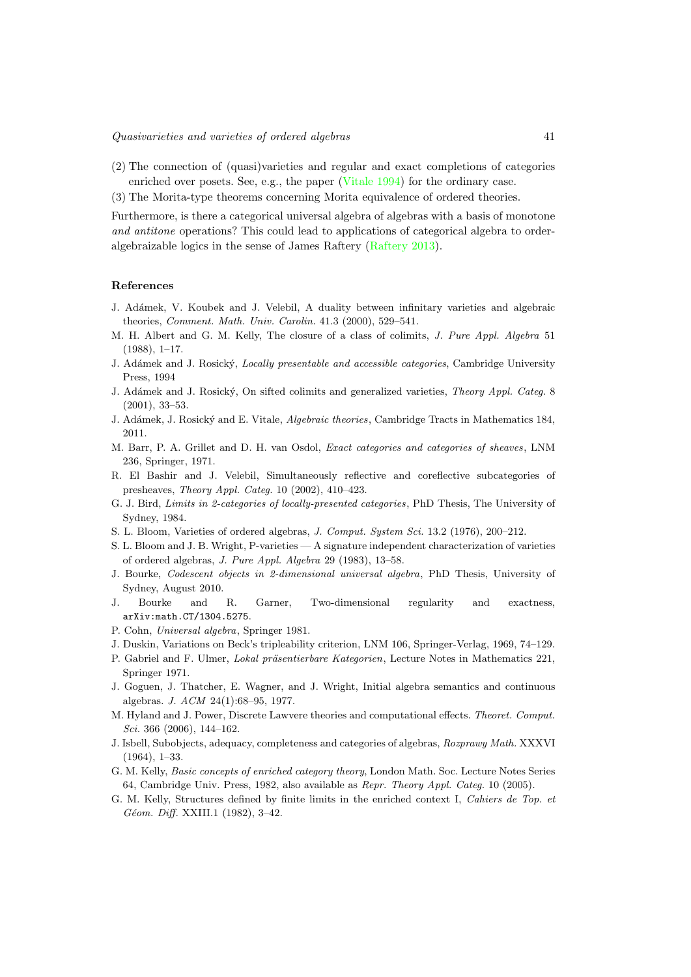- (2) The connection of (quasi)varieties and regular and exact completions of categories enriched over posets. See, e.g., the paper [\(Vitale 1994\)](#page-41-13) for the ordinary case.
- (3) The Morita-type theorems concerning Morita equivalence of ordered theories.

Furthermore, is there a categorical universal algebra of algebras with a basis of monotone *and antitone* operations? This could lead to applications of categorical algebra to orderalgebraizable logics in the sense of James Raftery [\(Raftery 2013\)](#page-41-19).

#### References

- <span id="page-40-19"></span>J. Ad´amek, V. Koubek and J. Velebil, A duality between infinitary varieties and algebraic theories, *Comment. Math. Univ. Carolin.* 41.3 (2000), 529–541.
- <span id="page-40-17"></span>M. H. Albert and G. M. Kelly, The closure of a class of colimits, *J. Pure Appl. Algebra* 51 (1988), 1–17.
- <span id="page-40-15"></span>J. Ad´amek and J. Rosick´y, *Locally presentable and accessible categories*, Cambridge University Press, 1994
- <span id="page-40-18"></span>J. Ad´amek and J. Rosick´y, On sifted colimits and generalized varieties, *Theory Appl. Categ.* 8 (2001), 33–53.
- <span id="page-40-1"></span>J. Ad´amek, J. Rosick´y and E. Vitale, *Algebraic theories*, Cambridge Tracts in Mathematics 184, 2011.
- <span id="page-40-11"></span>M. Barr, P. A. Grillet and D. H. van Osdol, *Exact categories and categories of sheaves*, LNM 236, Springer, 1971.
- <span id="page-40-13"></span>R. El Bashir and J. Velebil, Simultaneously reflective and coreflective subcategories of presheaves, *Theory Appl. Categ.* 10 (2002), 410–423.
- <span id="page-40-16"></span>G. J. Bird, *Limits in 2-categories of locally-presented categories*, PhD Thesis, The University of Sydney, 1984.
- <span id="page-40-4"></span>S. L. Bloom, Varieties of ordered algebras, *J. Comput. System Sci.* 13.2 (1976), 200–212.
- <span id="page-40-2"></span>S. L. Bloom and J. B. Wright, P-varieties — A signature independent characterization of varieties of ordered algebras, *J. Pure Appl. Algebra* 29 (1983), 13–58.
- <span id="page-40-7"></span>J. Bourke, *Codescent objects in 2-dimensional universal algebra*, PhD Thesis, University of Sydney, August 2010.
- <span id="page-40-8"></span>J. Bourke and R. Garner, Two-dimensional regularity and exactness, arXiv:math.CT/1304.5275.
- <span id="page-40-3"></span>P. Cohn, *Universal algebra*, Springer 1981.
- <span id="page-40-12"></span>J. Duskin, Variations on Beck's tripleability criterion, LNM 106, Springer-Verlag, 1969, 74–129.
- <span id="page-40-14"></span>P. Gabriel and F. Ulmer, *Lokal präsentierbare Kategorien*, Lecture Notes in Mathematics 221, Springer 1971.
- <span id="page-40-5"></span>J. Goguen, J. Thatcher, E. Wagner, and J. Wright, Initial algebra semantics and continuous algebras. *J. ACM* 24(1):68–95, 1977.
- <span id="page-40-6"></span>M. Hyland and J. Power, Discrete Lawvere theories and computational effects. *Theoret. Comput. Sci.* 366 (2006), 144–162.
- <span id="page-40-0"></span>J. Isbell, Subobjects, adequacy, completeness and categories of algebras, *Rozprawy Math.* XXXVI (1964), 1–33.
- <span id="page-40-9"></span>G. M. Kelly, *Basic concepts of enriched category theory*, London Math. Soc. Lecture Notes Series 64, Cambridge Univ. Press, 1982, also available as *Repr. Theory Appl. Categ.* 10 (2005).
- <span id="page-40-10"></span>G. M. Kelly, Structures defined by finite limits in the enriched context I, *Cahiers de Top. et Géom. Diff.* XXIII.1 (1982), 3-42.